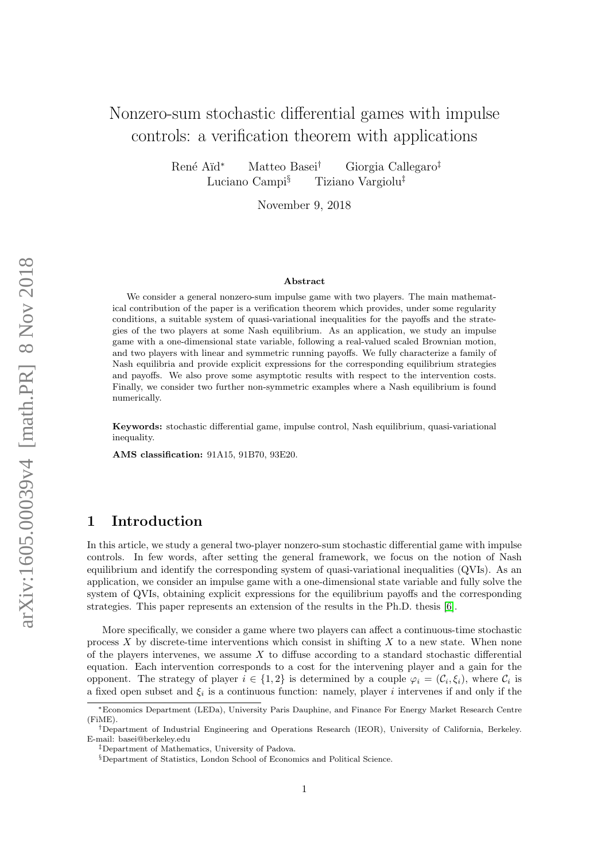# Nonzero-sum stochastic differential games with impulse controls: a verification theorem with applications

René Aïd<sup>∗</sup> Matteo Basei<sup>†</sup> Giorgia Callegaro<sup>‡</sup> Luciano Campi§ Tiziano Vargiolu‡

November 9, 2018

#### Abstract

We consider a general nonzero-sum impulse game with two players. The main mathematical contribution of the paper is a verification theorem which provides, under some regularity conditions, a suitable system of quasi-variational inequalities for the payoffs and the strategies of the two players at some Nash equilibrium. As an application, we study an impulse game with a one-dimensional state variable, following a real-valued scaled Brownian motion, and two players with linear and symmetric running payoffs. We fully characterize a family of Nash equilibria and provide explicit expressions for the corresponding equilibrium strategies and payoffs. We also prove some asymptotic results with respect to the intervention costs. Finally, we consider two further non-symmetric examples where a Nash equilibrium is found numerically.

Keywords: stochastic differential game, impulse control, Nash equilibrium, quasi-variational inequality.

AMS classification: 91A15, 91B70, 93E20.

### 1 Introduction

In this article, we study a general two-player nonzero-sum stochastic differential game with impulse controls. In few words, after setting the general framework, we focus on the notion of Nash equilibrium and identify the corresponding system of quasi-variational inequalities (QVIs). As an application, we consider an impulse game with a one-dimensional state variable and fully solve the system of QVIs, obtaining explicit expressions for the equilibrium payoffs and the corresponding strategies. This paper represents an extension of the results in the Ph.D. thesis [\[6\]](#page-25-0).

More specifically, we consider a game where two players can affect a continuous-time stochastic process  $X$  by discrete-time interventions which consist in shifting  $X$  to a new state. When none of the players intervenes, we assume  $X$  to diffuse according to a standard stochastic differential equation. Each intervention corresponds to a cost for the intervening player and a gain for the opponent. The strategy of player  $i \in \{1,2\}$  is determined by a couple  $\varphi_i = (\mathcal{C}_i, \xi_i)$ , where  $\mathcal{C}_i$  is a fixed open subset and  $\xi_i$  is a continuous function: namely, player i intervenes if and only if the

<sup>∗</sup>Economics Department (LEDa), University Paris Dauphine, and Finance For Energy Market Research Centre (FiME).

<sup>†</sup>Department of Industrial Engineering and Operations Research (IEOR), University of California, Berkeley. E-mail: basei@berkeley.edu

<sup>‡</sup>Department of Mathematics, University of Padova.

<sup>§</sup>Department of Statistics, London School of Economics and Political Science.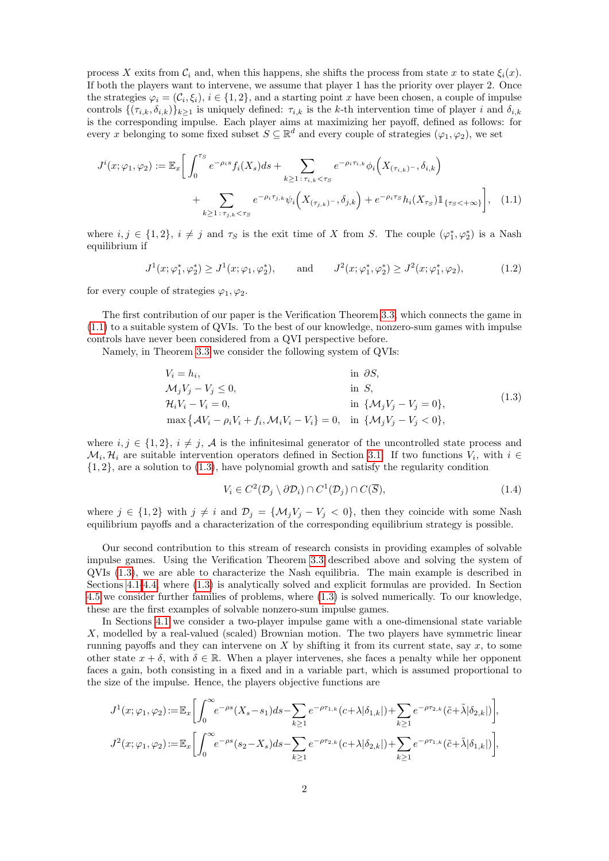process X exits from  $\mathcal{C}_i$  and, when this happens, she shifts the process from state x to state  $\xi_i(x)$ . If both the players want to intervene, we assume that player 1 has the priority over player 2. Once the strategies  $\varphi_i = (\mathcal{C}_i, \xi_i), i \in \{1, 2\}$ , and a starting point x have been chosen, a couple of impulse controls  $\{(\tau_{i,k}, \delta_{i,k})\}_{k>1}$  is uniquely defined:  $\tau_{i,k}$  is the k-th intervention time of player i and  $\delta_{i,k}$ is the corresponding impulse. Each player aims at maximizing her payoff, defined as follows: for every x belonging to some fixed subset  $S \subseteq \mathbb{R}^d$  and every couple of strategies  $(\varphi_1, \varphi_2)$ , we set

$$
J^{i}(x; \varphi_{1}, \varphi_{2}) := \mathbb{E}_{x} \bigg[ \int_{0}^{\tau_{S}} e^{-\rho_{i}s} f_{i}(X_{s}) ds + \sum_{k \geq 1 \, : \, \tau_{i,k} < \tau_{S}} e^{-\rho_{i}\tau_{i,k}} \phi_{i} \Big( X_{(\tau_{i,k})^{-}}, \delta_{i,k} \Big) + \sum_{k \geq 1 \, : \, \tau_{j,k} < \tau_{S}} e^{-\rho_{i}\tau_{j,k}} \psi_{i} \Big( X_{(\tau_{j,k})^{-}}, \delta_{j,k} \Big) + e^{-\rho_{i}\tau_{S}} h_{i}(X_{\tau_{S}}) \mathbb{1}_{\{\tau_{S} < +\infty\}} \bigg], \tag{1.1}
$$

where  $i, j \in \{1, 2\}, i \neq j$  and  $\tau_S$  is the exit time of X from S. The couple  $(\varphi_1^*, \varphi_2^*)$  is a Nash equilibrium if

<span id="page-1-0"></span>
$$
J^{1}(x; \varphi_{1}^{*}, \varphi_{2}^{*}) \geq J^{1}(x; \varphi_{1}, \varphi_{2}^{*}), \quad \text{and} \quad J^{2}(x; \varphi_{1}^{*}, \varphi_{2}^{*}) \geq J^{2}(x; \varphi_{1}^{*}, \varphi_{2}), \quad (1.2)
$$

for every couple of strategies  $\varphi_1, \varphi_2$ .

The first contribution of our paper is the Verification Theorem [3.3,](#page-8-0) which connects the game in [\(1.1\)](#page-1-0) to a suitable system of QVIs. To the best of our knowledge, nonzero-sum games with impulse controls have never been considered from a QVI perspective before.

Namely, in Theorem [3.3](#page-8-0) we consider the following system of QVIs:

<span id="page-1-1"></span>V<sup>i</sup> = h<sup>i</sup> , in ∂S, MjV<sup>j</sup> − V<sup>j</sup> ≤ 0, in S, HiV<sup>i</sup> − V<sup>i</sup> = 0, in {MjV<sup>j</sup> − V<sup>j</sup> = 0}, max AV<sup>i</sup> − ρiV<sup>i</sup> + f<sup>i</sup> ,MiV<sup>i</sup> − Vi} = 0, in {MjV<sup>j</sup> − V<sup>j</sup> < 0}, (1.3)

where  $i, j \in \{1, 2\}, i \neq j$ , A is the infinitesimal generator of the uncontrolled state process and  $\mathcal{M}_i, \mathcal{H}_i$  are suitable intervention operators defined in Section [3.1.](#page-6-0) If two functions  $V_i$ , with  $i \in$  $\{1, 2\}$ , are a solution to  $(1.3)$ , have polynomial growth and satisfy the regularity condition

$$
V_i \in C^2(\mathcal{D}_j \setminus \partial \mathcal{D}_i) \cap C^1(\mathcal{D}_j) \cap C(\overline{S}),\tag{1.4}
$$

where  $j \in \{1,2\}$  with  $j \neq i$  and  $\mathcal{D}_j = \{\mathcal{M}_j V_j - V_j \leq 0\}$ , then they coincide with some Nash equilibrium payoffs and a characterization of the corresponding equilibrium strategy is possible.

Our second contribution to this stream of research consists in providing examples of solvable impulse games. Using the Verification Theorem [3.3](#page-8-0) described above and solving the system of QVIs [\(1.3\)](#page-1-1), we are able to characterize the Nash equilibria. The main example is described in Sections [4.1-](#page-11-0)[4.4,](#page-19-0) where [\(1.3\)](#page-1-1) is analytically solved and explicit formulas are provided. In Section [4.5](#page-23-0) we consider further families of problems, where [\(1.3\)](#page-1-1) is solved numerically. To our knowledge, these are the first examples of solvable nonzero-sum impulse games.

In Sections [4.1](#page-11-0) we consider a two-player impulse game with a one-dimensional state variable X, modelled by a real-valued (scaled) Brownian motion. The two players have symmetric linear running payoffs and they can intervene on X by shifting it from its current state, say  $x$ , to some other state  $x + \delta$ , with  $\delta \in \mathbb{R}$ . When a player intervenes, she faces a penalty while her opponent faces a gain, both consisting in a fixed and in a variable part, which is assumed proportional to the size of the impulse. Hence, the players objective functions are

$$
J^1(x;\varphi_1,\varphi_2) := \mathbb{E}_x \bigg[ \int_0^\infty e^{-\rho s} (X_s - s_1) ds - \sum_{k \ge 1} e^{-\rho \tau_{1,k}} (c + \lambda | \delta_{1,k} | ) + \sum_{k \ge 1} e^{-\rho \tau_{2,k}} (\tilde{c} + \tilde{\lambda} | \delta_{2,k} | ) \bigg],
$$
  

$$
J^2(x;\varphi_1,\varphi_2) := \mathbb{E}_x \bigg[ \int_0^\infty e^{-\rho s} (s_2 - X_s) ds - \sum_{k \ge 1} e^{-\rho \tau_{2,k}} (c + \lambda | \delta_{2,k} | ) + \sum_{k \ge 1} e^{-\rho \tau_{1,k}} (\tilde{c} + \tilde{\lambda} | \delta_{1,k} | ) \bigg],
$$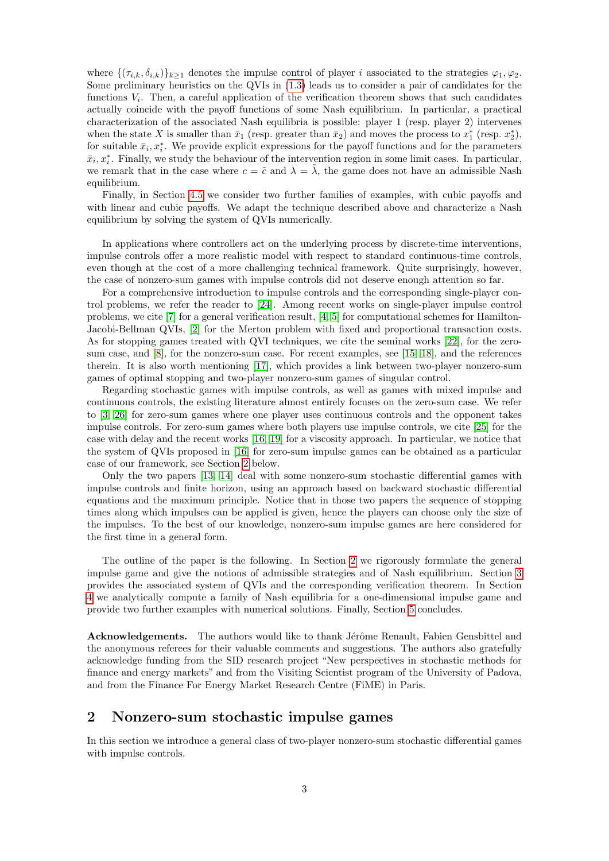where  $\{(\tau_{i,k}, \delta_{i,k})\}_{k>1}$  denotes the impulse control of player i associated to the strategies  $\varphi_1, \varphi_2$ . Some preliminary heuristics on the QVIs in [\(1.3\)](#page-1-1) leads us to consider a pair of candidates for the functions  $V_i$ . Then, a careful application of the verification theorem shows that such candidates actually coincide with the payoff functions of some Nash equilibrium. In particular, a practical characterization of the associated Nash equilibria is possible: player 1 (resp. player 2) intervenes when the state X is smaller than  $\bar{x}_1$  (resp. greater than  $\bar{x}_2$ ) and moves the process to  $x_1^*$  (resp.  $x_2^*$ ), for suitable  $\bar{x}_i, x_i^*$ . We provide explicit expressions for the payoff functions and for the parameters  $\bar{x}_i, x_i^*$ . Finally, we study the behaviour of the intervention region in some limit cases. In particular, we remark that in the case where  $c = \tilde{c}$  and  $\lambda = \lambda$ , the game does not have an admissible Nash equilibrium.

Finally, in Section [4.5](#page-23-0) we consider two further families of examples, with cubic payoffs and with linear and cubic payoffs. We adapt the technique described above and characterize a Nash equilibrium by solving the system of QVIs numerically.

In applications where controllers act on the underlying process by discrete-time interventions, impulse controls offer a more realistic model with respect to standard continuous-time controls, even though at the cost of a more challenging technical framework. Quite surprisingly, however, the case of nonzero-sum games with impulse controls did not deserve enough attention so far.

For a comprehensive introduction to impulse controls and the corresponding single-player control problems, we refer the reader to [\[24\]](#page-26-0). Among recent works on single-player impulse control problems, we cite [\[7\]](#page-25-1) for a general verification result, [\[4,](#page-25-2) [5\]](#page-25-3) for computational schemes for Hamilton-Jacobi-Bellman QVIs, [\[2\]](#page-25-4) for the Merton problem with fixed and proportional transaction costs. As for stopping games treated with QVI techniques, we cite the seminal works [\[22\]](#page-26-1), for the zerosum case, and [\[8\]](#page-26-2), for the nonzero-sum case. For recent examples, see [\[15,](#page-26-3) [18\]](#page-26-4), and the references therein. It is also worth mentioning [\[17\]](#page-26-5), which provides a link between two-player nonzero-sum games of optimal stopping and two-player nonzero-sum games of singular control.

Regarding stochastic games with impulse controls, as well as games with mixed impulse and continuous controls, the existing literature almost entirely focuses on the zero-sum case. We refer to [\[3,](#page-25-5) [26\]](#page-26-6) for zero-sum games where one player uses continuous controls and the opponent takes impulse controls. For zero-sum games where both players use impulse controls, we cite [\[25\]](#page-26-7) for the case with delay and the recent works [\[16,](#page-26-8) [19\]](#page-26-9) for a viscosity approach. In particular, we notice that the system of QVIs proposed in [\[16\]](#page-26-8) for zero-sum impulse games can be obtained as a particular case of our framework, see Section [2](#page-2-0) below.

Only the two papers [\[13,](#page-26-10) [14\]](#page-26-11) deal with some nonzero-sum stochastic differential games with impulse controls and finite horizon, using an approach based on backward stochastic differential equations and the maximum principle. Notice that in those two papers the sequence of stopping times along which impulses can be applied is given, hence the players can choose only the size of the impulses. To the best of our knowledge, nonzero-sum impulse games are here considered for the first time in a general form.

The outline of the paper is the following. In Section [2](#page-2-0) we rigorously formulate the general impulse game and give the notions of admissible strategies and of Nash equilibrium. Section [3](#page-6-1) provides the associated system of QVIs and the corresponding verification theorem. In Section [4](#page-11-1) we analytically compute a family of Nash equilibria for a one-dimensional impulse game and provide two further examples with numerical solutions. Finally, Section [5](#page-25-6) concludes.

Acknowledgements. The authors would like to thank Jérôme Renault, Fabien Gensbittel and the anonymous referees for their valuable comments and suggestions. The authors also gratefully acknowledge funding from the SID research project "New perspectives in stochastic methods for finance and energy markets" and from the Visiting Scientist program of the University of Padova, and from the Finance For Energy Market Research Centre (FiME) in Paris.

### <span id="page-2-0"></span>2 Nonzero-sum stochastic impulse games

In this section we introduce a general class of two-player nonzero-sum stochastic differential games with impulse controls.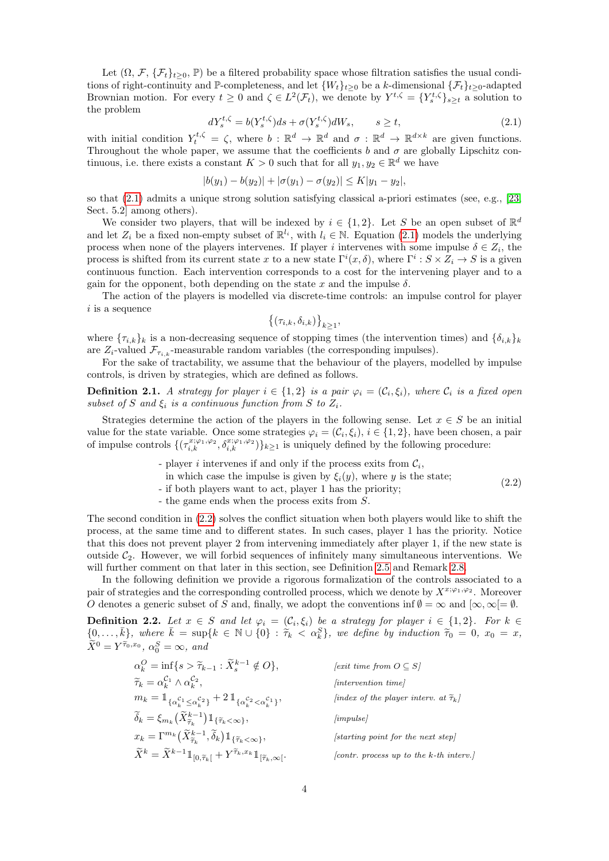Let  $(\Omega, \mathcal{F}, \{\mathcal{F}_t\}_{t>0}, \mathbb{P})$  be a filtered probability space whose filtration satisfies the usual conditions of right-continuity and P-completeness, and let  $\{W_t\}_{t>0}$  be a k-dimensional  $\{\mathcal{F}_t\}_{t>0}$ -adapted Brownian motion. For every  $t \geq 0$  and  $\zeta \in L^2(\mathcal{F}_t)$ , we denote by  $Y^{t,\zeta} = \{Y_s^{t,\zeta}\}_{s \geq t}$  a solution to the problem

<span id="page-3-0"></span>
$$
dY_s^{t,\zeta} = b(Y_s^{t,\zeta})ds + \sigma(Y_s^{t,\zeta})dW_s, \qquad s \ge t,
$$
\n(2.1)

with initial condition  $Y_t^{t,\zeta} = \zeta$ , where  $b : \mathbb{R}^d \to \mathbb{R}^d$  and  $\sigma : \mathbb{R}^d \to \mathbb{R}^{d \times k}$  are given functions. Throughout the whole paper, we assume that the coefficients b and  $\sigma$  are globally Lipschitz continuous, i.e. there exists a constant  $K > 0$  such that for all  $y_1, y_2 \in \mathbb{R}^d$  we have

$$
|b(y_1) - b(y_2)| + |\sigma(y_1) - \sigma(y_2)| \le K|y_1 - y_2|,
$$

so that [\(2.1\)](#page-3-0) admits a unique strong solution satisfying classical a-priori estimates (see, e.g., [\[23,](#page-26-12) Sect. 5.2] among others).

We consider two players, that will be indexed by  $i \in \{1,2\}$ . Let S be an open subset of  $\mathbb{R}^d$ and let  $Z_i$  be a fixed non-empty subset of  $\mathbb{R}^{l_i}$ , with  $l_i \in \mathbb{N}$ . Equation [\(2.1\)](#page-3-0) models the underlying process when none of the players intervenes. If player i intervenes with some impulse  $\delta \in Z_i$ , the process is shifted from its current state x to a new state  $\Gamma^i(x, \delta)$ , where  $\Gamma^i: S \times Z_i \to S$  is a given continuous function. Each intervention corresponds to a cost for the intervening player and to a gain for the opponent, both depending on the state  $x$  and the impulse  $\delta$ .

The action of the players is modelled via discrete-time controls: an impulse control for player  $i$  is a sequence

 $\{(\tau_{i,k}, \delta_{i,k})\}_{k\geq 1},$ 

where  ${\lbrace \tau_{i,k} \rbrace_k}$  is a non-decreasing sequence of stopping times (the intervention times) and  ${\lbrace \delta_{i,k} \rbrace_k}$ are  $Z_i$ -valued  $\mathcal{F}_{\tau_{i,k}}$ -measurable random variables (the corresponding impulses).

For the sake of tractability, we assume that the behaviour of the players, modelled by impulse controls, is driven by strategies, which are defined as follows.

**Definition 2.1.** A strategy for player  $i \in \{1,2\}$  is a pair  $\varphi_i = (\mathcal{C}_i, \xi_i)$ , where  $\mathcal{C}_i$  is a fixed open subset of S and  $\xi_i$  is a continuous function from S to  $Z_i$ .

Strategies determine the action of the players in the following sense. Let  $x \in S$  be an initial value for the state variable. Once some strategies  $\varphi_i = (\mathcal{C}_i, \xi_i), i \in \{1, 2\}$ , have been chosen, a pair of impulse controls  $\{(\tau_{i,k}^{x;\varphi_1,\varphi_2},\delta_{i,k}^{x;\varphi_1,\varphi_2})\}_{k\geq 1}$  is uniquely defined by the following procedure:

- player *i* intervenes if and only if the process exits from  $C_i$ ,
- <span id="page-3-1"></span>in which case the impulse is given by  $\xi_i(y)$ , where y is the state;

(2.2)

- if both players want to act, player 1 has the priority;
- the game ends when the process exits from S.

The second condition in [\(2.2\)](#page-3-1) solves the conflict situation when both players would like to shift the process, at the same time and to different states. In such cases, player 1 has the priority. Notice that this does not prevent player 2 from intervening immediately after player 1, if the new state is outside  $C_2$ . However, we will forbid sequences of infinitely many simultaneous interventions. We will further comment on that later in this section, see Definition [2.5](#page-5-0) and Remark [2.8.](#page-6-2)

In the following definition we provide a rigorous formalization of the controls associated to a pair of strategies and the corresponding controlled process, which we denote by  $X^{x; \varphi_1, \varphi_2}$ . Moreover O denotes a generic subset of S and, finally, we adopt the conventions inf  $\emptyset = \infty$  and  $[\infty, \infty] = \emptyset$ .

<span id="page-3-2"></span>**Definition 2.2.** Let  $x \in S$  and let  $\varphi_i = (\mathcal{C}_i, \xi_i)$  be a strategy for player  $i \in \{1,2\}$ . For  $k \in$  $\{0, \ldots, \bar{k}\},$  where  $\bar{k} = \sup\{k \in \mathbb{N} \cup \{0\} : \tilde{\tau}_k < \alpha_k^S\}$ , we define by induction  $\tilde{\tau}_0 = 0$ ,  $x_0 = x$ ,  $\tilde{x}_0 = \tilde{x}_0$  $\widetilde{X}^0 = Y^{\widetilde{\tau}_0, x_0}, \ \alpha_0^S = \infty, \ and$ 

| $\alpha_k^O = \inf\{s > \widetilde{\tau}_{k-1} : \widetilde{X}_{s}^{k-1} \notin O\},\$                                                                | [exit time from $O \subseteq S$ ]                      |
|-------------------------------------------------------------------------------------------------------------------------------------------------------|--------------------------------------------------------|
| $\widetilde{\tau}_k = \alpha_k^{\mathcal{C}_1} \wedge \alpha_k^{\mathcal{C}_2},$                                                                      | <i>lintervention timel</i>                             |
| $m_k = \mathbb{1}_{\{\alpha_k^{\mathcal{C}_1} < \alpha_k^{\mathcal{C}_2}\}} + 2 \mathbb{1}_{\{\alpha_k^{\mathcal{C}_2} < \alpha_k^{\mathcal{C}_1}\}}$ | <i>index of the player interv. at</i> $\tilde{\tau}_k$ |
| $\widetilde{\delta}_k = \xi_{m_k}(\widetilde{X}_{\widetilde{\tau}_k}^{k-1}) 1\!\!1_{\{\widetilde{\tau}_k < \infty\}},$                                | impulse                                                |
| $x_k = \Gamma^{m_k}(\widetilde{X}_{\widetilde{\tau}_k}^{k-1}, \widetilde{\delta}_k) 1\!\!1_{\{\widetilde{\tau}_k < \infty\}},$                        | starting point for the next step.                      |
| $\widetilde{X}^k = \widetilde{X}^{k-1} \mathbb{1}_{[0,\widetilde{\tau}_k[} + Y^{\widetilde{\tau}_k,x_k} \mathbb{1}_{[\widetilde{\tau}_k,\infty[}].$   | [contr. process up to the k-th interv.]                |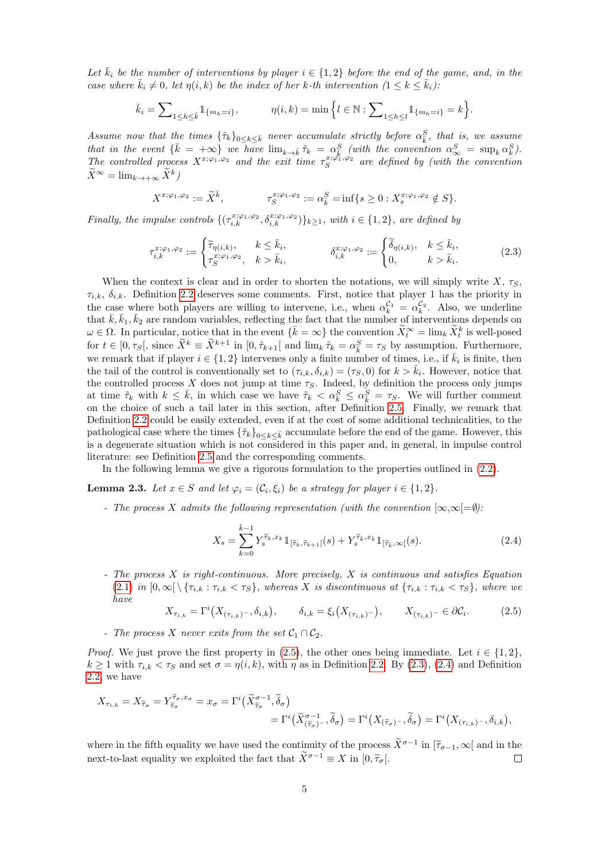Let  $\bar{k}_i$  be the number of interventions by player  $i \in \{1,2\}$  before the end of the game, and, in the case where  $\bar{k}_i \neq 0$ , let  $\eta(i, k)$  be the index of her k-th intervention  $(1 \leq k \leq \bar{k}_i)$ :

$$
\bar{k}_i = \sum_{1 \le h \le \bar{k}} 1_{\{m_h = i\}}, \qquad \eta(i,k) = \min \left\{ l \in \mathbb{N} : \sum_{1 \le h \le l} 1_{\{m_h = i\}} = k \right\}.
$$

Assume now that the times  $\{\tilde{\tau}_k\}_{0\leq k\leq \bar{k}}$  never accumulate strictly before  $\alpha_{\bar{k}}^S$ , that is, we assume that in the event  $\{\bar{k} = +\infty\}$  we have  $\lim_{k \to \bar{k}} \tilde{\tau}_k = \alpha_S^S$  (with the convention  $\alpha_\infty^S = \sup_k \alpha_k^S$ ). The controlled process  $X^{x;\varphi_1,\varphi_2}$  and the exit time  $\tau_S^{x;\varphi_1,\varphi_2}$  are defined by (with the convention  $\widetilde{X}^{\infty} = \lim_{k \to +\infty} \widetilde{X}^k$ 

$$
X^{x; \varphi_1, \varphi_2} := \widetilde{X}^{\overline{k}}, \qquad \tau_S^{x; \varphi_1, \varphi_2} := \alpha_{\overline{k}}^S = \inf\{s \ge 0 : X_s^{x; \varphi_1, \varphi_2} \notin S\}.
$$

Finally, the impulse controls  $\{(\tau_{i,k}^{x;\varphi_1,\varphi_2},\delta_{i,k}^{x;\varphi_1,\varphi_2})\}_{k\geq 1}$ , with  $i \in \{1,2\}$ , are defined by

<span id="page-4-1"></span>
$$
\tau_{i,k}^{x;\varphi_1,\varphi_2} := \begin{cases}\n\widetilde{\tau}_{\eta(i,k)}, & k \le \bar{k}_i, \\
\tau_S^{x;\varphi_1,\varphi_2}, & k > \bar{k}_i,\n\end{cases} \qquad \qquad \delta_{i,k}^{x;\varphi_1,\varphi_2} := \begin{cases}\n\widetilde{\delta}_{\eta(i,k)}, & k \le \bar{k}_i, \\
0, & k > \bar{k}_i.\n\end{cases} \qquad (2.3)
$$

When the context is clear and in order to shorten the notations, we will simply write X,  $\tau_S$ ,  $\tau_{i,k}, \delta_{i,k}$ . Definition [2.2](#page-3-2) deserves some comments. First, notice that player 1 has the priority in the case where both players are willing to intervene, i.e., when  $\alpha_k^{\mathcal{C}_1} = \alpha_k^{\mathcal{C}_2}$ . Also, we underline that  $\bar{k}, \bar{k}_1, \bar{k}_2$  are random variables, reflecting the fact that the number of interventions depends on  $\omega \in \Omega$ . In particular, notice that in the event  $\{\bar{k} = \infty\}$  the convention  $\widetilde{X}_t^{\infty} = \lim_k \widetilde{X}_t^k$  is well-posed for  $t \in [0, \tau_S]$ , since  $\tilde{X}^k \equiv \tilde{X}^{k+1}$  in  $[0, \tilde{\tau}_{k+1}]$  and  $\lim_k \tilde{\tau}_k = \alpha_k^S = \tau_S$  by assumption. Furthermore, we remark that if player  $i \in \{1,2\}$  intervenes only a finite number of times, i.e., if  $\bar{k}_i$  is finite, then the tail of the control is conventionally set to  $(\tau_{i,k}, \delta_{i,k}) = (\tau_S, 0)$  for  $k > \overline{k}_i$ . However, notice that the controlled process X does not jump at time  $\tau_S$ . Indeed, by definition the process only jumps at time  $\tilde{\tau}_k$  with  $k \leq \bar{k}$ , in which case we have  $\tilde{\tau}_k < \alpha_k^S \leq \alpha_{\bar{k}}^S = \tau_S$ . We will further comment on the choice of such a tail later in this section, after Definition [2.5.](#page-5-0) Finally, we remark that Definition [2.2](#page-3-2) could be easily extended, even if at the cost of some additional technicalities, to the pathological case where the times  $\{\tilde{\tau}_k\}_{0\leq k\leq \bar{k}}$  accumulate before the end of the game. However, this is a degenerate situation which is not considered in this paper and, in general, in impulse control literature: see Definition [2.5](#page-5-0) and the corresponding comments.

In the following lemma we give a rigorous formulation to the properties outlined in [\(2.2\)](#page-3-1).

<span id="page-4-3"></span>**Lemma 2.3.** Let  $x \in S$  and let  $\varphi_i = (\mathcal{C}_i, \xi_i)$  be a strategy for player  $i \in \{1, 2\}$ .

- The process X admits the following representation (with the convention  $[\infty,\infty]=\emptyset$ ):

<span id="page-4-2"></span>
$$
X_s = \sum_{k=0}^{\bar{k}-1} Y_s^{\tilde{\tau}_k, x_k} \mathbb{1}_{\left[\tilde{\tau}_k, \tilde{\tau}_{k+1}\right]}(s) + Y_s^{\tilde{\tau}_k, x_{\bar{k}}} \mathbb{1}_{\left[\tilde{\tau}_k, \infty\right]}(s). \tag{2.4}
$$

- The process X is right-continuous. More precisely, X is continuous and satisfies Equation  $(2.1)$  in  $[0,\infty[\setminus{\tau_{i,k}}:\tau_{i,k}<\tau_{S}],$  whereas X is discontinuous at  $\{\tau_{i,k}:\tau_{i,k}<\tau_{S}\},$  where we have

<span id="page-4-0"></span>
$$
X_{\tau_{i,k}} = \Gamma^i(X_{(\tau_{i,k})^{-}}, \delta_{i,k}), \qquad \delta_{i,k} = \xi_i(X_{(\tau_{i,k})^{-}}), \qquad X_{(\tau_{i,k})^{-}} \in \partial \mathcal{C}_i.
$$
 (2.5)

- The process X never exits from the set  $C_1 \cap C_2$ .

*Proof.* We just prove the first property in [\(2.5\)](#page-4-0), the other ones being immediate. Let  $i \in \{1,2\}$ ,  $k \ge 1$  with  $\tau_{i,k} < \tau_S$  and set  $\sigma = \eta(i,k)$ , with  $\eta$  as in Definition [2.2.](#page-3-2) By [\(2.3\)](#page-4-1), [\(2.4\)](#page-4-2) and Definition [2.2,](#page-3-2) we have

$$
X_{\tau_{i,k}} = X_{\widetilde{\tau}_{\sigma}} = Y_{\widetilde{\tau}_{\sigma}}^{\widetilde{\tau}_{\sigma},x_{\sigma}} = x_{\sigma} = \Gamma^{i}(\widetilde{X}_{\widetilde{\tau}_{\sigma}}^{\sigma-1},\widetilde{\delta}_{\sigma})
$$
  
=  $\Gamma^{i}(\widetilde{X}_{(\widetilde{\tau}_{\sigma})^{-}}^{\sigma-1},\widetilde{\delta}_{\sigma}) = \Gamma^{i}(X_{(\widetilde{\tau}_{\sigma})^{-}},\widetilde{\delta}_{\sigma}) = \Gamma^{i}(X_{(\tau_{i,k})^{-}},\delta_{i,k}),$ 

where in the fifth equality we have used the continuity of the process  $\tilde{X}^{\sigma-1}$  in  $[\tilde{\tau}_{\sigma-1}, \infty]$  and in the next-to-last equality we exploited the fact that  $\widetilde{X}^{\sigma-1} \equiv X$  in  $[0, \widetilde{\tau}_{\sigma}].$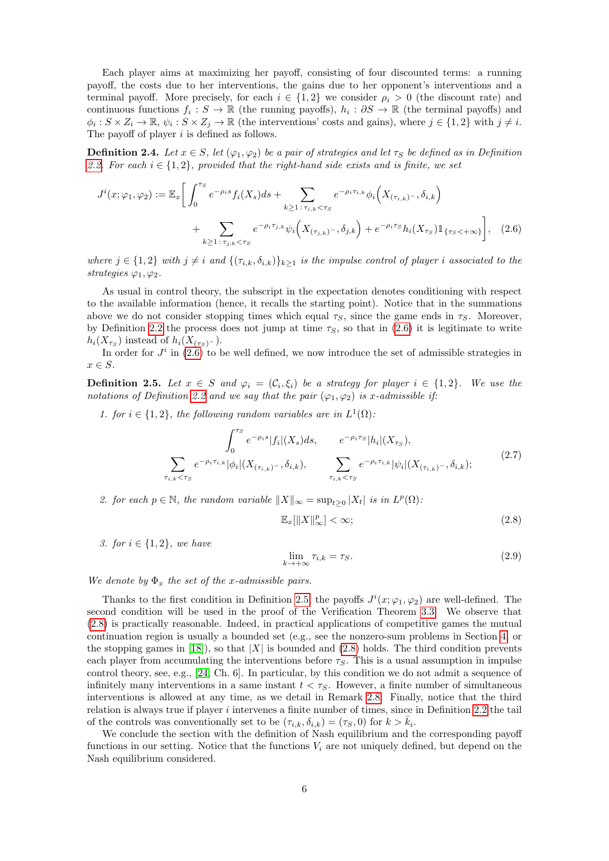Each player aims at maximizing her payoff, consisting of four discounted terms: a running payoff, the costs due to her interventions, the gains due to her opponent's interventions and a terminal payoff. More precisely, for each  $i \in \{1,2\}$  we consider  $\rho_i > 0$  (the discount rate) and continuous functions  $f_i: S \to \mathbb{R}$  (the running payoffs),  $h_i: \partial S \to \mathbb{R}$  (the terminal payoffs) and  $\phi_i: S \times Z_i \to \mathbb{R}, \psi_i: S \times Z_j \to \mathbb{R}$  (the interventions' costs and gains), where  $j \in \{1,2\}$  with  $j \neq i$ . The payoff of player  $i$  is defined as follows.

**Definition 2.4.** Let  $x \in S$ , let  $(\varphi_1, \varphi_2)$  be a pair of strategies and let  $\tau_S$  be defined as in Definition [2.2.](#page-3-2) For each  $i \in \{1,2\}$ , provided that the right-hand side exists and is finite, we set

$$
J^{i}(x; \varphi_{1}, \varphi_{2}) := \mathbb{E}_{x} \bigg[ \int_{0}^{\tau_{S}} e^{-\rho_{i}s} f_{i}(X_{s}) ds + \sum_{k \geq 1 \, : \, \tau_{i,k} < \tau_{S}} e^{-\rho_{i}\tau_{i,k}} \phi_{i} \Big( X_{(\tau_{i,k})^{-}}, \delta_{i,k} \Big) + \sum_{k \geq 1 \, : \, \tau_{j,k} < \tau_{S}} e^{-\rho_{i}\tau_{j,k}} \psi_{i} \Big( X_{(\tau_{j,k})^{-}}, \delta_{j,k} \Big) + e^{-\rho_{i}\tau_{S}} h_{i}(X_{\tau_{S}}) \mathbb{1}_{\{\tau_{S} < +\infty\}} \bigg], \tag{2.6}
$$

where  $j \in \{1,2\}$  with  $j \neq i$  and  $\{(\tau_{i,k}, \delta_{i,k})\}_{k>1}$  is the impulse control of player i associated to the strategies  $\varphi_1, \varphi_2$ .

As usual in control theory, the subscript in the expectation denotes conditioning with respect to the available information (hence, it recalls the starting point). Notice that in the summations above we do not consider stopping times which equal  $\tau_S$ , since the game ends in  $\tau_S$ . Moreover, by Definition [2.2](#page-3-2) the process does not jump at time  $\tau<sub>S</sub>$ , so that in [\(2.6\)](#page-5-1) it is legitimate to write  $h_i(X_{\tau_S})$  instead of  $h_i(X_{(\tau_S)^-})$ .

In order for  $J^i$  in [\(2.6\)](#page-5-1) to be well defined, we now introduce the set of admissible strategies in  $x \in S$ .

<span id="page-5-0"></span>**Definition 2.5.** Let  $x \in S$  and  $\varphi_i = (\mathcal{C}_i, \xi_i)$  be a strategy for player  $i \in \{1, 2\}$ . We use the notations of Definition [2.2](#page-3-2) and we say that the pair  $(\varphi_1, \varphi_2)$  is x-admissible if:

1. for  $i \in \{1,2\}$ , the following random variables are in  $L^1(\Omega)$ .

<span id="page-5-3"></span>
$$
\int_0^{\tau_S} e^{-\rho_i s} |f_i|(X_s) ds, \qquad e^{-\rho_i \tau_S} |h_i|(X_{\tau_S}),
$$
\n
$$
\sum_{\tau_{i,k} < \tau_S} e^{-\rho_i \tau_{i,k}} |\phi_i|(X_{(\tau_{i,k})-}, \delta_{i,k}), \qquad \sum_{\tau_{i,k} < \tau_S} e^{-\rho_i \tau_{i,k}} |\psi_i|(X_{(\tau_{i,k})-}, \delta_{i,k}); \tag{2.7}
$$

2. for each  $p \in \mathbb{N}$ , the random variable  $||X||_{\infty} = \sup_{t \geq 0} |X_t|$  is in  $L^p(\Omega)$ .

<span id="page-5-2"></span><span id="page-5-1"></span>
$$
\mathbb{E}_x[\|X\|_{\infty}^p] < \infty;\tag{2.8}
$$

3. for  $i \in \{1, 2\}$ , we have

<span id="page-5-4"></span>
$$
\lim_{k \to +\infty} \tau_{i,k} = \tau_S. \tag{2.9}
$$

#### We denote by  $\Phi_x$  the set of the x-admissible pairs.

Thanks to the first condition in Definition [2.5,](#page-5-0) the payoffs  $J^i(x; \varphi_1, \varphi_2)$  are well-defined. The second condition will be used in the proof of the Verification Theorem [3.3.](#page-8-0) We observe that [\(2.8\)](#page-5-2) is practically reasonable. Indeed, in practical applications of competitive games the mutual continuation region is usually a bounded set (e.g., see the nonzero-sum problems in Section [4,](#page-11-1) or the stopping games in [\[18\]](#page-26-4)), so that  $|X|$  is bounded and [\(2.8\)](#page-5-2) holds. The third condition prevents each player from accumulating the interventions before  $\tau_S$ . This is a usual assumption in impulse control theory, see, e.g., [\[24,](#page-26-0) Ch. 6]. In particular, by this condition we do not admit a sequence of infinitely many interventions in a same instant  $t < \tau_s$ . However, a finite number of simultaneous interventions is allowed at any time, as we detail in Remark [2.8.](#page-6-2) Finally, notice that the third relation is always true if player  $i$  intervenes a finite number of times, since in Definition [2.2](#page-3-2) the tail of the controls was conventionally set to be  $(\tau_{i,k}, \delta_{i,k}) = (\tau_S, 0)$  for  $k > \bar{k}_i$ .

We conclude the section with the definition of Nash equilibrium and the corresponding payoff functions in our setting. Notice that the functions  $V_i$  are not uniquely defined, but depend on the Nash equilibrium considered.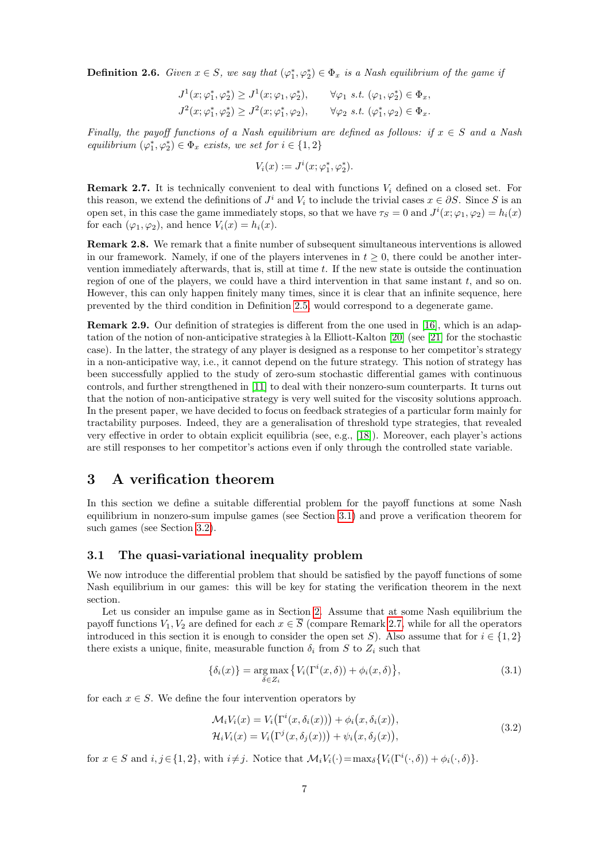<span id="page-6-6"></span>**Definition 2.6.** Given  $x \in S$ , we say that  $(\varphi_1^*, \varphi_2^*) \in \Phi_x$  is a Nash equilibrium of the game if

$$
J^1(x; \varphi_1^*, \varphi_2^*) \geq J^1(x; \varphi_1, \varphi_2^*), \qquad \forall \varphi_1 \text{ s.t. } (\varphi_1, \varphi_2^*) \in \Phi_x,
$$
  

$$
J^2(x; \varphi_1^*, \varphi_2^*) \geq J^2(x; \varphi_1^*, \varphi_2), \qquad \forall \varphi_2 \text{ s.t. } (\varphi_1^*, \varphi_2) \in \Phi_x.
$$

Finally, the payoff functions of a Nash equilibrium are defined as follows: if  $x \in S$  and a Nash equilibrium  $(\varphi_1^*, \varphi_2^*) \in \Phi_x$  exists, we set for  $i \in \{1, 2\}$ 

$$
V_i(x) := J^i(x; \varphi_1^*, \varphi_2^*).
$$

<span id="page-6-3"></span>**Remark 2.7.** It is technically convenient to deal with functions  $V_i$  defined on a closed set. For this reason, we extend the definitions of  $J^i$  and  $V_i$  to include the trivial cases  $x \in \partial S$ . Since S is an open set, in this case the game immediately stops, so that we have  $\tau_S = 0$  and  $J^i(x; \varphi_1, \varphi_2) = h_i(x)$ for each  $(\varphi_1, \varphi_2)$ , and hence  $V_i(x) = h_i(x)$ .

<span id="page-6-2"></span>Remark 2.8. We remark that a finite number of subsequent simultaneous interventions is allowed in our framework. Namely, if one of the players intervenes in  $t \geq 0$ , there could be another intervention immediately afterwards, that is, still at time t. If the new state is outside the continuation region of one of the players, we could have a third intervention in that same instant  $t$ , and so on. However, this can only happen finitely many times, since it is clear that an infinite sequence, here prevented by the third condition in Definition [2.5,](#page-5-0) would correspond to a degenerate game.

Remark 2.9. Our definition of strategies is different from the one used in [\[16\]](#page-26-8), which is an adaptation of the notion of non-anticipative strategies à la Elliott-Kalton  $[20]$  (see  $[21]$  for the stochastic case). In the latter, the strategy of any player is designed as a response to her competitor's strategy in a non-anticipative way, i.e., it cannot depend on the future strategy. This notion of strategy has been successfully applied to the study of zero-sum stochastic differential games with continuous controls, and further strengthened in [\[11\]](#page-26-15) to deal with their nonzero-sum counterparts. It turns out that the notion of non-anticipative strategy is very well suited for the viscosity solutions approach. In the present paper, we have decided to focus on feedback strategies of a particular form mainly for tractability purposes. Indeed, they are a generalisation of threshold type strategies, that revealed very effective in order to obtain explicit equilibria (see, e.g., [\[18\]](#page-26-4)). Moreover, each player's actions are still responses to her competitor's actions even if only through the controlled state variable.

### <span id="page-6-1"></span>3 A verification theorem

In this section we define a suitable differential problem for the payoff functions at some Nash equilibrium in nonzero-sum impulse games (see Section [3.1\)](#page-6-0) and prove a verification theorem for such games (see Section [3.2\)](#page-8-1).

#### <span id="page-6-0"></span>3.1 The quasi-variational inequality problem

We now introduce the differential problem that should be satisfied by the payoff functions of some Nash equilibrium in our games: this will be key for stating the verification theorem in the next section.

Let us consider an impulse game as in Section [2.](#page-2-0) Assume that at some Nash equilibrium the payoff functions  $V_1, V_2$  are defined for each  $x \in \overline{S}$  (compare Remark [2.7,](#page-6-3) while for all the operators introduced in this section it is enough to consider the open set S). Also assume that for  $i \in \{1,2\}$ there exists a unique, finite, measurable function  $\delta_i$  from S to  $Z_i$  such that

<span id="page-6-4"></span>
$$
\{\delta_i(x)\} = \underset{\delta \in Z_i}{\arg \max} \left\{ V_i(\Gamma^i(x,\delta)) + \phi_i(x,\delta) \right\},\tag{3.1}
$$

for each  $x \in S$ . We define the four intervention operators by

<span id="page-6-5"></span>
$$
\mathcal{M}_i V_i(x) = V_i(\Gamma^i(x, \delta_i(x))) + \phi_i(x, \delta_i(x)),
$$
  
\n
$$
\mathcal{H}_i V_i(x) = V_i(\Gamma^j(x, \delta_j(x))) + \psi_i(x, \delta_j(x)),
$$
\n(3.2)

for  $x \in S$  and  $i, j \in \{1, 2\}$ , with  $i \neq j$ . Notice that  $\mathcal{M}_i V_i(\cdot) = \max_{\delta} \{ V_i(\Gamma^i(\cdot, \delta)) + \phi_i(\cdot, \delta) \}.$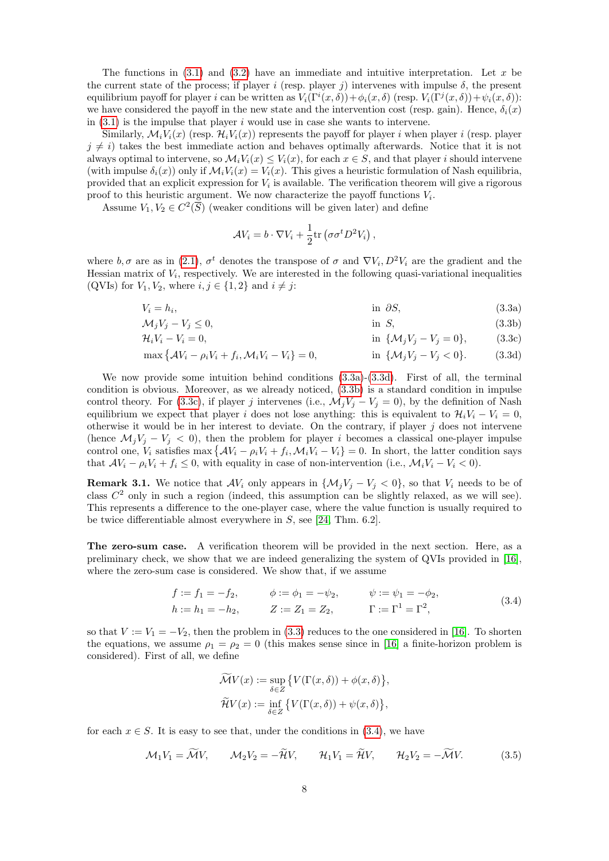The functions in  $(3.1)$  and  $(3.2)$  have an immediate and intuitive interpretation. Let x be the current state of the process; if player i (resp. player j) intervenes with impulse  $\delta$ , the present equilibrium payoff for player i can be written as  $V_i(\Gamma^i(x,\delta)) + \phi_i(x,\delta)$  (resp.  $V_i(\Gamma^j(x,\delta)) + \psi_i(x,\delta)$ ): we have considered the payoff in the new state and the intervention cost (resp. gain). Hence,  $\delta_i(x)$ in  $(3.1)$  is the impulse that player i would use in case she wants to intervene.

Similarly,  $\mathcal{M}_i V_i(x)$  (resp.  $\mathcal{H}_i V_i(x)$ ) represents the payoff for player i when player i (resp. player  $j \neq i$ ) takes the best immediate action and behaves optimally afterwards. Notice that it is not always optimal to intervene, so  $\mathcal{M}_i V_i(x) \leq V_i(x)$ , for each  $x \in S$ , and that player i should intervene (with impulse  $\delta_i(x)$ ) only if  $\mathcal{M}_i V_i(x) = V_i(x)$ . This gives a heuristic formulation of Nash equilibria, provided that an explicit expression for  $V_i$  is available. The verification theorem will give a rigorous proof to this heuristic argument. We now characterize the payoff functions  $V_i$ .

Assume  $V_1, V_2 \in C^2(\overline{S})$  (weaker conditions will be given later) and define

<span id="page-7-4"></span><span id="page-7-3"></span><span id="page-7-2"></span><span id="page-7-1"></span><span id="page-7-0"></span>
$$
\mathcal{A}V_i = b \cdot \nabla V_i + \frac{1}{2} \text{tr} \left( \sigma \sigma^t D^2 V_i \right),
$$

where  $b, \sigma$  are as in [\(2.1\)](#page-3-0),  $\sigma^t$  denotes the transpose of  $\sigma$  and  $\nabla V_i, D^2 V_i$  are the gradient and the Hessian matrix of  $V_i$ , respectively. We are interested in the following quasi-variational inequalities (QVIs) for  $V_1, V_2$ , where  $i, j \in \{1, 2\}$  and  $i \neq j$ :

$$
V_i = h_i,\tag{3.3a}
$$

$$
\mathcal{M}_j V_j - V_j \le 0,\tag{3.3b}
$$

$$
\mathcal{H}_i V_i - V_i = 0, \qquad \text{in } \{\mathcal{M}_j V_j - V_j = 0\}, \qquad (3.3c)
$$

 $\max \{ A V_i - \rho_i V_i + f_i, \mathcal{M}_i V_i - V_i \} = 0,$  in  $\{ \mathcal{M}_j V_j - V_j < 0 \}.$  (3.3d)

We now provide some intuition behind conditions [\(3.3a\)](#page-7-0)-[\(3.3d\)](#page-7-1). First of all, the terminal condition is obvious. Moreover, as we already noticed, [\(3.3b\)](#page-7-2) is a standard condition in impulse control theory. For [\(3.3c\)](#page-7-3), if player j intervenes (i.e.,  $\mathcal{M}_j V_j - V_j = 0$ ), by the definition of Nash equilibrium we expect that player i does not lose anything: this is equivalent to  $\mathcal{H}_i V_i - V_i = 0$ , otherwise it would be in her interest to deviate. On the contrary, if player  $j$  does not intervene (hence  $\mathcal{M}_j V_j - V_j < 0$ ), then the problem for player i becomes a classical one-player impulse control one,  $V_i$  satisfies max  $\{\mathcal{A}V_i - \rho_i V_i + f_i, \mathcal{M}_i V_i - V_i\} = 0$ . In short, the latter condition says that  $AV_i - \rho_i V_i + f_i \leq 0$ , with equality in case of non-intervention (i.e.,  $\mathcal{M}_i V_i - V_i < 0$ ).

<span id="page-7-7"></span>**Remark 3.1.** We notice that  $AV_i$  only appears in  $\{M_jV_j - V_j < 0\}$ , so that  $V_i$  needs to be of class  $C<sup>2</sup>$  only in such a region (indeed, this assumption can be slightly relaxed, as we will see). This represents a difference to the one-player case, where the value function is usually required to be twice differentiable almost everywhere in S, see [\[24,](#page-26-0) Thm. 6.2].

The zero-sum case. A verification theorem will be provided in the next section. Here, as a preliminary check, we show that we are indeed generalizing the system of QVIs provided in [\[16\]](#page-26-8), where the zero-sum case is considered. We show that, if we assume

<span id="page-7-5"></span>
$$
f := f_1 = -f_2, \qquad \phi := \phi_1 = -\psi_2, \qquad \psi := \psi_1 = -\phi_2, h := h_1 = -h_2, \qquad Z := Z_1 = Z_2, \qquad \Gamma := \Gamma^1 = \Gamma^2,
$$
 (3.4)

so that  $V := V_1 = -V_2$ , then the problem in [\(3.3\)](#page-7-4) reduces to the one considered in [\[16\]](#page-26-8). To shorten the equations, we assume  $\rho_1 = \rho_2 = 0$  (this makes sense since in [\[16\]](#page-26-8) a finite-horizon problem is considered). First of all, we define

$$
\overline{\mathcal{M}}V(x) := \sup_{\delta \in Z} \{ V(\Gamma(x,\delta)) + \phi(x,\delta) \},\
$$

$$
\widetilde{\mathcal{H}}V(x) := \inf_{\delta \in Z} \{ V(\Gamma(x,\delta)) + \psi(x,\delta) \},\
$$

for each  $x \in S$ . It is easy to see that, under the conditions in [\(3.4\)](#page-7-5), we have

<span id="page-7-6"></span>
$$
\mathcal{M}_1 V_1 = \widetilde{\mathcal{M}} V, \qquad \mathcal{M}_2 V_2 = -\widetilde{\mathcal{H}} V, \qquad \mathcal{H}_1 V_1 = \widetilde{\mathcal{H}} V, \qquad \mathcal{H}_2 V_2 = -\widetilde{\mathcal{M}} V. \tag{3.5}
$$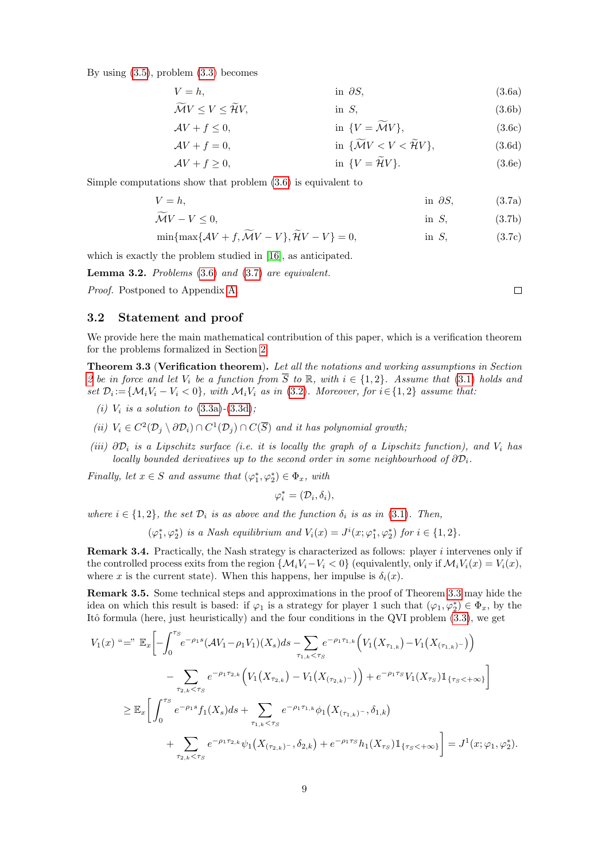By using [\(3.5\)](#page-7-6), problem [\(3.3\)](#page-7-4) becomes

V = h, in ∂S, (3.6a)

$$
\mathcal{M}V \le V \le \mathcal{H}V,\qquad\qquad \text{in } S,\tag{3.6b}
$$

<span id="page-8-7"></span><span id="page-8-6"></span><span id="page-8-5"></span><span id="page-8-4"></span><span id="page-8-3"></span><span id="page-8-2"></span>
$$
\text{in } \{V = \widetilde{\mathcal{M}}V\},\tag{3.6c}
$$

$$
\mathcal{A}V + f = 0, \qquad \text{in } \{\widetilde{\mathcal{M}}V < V < \widetilde{\mathcal{H}}V\},\tag{3.6d}
$$

$$
\mathcal{A}V + f \ge 0, \qquad \text{in } \{V = \tilde{\mathcal{H}}V\}. \tag{3.6e}
$$

Simple computations show that problem [\(3.6\)](#page-8-2) is equivalent to

 $AV + f \leq 0,$ 

$$
V = h,\tag{3.7a}
$$

$$
\widetilde{\mathcal{M}}V - V \le 0,\tag{3.7b}
$$

$$
\min\{\max\{\mathcal{A}V+f,\mathcal{M}V-V\},\mathcal{H}V-V\}=0,\qquad\qquad\text{in }S,\qquad\qquad(3.7c)
$$

which is exactly the problem studied in [\[16\]](#page-26-8), as anticipated.

**Lemma 3.2.** Problems  $(3.6)$  and  $(3.7)$  are equivalent.

Proof. Postponed to Appendix [A.](#page-27-0)

### <span id="page-8-1"></span>3.2 Statement and proof

We provide here the main mathematical contribution of this paper, which is a verification theorem for the problems formalized in Section [2.](#page-2-0)

<span id="page-8-0"></span>**Theorem 3.3 (Verification theorem).** Let all the notations and working assumptions in Section [2](#page-2-0) be in force and let  $V_i$  be a function from  $\overline{S}$  to  $\mathbb{R}$ , with  $i \in \{1,2\}$ . Assume that [\(3.1\)](#page-6-4) holds and set  $\mathcal{D}_i := \{ \mathcal{M}_i V_i - V_i < 0 \},$  with  $\mathcal{M}_i V_i$  as in [\(3.2\)](#page-6-5). Moreover, for  $i \in \{1,2\}$  assume that:

- (*i*)  $V_i$  is a solution to  $(3.3a)-(3.3d)$  $(3.3a)-(3.3d)$  $(3.3a)-(3.3d)$ ;
- (ii)  $V_i \in C^2(\mathcal{D}_j \setminus \partial \mathcal{D}_i) \cap C^1(\mathcal{D}_j) \cap C(\overline{S})$  and it has polynomial growth,
- (iii)  $\partial \mathcal{D}_i$  is a Lipschitz surface (i.e. it is locally the graph of a Lipschitz function), and  $V_i$  has locally bounded derivatives up to the second order in some neighbourhood of  $\partial \mathcal{D}_i$ .

Finally, let  $x \in S$  and assume that  $(\varphi_1^*, \varphi_2^*) \in \Phi_x$ , with

$$
\varphi_i^*=(\mathcal{D}_i,\delta_i),
$$

where  $i \in \{1,2\}$ , the set  $\mathcal{D}_i$  is as above and the function  $\delta_i$  is as in [\(3.1\)](#page-6-4). Then,

$$
(\varphi_1^*, \varphi_2^*) \text{ is a Nash equilibrium and } V_i(x) = J^i(x; \varphi_1^*, \varphi_2^*) \text{ for } i \in \{1, 2\}.
$$

**Remark 3.4.** Practically, the Nash strategy is characterized as follows: player  $i$  intervenes only if the controlled process exits from the region  $\{M_iV_i-V_i < 0\}$  (equivalently, only if  $\mathcal{M}_iV_i(x) = V_i(x)$ , where x is the current state). When this happens, her impulse is  $\delta_i(x)$ .

Remark 3.5. Some technical steps and approximations in the proof of Theorem [3.3](#page-8-0) may hide the idea on which this result is based: if  $\varphi_1$  is a strategy for player 1 such that  $(\varphi_1, \varphi_2^*) \in \Phi_x$ , by the Itô formula (here, just heuristically) and the four conditions in the QVI problem [\(3.3\)](#page-7-4), we get

$$
V_{1}(x) \stackrel{\omega}{=} \stackrel{\omega}{=} \mathbb{E}_{x} \left[ -\int_{0}^{\tau_{S}} e^{-\rho_{1} s} (\mathcal{A}V_{1} - \rho_{1} V_{1}) (X_{s}) ds - \sum_{\tau_{1,k} < \tau_{S}} e^{-\rho_{1} \tau_{1,k}} \Big( V_{1}(X_{\tau_{1,k}}) - V_{1}(X_{(\tau_{1,k})-}) \Big) \right]
$$
  
\n
$$
- \sum_{\tau_{2,k} < \tau_{S}} e^{-\rho_{1} \tau_{2,k}} \Big( V_{1}(X_{\tau_{2,k}}) - V_{1}(X_{(\tau_{2,k})-}) \Big) + e^{-\rho_{1} \tau_{S}} V_{1}(X_{\tau_{S}}) \mathbb{1}_{\{\tau_{S} < +\infty\}} \Big]
$$
  
\n
$$
\geq \mathbb{E}_{x} \Bigg[ \int_{0}^{\tau_{S}} e^{-\rho_{1} s} f_{1}(X_{s}) ds + \sum_{\tau_{1,k} < \tau_{S}} e^{-\rho_{1} \tau_{1,k}} \phi_{1}(X_{(\tau_{1,k})-}, \delta_{1,k})
$$
  
\n
$$
+ \sum_{\tau_{2,k} < \tau_{S}} e^{-\rho_{1} \tau_{2,k}} \psi_{1}(X_{(\tau_{2,k})-}, \delta_{2,k}) + e^{-\rho_{1} \tau_{S}} h_{1}(X_{\tau_{S}}) \mathbb{1}_{\{\tau_{S} < +\infty\}} \Bigg] = J^{1}(x; \varphi_{1}, \varphi_{2}^{*}).
$$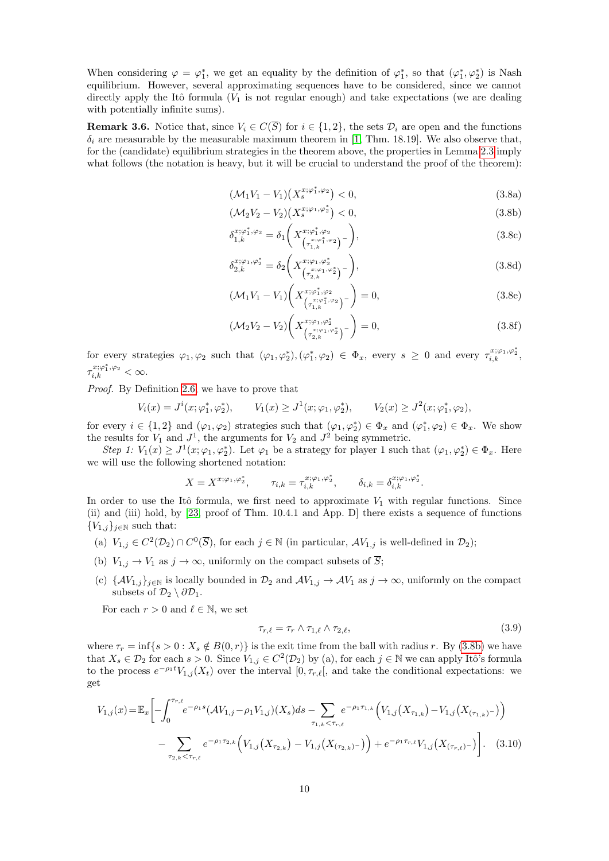When considering  $\varphi = \varphi_1^*$ , we get an equality by the definition of  $\varphi_1^*$ , so that  $(\varphi_1^*, \varphi_2^*)$  is Nash equilibrium. However, several approximating sequences have to be considered, since we cannot directly apply the Itô formula  $(V_1$  is not regular enough) and take expectations (we are dealing with potentially infinite sums).

<span id="page-9-3"></span>**Remark 3.6.** Notice that, since  $V_i \in C(\overline{S})$  for  $i \in \{1,2\}$ , the sets  $\mathcal{D}_i$  are open and the functions  $\delta_i$  are measurable by the measurable maximum theorem in [\[1,](#page-25-7) Thm. 18.19]. We also observe that, for the (candidate) equilibrium strategies in the theorem above, the properties in Lemma [2.3](#page-4-3) imply what follows (the notation is heavy, but it will be crucial to understand the proof of the theorem):

$$
(\mathcal{M}_1 V_1 - V_1)(X_s^{x; \varphi_1^*, \varphi_2}) < 0,\tag{3.8a}
$$

$$
(\mathcal{M}_2 V_2 - V_2)(X_s^{x; \varphi_1, \varphi_2^*}) < 0,\tag{3.8b}
$$

<span id="page-9-0"></span>
$$
\delta_{1,k}^{x;\varphi_1^*,\varphi_2} = \delta_1 \bigg(X_{\left(\tau_{1,k}^{x;\varphi_1^*,\varphi_2}\right)^-}^{x;\varphi_1^*,\varphi_2}\bigg),\tag{3.8c}
$$

<span id="page-9-4"></span>
$$
\delta_{2,k}^{x;\varphi_1,\varphi_2^*} = \delta_2 \bigg(X^{x;\varphi_1,\varphi_2^*}_{\left(\tau_{2,k}^{x;\varphi_1,\varphi_2^*}\right)^{-}}\bigg),\tag{3.8d}
$$

$$
(\mathcal{M}_1 V_1 - V_1) \left( X_{\left(\tau_{1,k}^{x;\varphi_1^*,\varphi_2}\right)^-}^{x;\varphi_1^*,\varphi_2} \right) = 0, \tag{3.8e}
$$

$$
(\mathcal{M}_2 V_2 - V_2) \left( X_{\left(\tau_{2,k}^{x; \varphi_1, \varphi_2^*}\right)^-}^{x; \varphi_1, \varphi_2^*} \right) = 0, \tag{3.8f}
$$

for every strategies  $\varphi_1, \varphi_2$  such that  $(\varphi_1, \varphi_2^*), (\varphi_1^*, \varphi_2) \in \Phi_x$ , every  $s \geq 0$  and every  $\tau_{i,k}^{x; \varphi_1, \varphi_2^*}$ ,  $\tau_{i,k}^{x;\varphi_1^*,\varphi_2}<\infty.$ 

Proof. By Definition [2.6,](#page-6-6) we have to prove that

$$
V_i(x) = J^i(x; \varphi_1^*, \varphi_2^*), \qquad V_1(x) \ge J^1(x; \varphi_1, \varphi_2^*), \qquad V_2(x) \ge J^2(x; \varphi_1^*, \varphi_2),
$$

for every  $i \in \{1,2\}$  and  $(\varphi_1, \varphi_2)$  strategies such that  $(\varphi_1, \varphi_2^*) \in \Phi_x$  and  $(\varphi_1^*, \varphi_2) \in \Phi_x$ . We show the results for  $V_1$  and  $J^1$ , the arguments for  $V_2$  and  $J^2$  being symmetric.

Step 1:  $V_1(x) \geq J^1(x; \varphi_1, \varphi_2^*)$ . Let  $\varphi_1$  be a strategy for player 1 such that  $(\varphi_1, \varphi_2^*) \in \Phi_x$ . Here we will use the following shortened notation:

$$
X=X^{x;\varphi_1,\varphi_2^*},\qquad \tau_{i,k}=\tau_{i,k}^{x;\varphi_1,\varphi_2^*},\qquad \delta_{i,k}=\delta_{i,k}^{x;\varphi_1,\varphi_2^*}.
$$

In order to use the Itô formula, we first need to approximate  $V_1$  with regular functions. Since (ii) and (iii) hold, by [\[23,](#page-26-12) proof of Thm. 10.4.1 and App. D] there exists a sequence of functions  ${V_{1,j}}_{j\in\mathbb{N}}$  such that:

- (a)  $V_{1,j} \in C^2(\mathcal{D}_2) \cap C^0(\overline{S})$ , for each  $j \in \mathbb{N}$  (in particular,  $\mathcal{A}V_{1,j}$  is well-defined in  $\mathcal{D}_2$ );
- (b)  $V_{1,j} \to V_1$  as  $j \to \infty$ , uniformly on the compact subsets of  $\overline{S}$ ;
- (c)  $\{\mathcal{A}V_{1,j}\}_{j\in\mathbb{N}}$  is locally bounded in  $\mathcal{D}_2$  and  $\mathcal{A}V_{1,j}\to\mathcal{A}V_1$  as  $j\to\infty$ , uniformly on the compact subsets of  $\mathcal{D}_2 \setminus \partial \mathcal{D}_1$ .

For each  $r > 0$  and  $\ell \in \mathbb{N}$ , we set

<span id="page-9-2"></span><span id="page-9-1"></span>
$$
\tau_{r,\ell} = \tau_r \wedge \tau_{1,\ell} \wedge \tau_{2,\ell},\tag{3.9}
$$

where  $\tau_r = \inf\{s > 0 : X_s \notin B(0, r)\}\$ is the exit time from the ball with radius r. By [\(3.8b\)](#page-9-0) we have that  $X_s \in \mathcal{D}_2$  for each  $s > 0$ . Since  $V_{1,j} \in C^2(\mathcal{D}_2)$  by (a), for each  $j \in \mathbb{N}$  we can apply Itô's formula to the process  $e^{-\rho_1 t}V_{1,j}(X_t)$  over the interval  $[0, \tau_{r,\ell}],$  and take the conditional expectations: we get

$$
V_{1,j}(x) = \mathbb{E}_x \left[ -\int_0^{\tau_{r,\ell}} e^{-\rho_1 s} (\mathcal{A}V_{1,j} - \rho_1 V_{1,j})(X_s) ds - \sum_{\tau_{1,k} < \tau_{r,\ell}} e^{-\rho_1 \tau_{1,k}} \left( V_{1,j}(X_{\tau_{1,k}}) - V_{1,j}(X_{(\tau_{1,k})-}) \right) \right]
$$

$$
- \sum_{\tau_{2,k} < \tau_{r,\ell}} e^{-\rho_1 \tau_{2,k}} \left( V_{1,j}(X_{\tau_{2,k}}) - V_{1,j}(X_{(\tau_{2,k})-}) \right) + e^{-\rho_1 \tau_{r,\ell}} V_{1,j}(X_{(\tau_{r,\ell})-}) \right]. \tag{3.10}
$$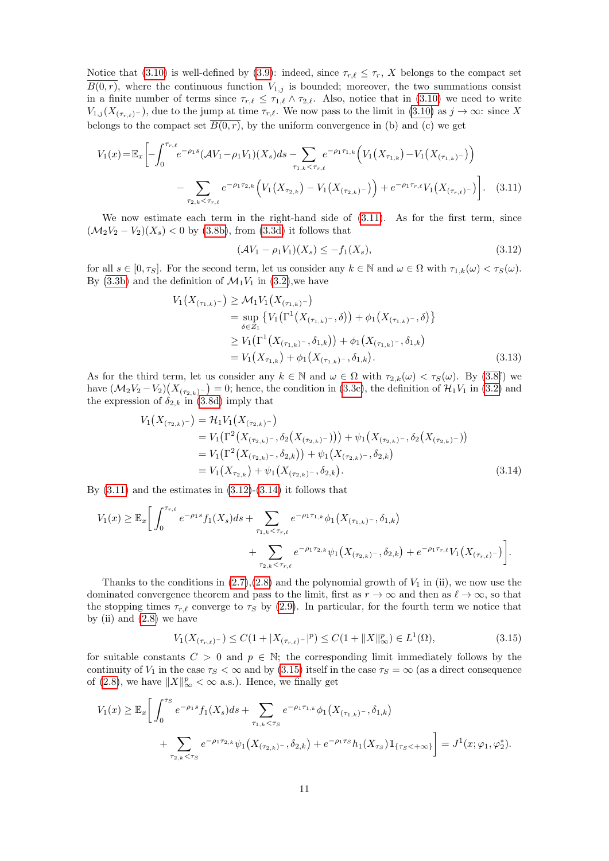Notice that [\(3.10\)](#page-9-1) is well-defined by [\(3.9\)](#page-9-2): indeed, since  $\tau_{r,\ell} \leq \tau_r$ , X belongs to the compact set  $\overline{B(0,r)}$ , where the continuous function  $V_{1,j}$  is bounded; moreover, the two summations consist in a finite number of terms since  $\tau_{r,\ell} \leq \tau_{1,\ell} \wedge \tau_{2,\ell}$ . Also, notice that in [\(3.10\)](#page-9-1) we need to write  $V_{1,j}(X_{(\tau_{r,\ell})^-})$ , due to the jump at time  $\tau_{r,\ell}$ . We now pass to the limit in [\(3.10\)](#page-9-1) as  $j \to \infty$ : since X belongs to the compact set  $B(0, r)$ , by the uniform convergence in (b) and (c) we get

$$
V_1(x) = \mathbb{E}_x \left[ -\int_0^{\tau_{r,\ell}} e^{-\rho_1 s} (\mathcal{A}V_1 - \rho_1 V_1)(X_s) ds - \sum_{\tau_{1,k} < \tau_{r,\ell}} e^{-\rho_1 \tau_{1,k}} \left( V_1(X_{\tau_{1,k}}) - V_1(X_{(\tau_{1,k})-}) \right) - \sum_{\tau_{2,k} < \tau_{r,\ell}} e^{-\rho_1 \tau_{2,k}} \left( V_1(X_{\tau_{2,k}}) - V_1(X_{(\tau_{2,k})-}) \right) + e^{-\rho_1 \tau_{r,\ell}} V_1(X_{(\tau_{r,\ell})-}) \right]. \tag{3.11}
$$

We now estimate each term in the right-hand side of  $(3.11)$ . As for the first term, since  $(\mathcal{M}_2 V_2 - V_2)(X_s) < 0$  by [\(3.8b\)](#page-9-0), from [\(3.3d\)](#page-7-1) it follows that

<span id="page-10-2"></span><span id="page-10-1"></span><span id="page-10-0"></span>
$$
(\mathcal{A}V_1 - \rho_1 V_1)(X_s) \le -f_1(X_s),\tag{3.12}
$$

for all  $s \in [0, \tau_s]$ . For the second term, let us consider any  $k \in \mathbb{N}$  and  $\omega \in \Omega$  with  $\tau_{1,k}(\omega) < \tau_s(\omega)$ . By [\(3.3b\)](#page-7-2) and the definition of  $\mathcal{M}_1V_1$  in [\(3.2\)](#page-6-5), we have

$$
V_1(X_{(\tau_{1,k})-}) \geq \mathcal{M}_1 V_1(X_{(\tau_{1,k})-})
$$
  
= 
$$
\sup_{\delta \in \mathcal{Z}_1} \{ V_1(\Gamma^1(X_{(\tau_{1,k})-}, \delta)) + \phi_1(X_{(\tau_{1,k})-}, \delta) \}
$$
  

$$
\geq V_1(\Gamma^1(X_{(\tau_{1,k})-}, \delta_{1,k})) + \phi_1(X_{(\tau_{1,k})-}, \delta_{1,k})
$$
  
= 
$$
V_1(X_{\tau_{1,k}}) + \phi_1(X_{(\tau_{1,k})-}, \delta_{1,k}). \tag{3.13}
$$

As for the third term, let us consider any  $k \in \mathbb{N}$  and  $\omega \in \Omega$  with  $\tau_{2,k}(\omega) < \tau_S(\omega)$ . By [\(3.8f](#page-9-3)) we have  $(\mathcal{M}_2 V_2 - V_2)(X_{(\tau_{2,k})^-}) = 0$ ; hence, the condition in [\(3.3c\)](#page-7-3), the definition of  $\mathcal{H}_1 V_1$  in [\(3.2\)](#page-6-5) and the expression of  $\delta_{2,k}$  in [\(3.8d\)](#page-9-4) imply that

$$
V_1(X_{(\tau_{2,k})-}) = \mathcal{H}_1 V_1(X_{(\tau_{2,k})-})
$$
  
=  $V_1(\Gamma^2(X_{(\tau_{2,k})-}, \delta_2(X_{(\tau_{2,k})-}))) + \psi_1(X_{(\tau_{2,k})-}, \delta_2(X_{(\tau_{2,k})-}))$   
=  $V_1(\Gamma^2(X_{(\tau_{2,k})-}, \delta_{2,k})) + \psi_1(X_{(\tau_{2,k})-}, \delta_{2,k})$   
=  $V_1(X_{\tau_{2,k}}) + \psi_1(X_{(\tau_{2,k})-}, \delta_{2,k}).$  (3.14)

By  $(3.11)$  and the estimates in  $(3.12)-(3.14)$  $(3.12)-(3.14)$  it follows that

$$
V_1(x) \geq \mathbb{E}_x \bigg[ \int_0^{\tau_{r,\ell}} e^{-\rho_1 s} f_1(X_s) ds + \sum_{\tau_{1,k} < \tau_{r,\ell}} e^{-\rho_1 \tau_{1,k}} \phi_1(X_{(\tau_{1,k})^-}, \delta_{1,k}) + \sum_{\tau_{2,k} < \tau_{r,\ell}} e^{-\rho_1 \tau_{2,k}} \psi_1(X_{(\tau_{2,k})^-}, \delta_{2,k}) + e^{-\rho_1 \tau_{r,\ell}} V_1(X_{(\tau_{r,\ell})^-}) \bigg].
$$

Thanks to the conditions in  $(2.7),(2.8)$  $(2.7),(2.8)$  and the polynomial growth of  $V_1$  in (ii), we now use the dominated convergence theorem and pass to the limit, first as  $r \to \infty$  and then as  $\ell \to \infty$ , so that the stopping times  $\tau_{r,\ell}$  converge to  $\tau_S$  by [\(2.9\)](#page-5-4). In particular, for the fourth term we notice that by (ii) and  $(2.8)$  we have

<span id="page-10-3"></span>
$$
V_1(X_{(\tau_{r,\ell})^{-}}) \le C(1+|X_{(\tau_{r,\ell})^{-}}|^p) \le C(1+\|X\|_{\infty}^p) \in L^1(\Omega),\tag{3.15}
$$

for suitable constants  $C > 0$  and  $p \in \mathbb{N}$ ; the corresponding limit immediately follows by the continuity of  $V_1$  in the case  $\tau_S < \infty$  and by [\(3.15\)](#page-10-3) itself in the case  $\tau_S = \infty$  (as a direct consequence of [\(2.8\)](#page-5-2), we have  $||X||_{\infty}^p < \infty$  a.s.). Hence, we finally get

$$
V_1(x) \geq \mathbb{E}_x \bigg[ \int_0^{\tau_S} e^{-\rho_1 s} f_1(X_s) ds + \sum_{\tau_{1,k} < \tau_S} e^{-\rho_1 \tau_{1,k}} \phi_1(X_{(\tau_{1,k})^-}, \delta_{1,k}) + \sum_{\tau_{2,k} < \tau_S} e^{-\rho_1 \tau_{2,k}} \psi_1(X_{(\tau_{2,k})^-}, \delta_{2,k}) + e^{-\rho_1 \tau_S} h_1(X_{\tau_S}) \mathbb{1}_{\{\tau_S < +\infty\}} \bigg] = J^1(x; \varphi_1, \varphi_2^*).
$$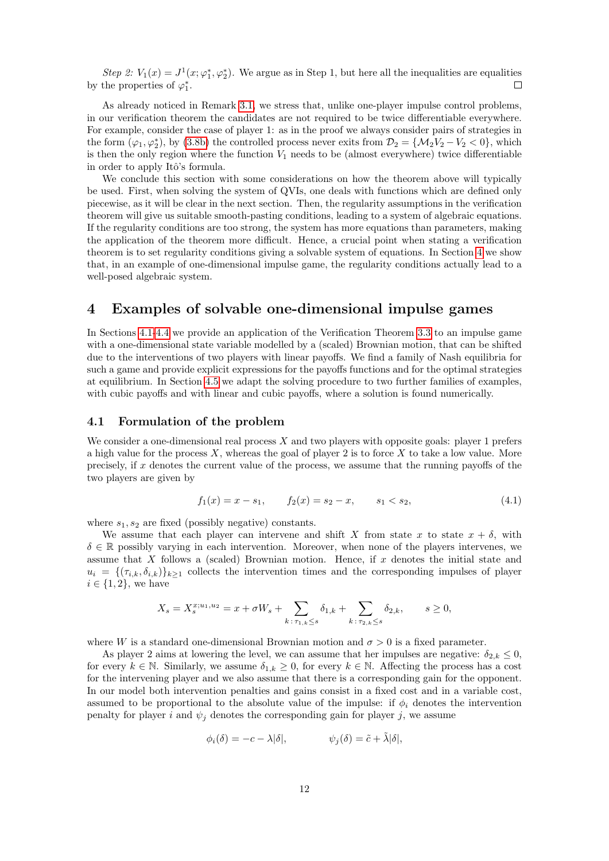Step 2:  $V_1(x) = J^1(x; \varphi_1^*, \varphi_2^*)$ . We argue as in Step 1, but here all the inequalities are equalities by the properties of  $\varphi_1^*$ .

As already noticed in Remark [3.1,](#page-7-7) we stress that, unlike one-player impulse control problems, in our verification theorem the candidates are not required to be twice differentiable everywhere. For example, consider the case of player 1: as in the proof we always consider pairs of strategies in the form  $(\varphi_1, \varphi_2^*)$ , by [\(3.8b\)](#page-9-0) the controlled process never exits from  $\mathcal{D}_2 = \{ \mathcal{M}_2 V_2 - V_2 < 0 \}$ , which is then the only region where the function  $V_1$  needs to be (almost everywhere) twice differentiable in order to apply Itô's formula.

We conclude this section with some considerations on how the theorem above will typically be used. First, when solving the system of QVIs, one deals with functions which are defined only piecewise, as it will be clear in the next section. Then, the regularity assumptions in the verification theorem will give us suitable smooth-pasting conditions, leading to a system of algebraic equations. If the regularity conditions are too strong, the system has more equations than parameters, making the application of the theorem more difficult. Hence, a crucial point when stating a verification theorem is to set regularity conditions giving a solvable system of equations. In Section [4](#page-11-1) we show that, in an example of one-dimensional impulse game, the regularity conditions actually lead to a well-posed algebraic system.

### <span id="page-11-1"></span>4 Examples of solvable one-dimensional impulse games

In Sections [4.1-](#page-11-0)[4.4](#page-19-0) we provide an application of the Verification Theorem [3.3](#page-8-0) to an impulse game with a one-dimensional state variable modelled by a (scaled) Brownian motion, that can be shifted due to the interventions of two players with linear payoffs. We find a family of Nash equilibria for such a game and provide explicit expressions for the payoffs functions and for the optimal strategies at equilibrium. In Section [4.5](#page-23-0) we adapt the solving procedure to two further families of examples, with cubic payoffs and with linear and cubic payoffs, where a solution is found numerically.

#### <span id="page-11-0"></span>4.1 Formulation of the problem

We consider a one-dimensional real process  $X$  and two players with opposite goals: player 1 prefers a high value for the process  $X$ , whereas the goal of player 2 is to force  $X$  to take a low value. More precisely, if  $x$  denotes the current value of the process, we assume that the running payoffs of the two players are given by

<span id="page-11-2"></span>
$$
f_1(x) = x - s_1, \qquad f_2(x) = s_2 - x, \qquad s_1 < s_2,\tag{4.1}
$$

where  $s_1, s_2$  are fixed (possibly negative) constants.

We assume that each player can intervene and shift X from state x to state  $x + \delta$ , with  $\delta \in \mathbb{R}$  possibly varying in each intervention. Moreover, when none of the players intervenes, we assume that X follows a (scaled) Brownian motion. Hence, if x denotes the initial state and  $u_i = \{(\tau_{i,k}, \delta_{i,k})\}_{k\geq 1}$  collects the intervention times and the corresponding impulses of player  $i \in \{1, 2\}$ , we have

$$
X_s = X_s^{x;u_1,u_2} = x + \sigma W_s + \sum_{k \,:\, \tau_{1,k} \le s} \delta_{1,k} + \sum_{k \,:\, \tau_{2,k} \le s} \delta_{2,k}, \qquad s \ge 0,
$$

where W is a standard one-dimensional Brownian motion and  $\sigma > 0$  is a fixed parameter.

As player 2 aims at lowering the level, we can assume that her impulses are negative:  $\delta_{2,k} \leq 0$ , for every  $k \in \mathbb{N}$ . Similarly, we assume  $\delta_{1,k} \geq 0$ , for every  $k \in \mathbb{N}$ . Affecting the process has a cost for the intervening player and we also assume that there is a corresponding gain for the opponent. In our model both intervention penalties and gains consist in a fixed cost and in a variable cost, assumed to be proportional to the absolute value of the impulse: if  $\phi_i$  denotes the intervention penalty for player i and  $\psi_i$  denotes the corresponding gain for player j, we assume

$$
\phi_i(\delta) = -c - \lambda |\delta|, \qquad \psi_j(\delta) = \tilde{c} + \tilde{\lambda} |\delta|,
$$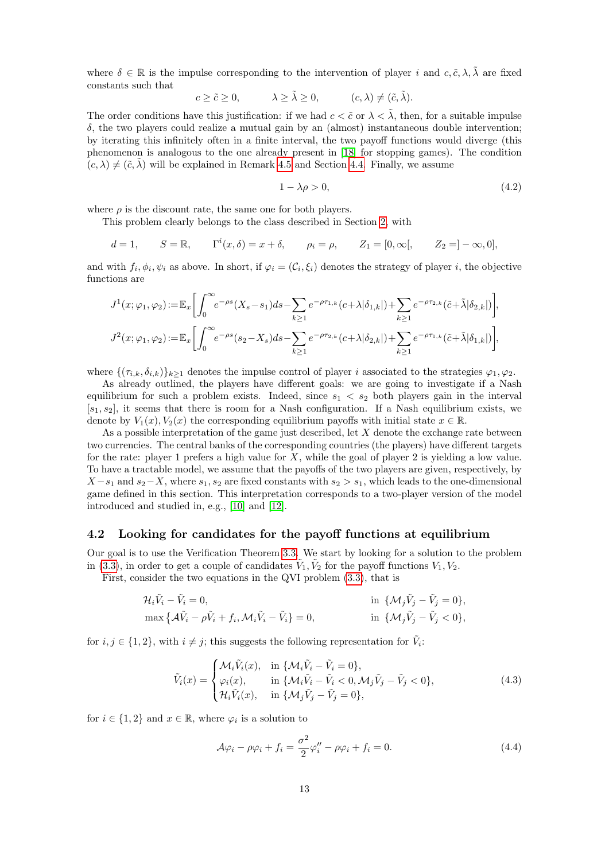where  $\delta \in \mathbb{R}$  is the impulse corresponding to the intervention of player i and c,  $\tilde{c}$ ,  $\lambda$ ,  $\tilde{\lambda}$  are fixed constants such that

$$
c \ge \tilde{c} \ge 0, \qquad \lambda \ge \tilde{\lambda} \ge 0, \qquad (c, \lambda) \ne (\tilde{c}, \tilde{\lambda}).
$$

The order conditions have this justification: if we had  $c < \tilde{c}$  or  $\lambda < \lambda$ , then, for a suitable impulse  $\delta$ , the two players could realize a mutual gain by an (almost) instantaneous double intervention; by iterating this infinitely often in a finite interval, the two payoff functions would diverge (this phenomenon is analogous to the one already present in [\[18\]](#page-26-4) for stopping games). The condition  $(c, \lambda) \neq (\tilde{c}, \tilde{\lambda})$  will be explained in Remark [4.5](#page-16-0) and Section [4.4.](#page-19-0) Finally, we assume

<span id="page-12-3"></span>
$$
1 - \lambda \rho > 0,\tag{4.2}
$$

where  $\rho$  is the discount rate, the same one for both players.

This problem clearly belongs to the class described in Section [2,](#page-2-0) with

$$
d = 1
$$
,  $S = \mathbb{R}$ ,  $\Gamma^{i}(x, \delta) = x + \delta$ ,  $\rho_{i} = \rho$ ,  $Z_{1} = [0, \infty[,$   $Z_{2} = ] - \infty, 0],$ 

and with  $f_i, \phi_i, \psi_i$  as above. In short, if  $\varphi_i = (\mathcal{C}_i, \xi_i)$  denotes the strategy of player i, the objective functions are

$$
J^1(x;\varphi_1,\varphi_2) := \mathbb{E}_x \bigg[ \int_0^\infty e^{-\rho s} (X_s - s_1) ds - \sum_{k \ge 1} e^{-\rho \tau_{1,k}} (c + \lambda | \delta_{1,k} | ) + \sum_{k \ge 1} e^{-\rho \tau_{2,k}} (\tilde{c} + \tilde{\lambda} | \delta_{2,k} | ) \bigg],
$$
  

$$
J^2(x;\varphi_1,\varphi_2) := \mathbb{E}_x \bigg[ \int_0^\infty e^{-\rho s} (s_2 - X_s) ds - \sum_{k \ge 1} e^{-\rho \tau_{2,k}} (c + \lambda | \delta_{2,k} | ) + \sum_{k \ge 1} e^{-\rho \tau_{1,k}} (\tilde{c} + \tilde{\lambda} | \delta_{1,k} | ) \bigg],
$$

where  $\{( \tau_{i,k}, \delta_{i,k}) \}_{k>1}$  denotes the impulse control of player i associated to the strategies  $\varphi_1, \varphi_2$ .

As already outlined, the players have different goals: we are going to investigate if a Nash equilibrium for such a problem exists. Indeed, since  $s_1 < s_2$  both players gain in the interval  $[s_1, s_2]$ , it seems that there is room for a Nash configuration. If a Nash equilibrium exists, we denote by  $V_1(x), V_2(x)$  the corresponding equilibrium payoffs with initial state  $x \in \mathbb{R}$ .

As a possible interpretation of the game just described, let  $X$  denote the exchange rate between two currencies. The central banks of the corresponding countries (the players) have different targets for the rate: player 1 prefers a high value for  $X$ , while the goal of player 2 is yielding a low value. To have a tractable model, we assume that the payoffs of the two players are given, respectively, by  $X - s_1$  and  $s_2 - X$ , where  $s_1, s_2$  are fixed constants with  $s_2 > s_1$ , which leads to the one-dimensional game defined in this section. This interpretation corresponds to a two-player version of the model introduced and studied in, e.g., [\[10\]](#page-26-16) and [\[12\]](#page-26-17).

#### <span id="page-12-2"></span>4.2 Looking for candidates for the payoff functions at equilibrium

Our goal is to use the Verification Theorem [3.3.](#page-8-0) We start by looking for a solution to the problem in [\(3.3\)](#page-7-4), in order to get a couple of candidates  $\tilde{V}_1, \tilde{V}_2$  for the payoff functions  $V_1, V_2$ .

First, consider the two equations in the QVI problem [\(3.3\)](#page-7-4), that is

$$
\mathcal{H}_i \tilde{V}_i - \tilde{V}_i = 0, \qquad \text{in } \{\mathcal{M}_j \tilde{V}_j - \tilde{V}_j = 0\},
$$
  
\n
$$
\max \{\mathcal{A}\tilde{V}_i - \rho \tilde{V}_i + f_i, \mathcal{M}_i \tilde{V}_i - \tilde{V}_i\} = 0, \qquad \text{in } \{\mathcal{M}_j \tilde{V}_j - \tilde{V}_j < 0\},
$$

for  $i, j \in \{1, 2\}$ , with  $i \neq j$ ; this suggests the following representation for  $\tilde{V}_i$ :

<span id="page-12-0"></span>
$$
\tilde{V}_i(x) = \begin{cases}\n\mathcal{M}_i \tilde{V}_i(x), & \text{in } \{\mathcal{M}_i \tilde{V}_i - \tilde{V}_i = 0\}, \\
\varphi_i(x), & \text{in } \{\mathcal{M}_i \tilde{V}_i - \tilde{V}_i < 0, \mathcal{M}_j \tilde{V}_j - \tilde{V}_j < 0\}, \\
\mathcal{H}_i \tilde{V}_i(x), & \text{in } \{\mathcal{M}_j \tilde{V}_j - \tilde{V}_j = 0\},\n\end{cases}\n\tag{4.3}
$$

for  $i \in \{1,2\}$  and  $x \in \mathbb{R}$ , where  $\varphi_i$  is a solution to

<span id="page-12-1"></span>
$$
\mathcal{A}\varphi_i - \rho\varphi_i + f_i = \frac{\sigma^2}{2}\varphi_i'' - \rho\varphi_i + f_i = 0.
$$
\n(4.4)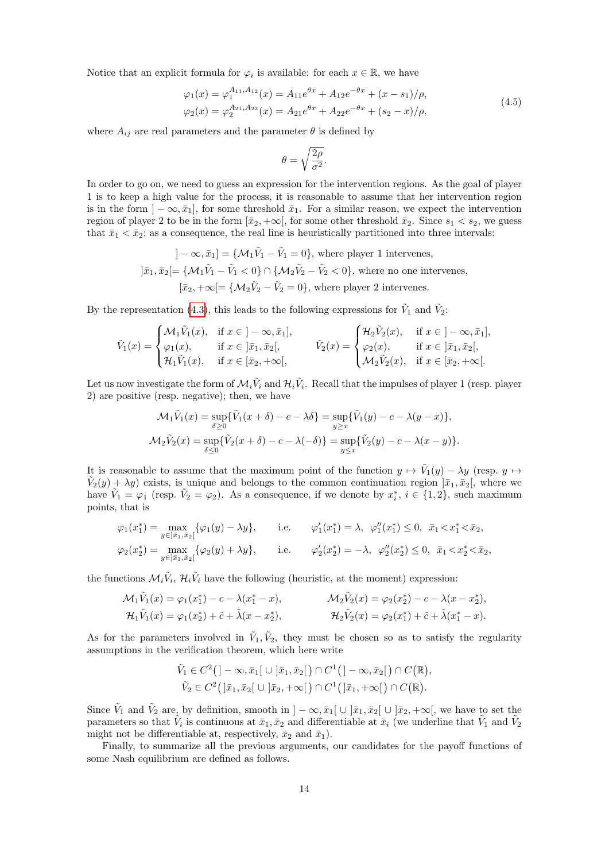Notice that an explicit formula for  $\varphi_i$  is available: for each  $x \in \mathbb{R}$ , we have

<span id="page-13-0"></span>
$$
\varphi_1(x) = \varphi_1^{A_{11}, A_{12}}(x) = A_{11}e^{\theta x} + A_{12}e^{-\theta x} + (x - s_1)/\rho,
$$
  

$$
\varphi_2(x) = \varphi_2^{A_{21}, A_{22}}(x) = A_{21}e^{\theta x} + A_{22}e^{-\theta x} + (s_2 - x)/\rho,
$$
 (4.5)

where  $A_{ij}$  are real parameters and the parameter  $\theta$  is defined by

$$
\theta = \sqrt{\frac{2\rho}{\sigma^2}}.
$$

In order to go on, we need to guess an expression for the intervention regions. As the goal of player 1 is to keep a high value for the process, it is reasonable to assume that her intervention region is in the form  $]-\infty, \bar{x}_1]$ , for some threshold  $\bar{x}_1$ . For a similar reason, we expect the intervention region of player 2 to be in the form  $[\bar{x}_2, +\infty]$ , for some other threshold  $\bar{x}_2$ . Since  $s_1 < s_2$ , we guess that  $\bar{x}_1 < \bar{x}_2$ ; as a consequence, the real line is heuristically partitioned into three intervals:

> $]-\infty,\bar{x}_1] = \{\mathcal{M}_1\tilde{V}_1 - \tilde{V}_1 = 0\}$ , where player 1 intervenes,  $]\bar{x}_1, \bar{x}_2$   $[ = \{ \mathcal{M}_1 \tilde{V}_1 - \tilde{V}_1 < 0 \} \cap \{ \mathcal{M}_2 \tilde{V}_2 - \tilde{V}_2 < 0 \}$ , where no one intervenes,  $[\bar{x}_2, +\infty] = {\mathcal{M}_2 \tilde{V}_2 - \tilde{V}_2 = 0}$ , where player 2 intervenes.

By the representation [\(4.3\)](#page-12-0), this leads to the following expressions for  $\tilde{V}_1$  and  $\tilde{V}_2$ :

$$
\tilde{V}_1(x) = \begin{cases}\n\mathcal{M}_1 \tilde{V}_1(x), & \text{if } x \in ]-\infty, \bar{x}_1], \\
\varphi_1(x), & \text{if } x \in ]\bar{x}_1, \bar{x}_2[, \\
\mathcal{H}_1 \tilde{V}_1(x), & \text{if } x \in [\bar{x}_2, +\infty[, \\
\end{cases} \qquad \qquad \tilde{V}_2(x) = \begin{cases}\n\mathcal{H}_2 \tilde{V}_2(x), & \text{if } x \in ]-\infty, \bar{x}_1], \\
\varphi_2(x), & \text{if } x \in ]\bar{x}_1, \bar{x}_2[, \\
\mathcal{M}_2 \tilde{V}_2(x), & \text{if } x \in [\bar{x}_2, +\infty[].\n\end{cases}
$$

Let us now investigate the form of  $\mathcal{M}_i \tilde{V}_i$  and  $\mathcal{H}_i \tilde{V}_i$ . Recall that the impulses of player 1 (resp. player 2) are positive (resp. negative); then, we have

$$
\mathcal{M}_1 \tilde{V}_1(x) = \sup_{\delta \ge 0} {\{\tilde{V}_1(x + \delta) - c - \lambda \delta\}} = \sup_{y \ge x} {\{\tilde{V}_1(y) - c - \lambda(y - x)\}},
$$
  

$$
\mathcal{M}_2 \tilde{V}_2(x) = \sup_{\delta \le 0} {\{\tilde{V}_2(x + \delta) - c - \lambda(-\delta)\}} = \sup_{y \le x} {\{\tilde{V}_2(y) - c - \lambda(x - y)\}}.
$$

It is reasonable to assume that the maximum point of the function  $y \mapsto \tilde{V}_1(y) - \lambda y$  (resp.  $y \mapsto$  $\tilde{V}_2(y) + \lambda y$  exists, is unique and belongs to the common continuation region  $\tilde{x}_1, \tilde{x}_2$ , where we have  $\tilde{V}_1 = \varphi_1$  (resp.  $\tilde{V}_2 = \varphi_2$ ). As a consequence, if we denote by  $x_i^*, i \in \{1, 2\}$ , such maximum points, that is

$$
\varphi_1(x_1^*) = \max_{y \in ]\bar{x}_1, \bar{x}_2[} {\varphi_1(y) - \lambda y}, \qquad \text{i.e.} \qquad \varphi_1'(x_1^*) = \lambda, \ \varphi_1''(x_1^*) \le 0, \ \bar{x}_1 < x_1^* < \bar{x}_2, \\ \varphi_2(x_2^*) = \max_{y \in ]\bar{x}_1, \bar{x}_2[} {\varphi_2(y) + \lambda y}, \qquad \text{i.e.} \qquad \varphi_2'(x_2^*) = -\lambda, \ \varphi_2''(x_2^*) \le 0, \ \bar{x}_1 < x_2^* < \bar{x}_2,
$$

the functions  $\mathcal{M}_i \tilde{V}_i$ ,  $\mathcal{H}_i \tilde{V}_i$  have the following (heuristic, at the moment) expression:

$$
\mathcal{M}_1 \tilde{V}_1(x) = \varphi_1(x_1^*) - c - \lambda(x_1^* - x), \qquad \mathcal{M}_2 \tilde{V}_2(x) = \varphi_2(x_2^*) - c - \lambda(x - x_2^*), \n\mathcal{H}_1 \tilde{V}_1(x) = \varphi_1(x_2^*) + \tilde{c} + \tilde{\lambda}(x - x_2^*), \qquad \mathcal{H}_2 \tilde{V}_2(x) = \varphi_2(x_1^*) + \tilde{c} + \tilde{\lambda}(x_1^* - x).
$$

As for the parameters involved in  $\tilde{V}_1, \tilde{V}_2$ , they must be chosen so as to satisfy the regularity assumptions in the verification theorem, which here write

$$
\tilde{V}_1 \in C^2\big( ]-\infty, \bar{x}_1[ \cup ]\bar{x}_1, \bar{x}_2[ \big) \cap C^1\big( ]-\infty, \bar{x}_2[ \big) \cap C\big(\mathbb{R}\big),
$$
  

$$
\tilde{V}_2 \in C^2\big( ]\bar{x}_1, \bar{x}_2[ \cup ]\bar{x}_2, +\infty[ \big) \cap C^1\big( ]\bar{x}_1, +\infty[ \big) \cap C\big(\mathbb{R}\big).
$$

Since  $\tilde{V}_1$  and  $\tilde{V}_2$  are, by definition, smooth in  $]-\infty, \bar{x}_1[ \cup ]\bar{x}_1, \bar{x}_2[ \cup ]\bar{x}_2, +\infty[$ , we have to set the parameters so that  $V_i$  is continuous at  $\bar{x}_1, \bar{x}_2$  and differentiable at  $\bar{x}_i$  (we underline that  $V_1$  and  $V_2$ might not be differentiable at, respectively,  $\bar{x}_2$  and  $\bar{x}_1$ ).

Finally, to summarize all the previous arguments, our candidates for the payoff functions of some Nash equilibrium are defined as follows.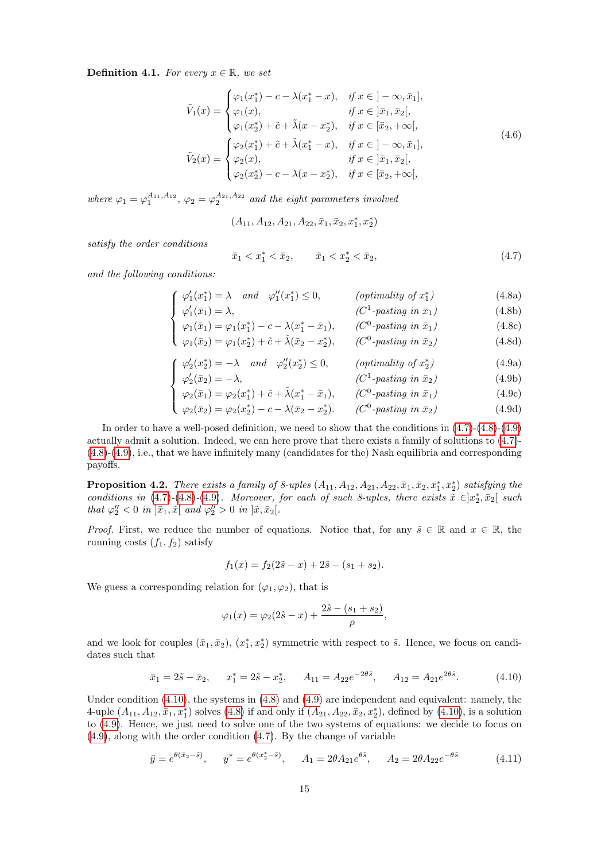<span id="page-14-5"></span>**Definition 4.1.** For every  $x \in \mathbb{R}$ , we set

<span id="page-14-6"></span>
$$
\tilde{V}_1(x) = \begin{cases}\n\varphi_1(x_1^*) - c - \lambda(x_1^* - x), & \text{if } x \in ] - \infty, \bar{x}_1], \\
\varphi_1(x), & \text{if } x \in ]\bar{x}_1, \bar{x}_2[, \\
\varphi_1(x_2^*) + \tilde{c} + \tilde{\lambda}(x - x_2^*), & \text{if } x \in [\bar{x}_2, +\infty[, \\
\tilde{V}_2(x) = \begin{cases}\n\varphi_2(x_1^*) + \tilde{c} + \tilde{\lambda}(x_1^* - x), & \text{if } x \in ] - \infty, \bar{x}_1], \\
\varphi_2(x), & \text{if } x \in ]\bar{x}_1, \bar{x}_2[, \\
\varphi_2(x_2^*) - c - \lambda(x - x_2^*), & \text{if } x \in [\bar{x}_2, +\infty[, \n\end{cases} (4.6)
$$

where  $\varphi_1 = \varphi_1^{A_{11}, A_{12}}, \varphi_2 = \varphi_2^{A_{21}, A_{22}}$  and the eight parameters involved

$$
(A_{11}, A_{12}, A_{21}, A_{22}, \bar{x}_1, \bar{x}_2, x_1^*, x_2^*)
$$

satisfy the order conditions

<span id="page-14-0"></span>
$$
\bar{x}_1 < x_1^* < \bar{x}_2, \qquad \bar{x}_1 < x_2^* < \bar{x}_2,\tag{4.7}
$$

<span id="page-14-1"></span>and the following conditions:

$$
\int \varphi_1'(x_1^*) = \lambda \quad and \quad \varphi_1''(x_1^*) \le 0, \qquad \text{(optimality of } x_1^*)
$$
\n
$$
\varphi_1'(\bar{x}_1) = \lambda, \qquad \text{(C1-pasting in } \bar{x}_1) \qquad (4.8a)
$$
\n
$$
(4.8b)
$$

$$
\begin{cases}\n\varphi_1(\bar{x}_1) = \varphi_1(x_1^*) - c - \lambda(x_1^* - \bar{x}_1), & (C^0\text{-}passing in \bar{x}_1) \\
\varphi_1(\bar{x}_2) = \varphi_1(x_2^*) + \tilde{c} + \tilde{\lambda}(\bar{x}_2 - x_2^*), & (C^0\text{-}passing in \bar{x}_2)\n\end{cases}
$$
\n(4.8d)

$$
\int \varphi_2'(x_2^*) = -\lambda \quad \text{and} \quad \varphi_2''(x_2^*) \le 0, \qquad (\text{optimality of } x_2^*)
$$
\n
$$
(4.9a)
$$

$$
\int \varphi_2'(\bar{x}_2) = -\lambda, \qquad (C^1\text{-} pasting in \bar{x}_2) \qquad (4.9b)
$$

$$
\begin{cases}\n\varphi_2(\bar{x}_1) = \varphi_2(x_1^*) + \tilde{c} + \tilde{\lambda}(x_1^* - \bar{x}_1), & (C^0\text{-}passing in \bar{x}_1) \\
\varphi_2(\bar{x}_2) = \varphi_2(x_2^*) - c - \lambda(\bar{x}_2 - x_2^*).\n\end{cases}
$$
\n
$$
(4.9c)
$$
\n
$$
(4.9d)
$$

$$
\varphi_2(\bar{x}_2) = \varphi_2(x_2^*) - c - \lambda(\bar{x}_2 - x_2^*). \qquad (C^0\text{-} pasting in \bar{x}_2) \tag{4.9d}
$$

In order to have a well-posed definition, we need to show that the conditions in  $(4.7)-(4.8)-(4.9)$  $(4.7)-(4.8)-(4.9)$  $(4.7)-(4.8)-(4.9)$  $(4.7)-(4.8)-(4.9)$ actually admit a solution. Indeed, we can here prove that there exists a family of solutions to [\(4.7\)](#page-14-0)- [\(4.8\)](#page-14-0)-[\(4.9\)](#page-14-1), i.e., that we have infinitely many (candidates for the) Nash equilibria and corresponding payoffs.

<span id="page-14-4"></span>**Proposition 4.2.** There exists a family of 8-uples  $(A_{11}, A_{12}, A_{21}, A_{22}, \bar{x}_1, \bar{x}_2, x_1^*, x_2^*)$  satisfying the conditions in  $(4.7)-(4.8)-(4.9)$  $(4.7)-(4.8)-(4.9)$  $(4.7)-(4.8)-(4.9)$  $(4.7)-(4.8)-(4.9)$  $(4.7)-(4.8)-(4.9)$ . Moreover, for each of such 8-uples, there exists  $\tilde{x} \in ]x_2^*, \bar{x}_2[$  such that  $\varphi_2'' < 0$  in  $]\bar{x}_1, \tilde{x}[\text{ and } \varphi_2'' > 0 \text{ in } ]\tilde{x}, \bar{x}_2[$ .

*Proof.* First, we reduce the number of equations. Notice that, for any  $\tilde{s} \in \mathbb{R}$  and  $x \in \mathbb{R}$ , the running costs  $(f_1, f_2)$  satisfy

$$
f_1(x) = f_2(2\tilde{s} - x) + 2\tilde{s} - (s_1 + s_2).
$$

We guess a corresponding relation for  $(\varphi_1, \varphi_2)$ , that is

$$
\varphi_1(x) = \varphi_2(2\tilde{s} - x) + \frac{2\tilde{s} - (s_1 + s_2)}{\rho},
$$

and we look for couples  $(\bar{x}_1, \bar{x}_2), (x_1^*, x_2^*)$  symmetric with respect to  $\tilde{s}$ . Hence, we focus on candidates such that

<span id="page-14-2"></span>
$$
\bar{x}_1 = 2\tilde{s} - \bar{x}_2, \qquad x_1^* = 2\tilde{s} - x_2^*, \qquad A_{11} = A_{22}e^{-2\theta\tilde{s}}, \qquad A_{12} = A_{21}e^{2\theta\tilde{s}}.
$$
\n
$$
(4.10)
$$

Under condition  $(4.10)$ , the systems in  $(4.8)$  and  $(4.9)$  are independent and equivalent: namely, the 4-uple  $(A_{11}, A_{12}, \bar{x}_1, x_1^*)$  solves  $(4.8)$  if and only if  $(A_{21}, A_{22}, \bar{x}_2, x_2^*)$ , defined by  $(4.10)$ , is a solution to [\(4.9\)](#page-14-1). Hence, we just need to solve one of the two systems of equations: we decide to focus on [\(4.9\)](#page-14-1), along with the order condition [\(4.7\)](#page-14-0). By the change of variable

<span id="page-14-3"></span>
$$
\bar{y} = e^{\theta(\bar{x}_2 - \tilde{s})}, \quad y^* = e^{\theta(x_2^* - \tilde{s})}, \quad A_1 = 2\theta A_{21} e^{\theta \tilde{s}}, \quad A_2 = 2\theta A_{22} e^{-\theta \tilde{s}} \tag{4.11}
$$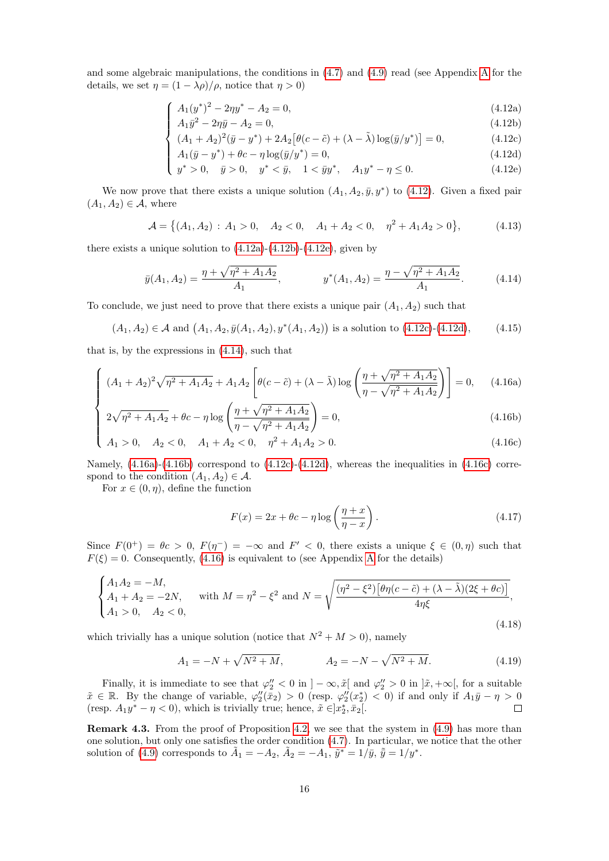and some algebraic manipulations, the conditions in [\(4.7\)](#page-14-0) and [\(4.9\)](#page-14-1) read (see Appendix [A](#page-27-0) for the details, we set  $\eta = (1 - \lambda \rho)/\rho$ , notice that  $\eta > 0$ )

$$
\int A_1(y^*)^2 - 2\eta y^* - A_2 = 0,\tag{4.12a}
$$

$$
\int \frac{4.1(y)}{A_1 \bar{y}^2 - 2\eta \bar{y} - A_2 = 0},
$$
\n(4.12b)  
\n
$$
\int (A_1 + A_2)^2 (\bar{y} - y^*) + 2A_2 [\theta(\bar{y} - \bar{z}) + (1 - \tilde{y})] \cos(\bar{y} / \bar{y})] = 0
$$
\n(4.12c)

$$
\left\{ (A_1 + A_2)^2 (\bar{y} - y^*) + 2A_2 [\theta (c - \tilde{c}) + (\lambda - \tilde{\lambda}) \log(\bar{y}/y^*)] = 0, \tag{4.12c}
$$

$$
\begin{cases}\nA_1(\bar{y} - y^*) + \theta c - \eta \log(\bar{y}/y^*) = 0, \\
y^* > 0, \quad \bar{y} > 0, \quad y^* < \bar{y}, \quad 1 < \bar{y}y^*, \quad A_1 y^* - \eta \le 0.\n\end{cases}
$$
\n(4.12d)\n(4.12e)

$$
y^* > 0, \quad \bar{y} > 0, \quad y^* < \bar{y}, \quad 1 < \bar{y}y^*, \quad A_1 y^* - \eta \le 0. \tag{4.12e}
$$

<span id="page-15-0"></span>We now prove that there exists a unique solution  $(A_1, A_2, \bar{y}, y^*)$  to  $(4.12)$ . Given a fixed pair  $(A_1, A_2) \in \mathcal{A}$ , where

$$
\mathcal{A} = \left\{ (A_1, A_2) : A_1 > 0, \quad A_2 < 0, \quad A_1 + A_2 < 0, \quad \eta^2 + A_1 A_2 > 0 \right\},\tag{4.13}
$$

there exists a unique solution to  $(4.12a)-(4.12b)-(4.12e)$  $(4.12a)-(4.12b)-(4.12e)$  $(4.12a)-(4.12b)-(4.12e)$  $(4.12a)-(4.12b)-(4.12e)$ , given by

<span id="page-15-1"></span>
$$
\bar{y}(A_1, A_2) = \frac{\eta + \sqrt{\eta^2 + A_1 A_2}}{A_1}, \qquad \qquad y^*(A_1, A_2) = \frac{\eta - \sqrt{\eta^2 + A_1 A_2}}{A_1}.
$$
\n(4.14)

To conclude, we just need to prove that there exists a unique pair  $(A_1, A_2)$  such that

<span id="page-15-3"></span>
$$
(A_1, A_2) \in \mathcal{A}
$$
 and  $(A_1, A_2, \bar{y}(A_1, A_2), y^*(A_1, A_2))$  is a solution to (4.12c)-(4.12d), (4.15)

that is, by the expressions in [\(4.14\)](#page-15-1), such that

$$
\int (A_1 + A_2)^2 \sqrt{\eta^2 + A_1 A_2} + A_1 A_2 \left[ \theta(c - \tilde{c}) + (\lambda - \tilde{\lambda}) \log \left( \frac{\eta + \sqrt{\eta^2 + A_1 A_2}}{\eta - \sqrt{\eta^2 + A_1 A_2}} \right) \right] = 0, \quad (4.16a)
$$

<span id="page-15-2"></span>
$$
2\sqrt{\eta^2 + A_1 A_2} + \theta c - \eta \log \left( \frac{\eta + \sqrt{\eta^2 + A_1 A_2}}{\eta - \sqrt{\eta^2 + A_1 A_2}} \right) = 0,
$$
\n(4.16b)

$$
\begin{cases}\n2\sqrt{\eta^2 + A_1 A_2 + \theta c} - \eta \log \left( \frac{\eta - \sqrt{\eta^2 + A_1 A_2}}{\eta - \sqrt{\eta^2 + A_1 A_2}} \right) = 0, \\
A_1 > 0, \quad A_2 < 0, \quad A_1 + A_2 < 0, \quad \eta^2 + A_1 A_2 > 0.\n\end{cases} (4.16c)
$$

Namely,  $(4.16a)$ - $(4.16b)$  correspond to  $(4.12c)$ - $(4.12d)$ , whereas the inequalities in  $(4.16c)$  correspond to the condition  $(A_1, A_2) \in \mathcal{A}$ .

For  $x \in (0, \eta)$ , define the function

<span id="page-15-5"></span>
$$
F(x) = 2x + \theta c - \eta \log \left( \frac{\eta + x}{\eta - x} \right). \tag{4.17}
$$

Since  $F(0^+) = \theta c > 0$ ,  $F(\eta^-) = -\infty$  and  $F' < 0$ , there exists a unique  $\xi \in (0, \eta)$  such that  $F(\xi) = 0$ . Consequently, [\(4.16\)](#page-15-3) is equivalent to (see [A](#page-27-0)ppendix A for the details)

<span id="page-15-6"></span>
$$
\begin{cases} A_1 A_2 = -M, \\ A_1 + A_2 = -2N, \\ A_1 > 0, \quad A_2 < 0, \end{cases} \text{ with } M = \eta^2 - \xi^2 \text{ and } N = \sqrt{\frac{(\eta^2 - \xi^2) \left[\theta \eta (c - \tilde{c}) + (\lambda - \tilde{\lambda})(2\xi + \theta c)\right]}{4\eta \xi}}, \tag{4.18}
$$

which trivially has a unique solution (notice that  $N^2 + M > 0$ ), namely

<span id="page-15-4"></span>
$$
A_1 = -N + \sqrt{N^2 + M}, \qquad A_2 = -N - \sqrt{N^2 + M}. \tag{4.19}
$$

Finally, it is immediate to see that  $\varphi_2'' < 0$  in  $] - \infty$ ,  $\tilde{x}$  and  $\varphi_2'' > 0$  in  $] \tilde{x}$ ,  $+ \infty [$ , for a suitable  $\tilde{x} \in \mathbb{R}$ . By the change of variable,  $\varphi''_2(\bar{x}_2) > 0$  (resp.  $\varphi''_2(x_2^*) < 0$ ) if and only if  $A_1\bar{y} - \eta > 0$ (resp.  $A_1y^* - \eta < 0$ ), which is trivially true; hence,  $\tilde{x} \in ]x_2^*, \bar{x}_2[$ .

Remark 4.3. From the proof of Proposition [4.2,](#page-14-4) we see that the system in [\(4.9\)](#page-14-1) has more than one solution, but only one satisfies the order condition [\(4.7\)](#page-14-0). In particular, we notice that the other solution of [\(4.9\)](#page-14-1) corresponds to  $\tilde{A}_1 = -A_2$ ,  $\tilde{A}_2 = -A_1$ ,  $\tilde{y}^* = 1/\bar{y}$ ,  $\tilde{\bar{y}} = 1/y^*$ .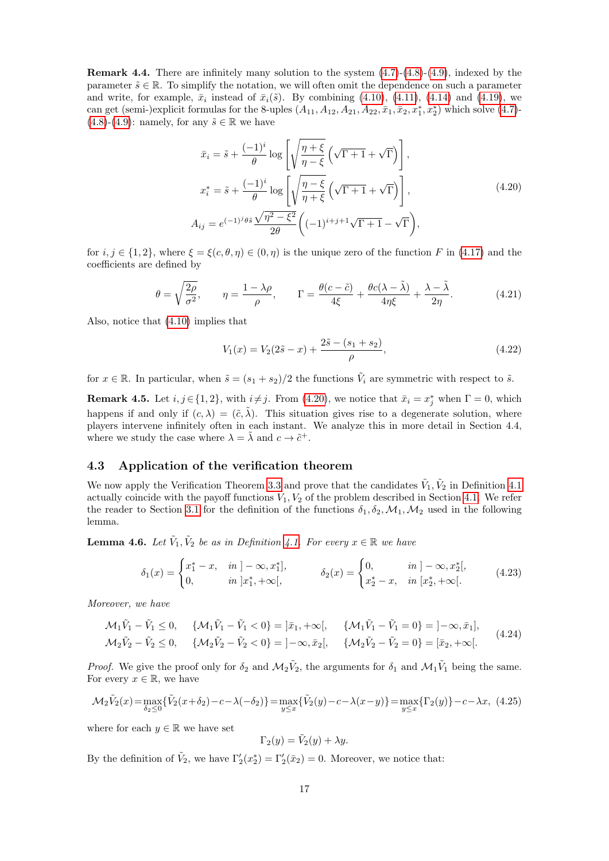<span id="page-16-5"></span>**Remark 4.4.** There are infinitely many solution to the system  $(4.7)-(4.8)-(4.9)$  $(4.7)-(4.8)-(4.9)$  $(4.7)-(4.8)-(4.9)$  $(4.7)-(4.8)-(4.9)$ , indexed by the parameter  $\tilde{s} \in \mathbb{R}$ . To simplify the notation, we will often omit the dependence on such a parameter and write, for example,  $\bar{x}_i$  instead of  $\bar{x}_i(\tilde{s})$ . By combining [\(4.10\)](#page-14-2), [\(4.11\)](#page-14-3), [\(4.14\)](#page-15-1) and [\(4.19\)](#page-15-4), we can get (semi-)explicit formulas for the 8-uples  $(A_{11}, A_{12}, A_{21}, A_{22}, \bar{x}_1, \bar{x}_2, x_1^*, x_2^*)$  which solve  $(4.7)$ - $(4.8)-(4.9)$  $(4.8)-(4.9)$  $(4.8)-(4.9)$ : namely, for any  $\tilde{s} \in \mathbb{R}$  we have

<span id="page-16-1"></span>
$$
\bar{x}_i = \tilde{s} + \frac{(-1)^i}{\theta} \log \left[ \sqrt{\frac{\eta + \xi}{\eta - \xi}} \left( \sqrt{\Gamma + 1} + \sqrt{\Gamma} \right) \right],
$$
  

$$
x_i^* = \tilde{s} + \frac{(-1)^i}{\theta} \log \left[ \sqrt{\frac{\eta - \xi}{\eta + \xi}} \left( \sqrt{\Gamma + 1} + \sqrt{\Gamma} \right) \right],
$$
  

$$
A_{ij} = e^{(-1)^j \theta \tilde{s}} \frac{\sqrt{\eta^2 - \xi^2}}{2\theta} \left( (-1)^{i+j+1} \sqrt{\Gamma + 1} - \sqrt{\Gamma} \right),
$$
\n(4.20)

for  $i, j \in \{1, 2\}$ , where  $\xi = \xi(c, \theta, \eta) \in (0, \eta)$  is the unique zero of the function F in [\(4.17\)](#page-15-5) and the coefficients are defined by

$$
\theta = \sqrt{\frac{2\rho}{\sigma^2}}, \qquad \eta = \frac{1 - \lambda\rho}{\rho}, \qquad \Gamma = \frac{\theta(c - \tilde{c})}{4\xi} + \frac{\theta c(\lambda - \tilde{\lambda})}{4\eta\xi} + \frac{\lambda - \tilde{\lambda}}{2\eta}.
$$
 (4.21)

Also, notice that [\(4.10\)](#page-14-2) implies that

$$
V_1(x) = V_2(2\tilde{s} - x) + \frac{2\tilde{s} - (s_1 + s_2)}{\rho},
$$
\n(4.22)

for  $x \in \mathbb{R}$ . In particular, when  $\tilde{s} = (s_1 + s_2)/2$  the functions  $\tilde{V}_i$  are symmetric with respect to  $\tilde{s}$ .

<span id="page-16-0"></span>**Remark 4.5.** Let  $i, j \in \{1, 2\}$ , with  $i \neq j$ . From [\(4.20\)](#page-16-1), we notice that  $\bar{x}_i = x_j^*$  when  $\Gamma = 0$ , which happens if and only if  $(c, \lambda) = (\tilde{c}, \tilde{\lambda})$ . This situation gives rise to a degenerate solution, where players intervene infinitely often in each instant. We analyze this in more detail in Section 4.4, where we study the case where  $\lambda = \tilde{\lambda}$  and  $c \to \tilde{c}^+$ .

#### <span id="page-16-6"></span>4.3 Application of the verification theorem

We now apply the Verification Theorem [3.3](#page-8-0) and prove that the candidates  $\tilde{V}_1, \tilde{V}_2$  in Definition [4.1](#page-14-5) actually coincide with the payoff functions  $V_1, V_2$  of the problem described in Section [4.1.](#page-11-0) We refer the reader to Section [3.1](#page-6-0) for the definition of the functions  $\delta_1, \delta_2, \mathcal{M}_1, \mathcal{M}_2$  used in the following lemma.

**Lemma 4.6.** Let  $\tilde{V}_1, \tilde{V}_2$  be as in Definition [4.1.](#page-14-5) For every  $x \in \mathbb{R}$  we have

<span id="page-16-4"></span>
$$
\delta_1(x) = \begin{cases} x_1^* - x, & in \mid -\infty, x_1^* \mid, \\ 0, & in \mid x_1^*, +\infty \mid, \end{cases} \qquad \delta_2(x) = \begin{cases} 0, & in \mid -\infty, x_2^* \mid, \\ x_2^* - x, & in \mid x_2^*, +\infty \mid. \end{cases} \tag{4.23}
$$

Moreover, we have

<span id="page-16-3"></span>
$$
\mathcal{M}_1 \tilde{V}_1 - \tilde{V}_1 \le 0, \quad \{ \mathcal{M}_1 \tilde{V}_1 - \tilde{V}_1 < 0 \} = ]\bar{x}_1, +\infty[, \quad \{ \mathcal{M}_1 \tilde{V}_1 - \tilde{V}_1 = 0 \} = ]-\infty, \bar{x}_1],
$$
\n
$$
\mathcal{M}_2 \tilde{V}_2 - \tilde{V}_2 \le 0, \quad \{ \mathcal{M}_2 \tilde{V}_2 - \tilde{V}_2 < 0 \} = ]-\infty, \bar{x}_2[, \quad \{ \mathcal{M}_2 \tilde{V}_2 - \tilde{V}_2 = 0 \} = [\bar{x}_2, +\infty[.
$$
\n
$$
(4.24)
$$

*Proof.* We give the proof only for  $\delta_2$  and  $\mathcal{M}_2\tilde{V}_2$ , the arguments for  $\delta_1$  and  $\mathcal{M}_1\tilde{V}_1$  being the same. For every  $x \in \mathbb{R}$ , we have

<span id="page-16-2"></span>
$$
\mathcal{M}_2 \tilde{V}_2(x) = \max_{\delta_2 \le 0} \{ \tilde{V}_2(x + \delta_2) - c - \lambda(-\delta_2) \} = \max_{y \le x} \{ \tilde{V}_2(y) - c - \lambda(x - y) \} = \max_{y \le x} \{ \Gamma_2(y) \} - c - \lambda x, \tag{4.25}
$$

where for each  $y \in \mathbb{R}$  we have set

$$
\Gamma_2(y) = \tilde{V}_2(y) + \lambda y.
$$

By the definition of  $\tilde{V}_2$ , we have  $\Gamma'_2(x_2^*) = \Gamma'_2(\bar{x}_2) = 0$ . Moreover, we notice that: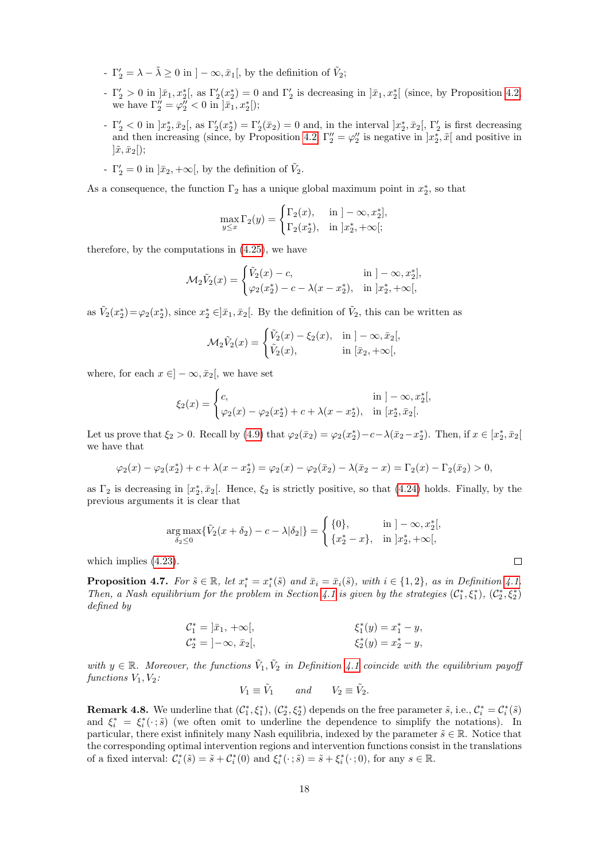- $\Gamma'_2 = \lambda \tilde{\lambda} \ge 0$  in  $]-\infty, \bar{x}_1[,$  by the definition of  $\tilde{V}_2$ ;
- $-\Gamma'_2 > 0$  in  $]\bar{x}_1, x_2^*$ , as  $\Gamma'_2(x_2^*) = 0$  and  $\Gamma'_2$  is decreasing in  $]\bar{x}_1, x_2^*$  (since, by Proposition [4.2,](#page-14-4) we have  $\Gamma_2'' = \varphi_2'' < 0$  in  $|\bar{x}_1, x_2^*|$ ;
- $-\Gamma'_2 < 0$  in  $]x_2^*, \bar{x}_2[,$  as  $\Gamma'_2(x_2^*) = \Gamma'_2(\bar{x}_2) = 0$  and, in the interval  $]x_2^*, \bar{x}_2[, \Gamma'_2$  is first decreasing and then increasing (since, by Proposition [4.2,](#page-14-4)  $\Gamma_2'' = \varphi_2''$  is negative in  $\ket{x_2^*, \tilde{x}}$  and positive in  $|\tilde{x}, \bar{x}_2|$ ;
- $\Gamma'_2 = 0$  in  $]\bar{x}_2, +\infty[$ , by the definition of  $\tilde{V}_2$ .

As a consequence, the function  $\Gamma_2$  has a unique global maximum point in  $x_2^*$ , so that

$$
\max_{y \le x} \Gamma_2(y) = \begin{cases} \Gamma_2(x), & \text{in } ]-\infty, x_2^*], \\ \Gamma_2(x_2^*), & \text{in } ]x_2^*, +\infty[; \end{cases}
$$

therefore, by the computations in [\(4.25\)](#page-16-2), we have

$$
\mathcal{M}_2 \tilde{V}_2(x) = \begin{cases} \tilde{V}_2(x) - c, & \text{in } ] - \infty, x_2^*], \\ \varphi_2(x_2^*) - c - \lambda(x - x_2^*), & \text{in } ]x_2^*, +\infty[, \end{cases}
$$

as  $\tilde{V}_2(x_2^*) = \varphi_2(x_2^*)$ , since  $x_2^* \in ]\bar{x}_1, \bar{x}_2[$ . By the definition of  $\tilde{V}_2$ , this can be written as

$$
\mathcal{M}_2 \tilde{V}_2(x) = \begin{cases} \tilde{V}_2(x) - \xi_2(x), & \text{in } ]-\infty, \bar{x}_2[, \\ \tilde{V}_2(x), & \text{in } [\bar{x}_2, +\infty[, \end{cases}
$$

where, for each  $x \in ]-\infty, \bar{x}_2[$ , we have set

$$
\xi_2(x) = \begin{cases} c, & \text{in } ]-\infty, x_2^*[, \\ \varphi_2(x) - \varphi_2(x_2^*) + c + \lambda(x - x_2^*), & \text{in } [x_2^*, \bar{x}_2[. \end{cases}
$$

Let us prove that  $\xi_2 > 0$ . Recall by [\(4.9\)](#page-14-1) that  $\varphi_2(\bar{x}_2) = \varphi_2(x_2^*) - c - \lambda(\bar{x}_2 - x_2^*)$ . Then, if  $x \in [x_2^*, \bar{x}_2]$ we have that

$$
\varphi_2(x) - \varphi_2(x_2^*) + c + \lambda(x - x_2^*) = \varphi_2(x) - \varphi_2(\bar{x}_2) - \lambda(\bar{x}_2 - x) = \Gamma_2(x) - \Gamma_2(\bar{x}_2) > 0,
$$

as  $\Gamma_2$  is decreasing in  $[x_2^*, \bar{x}_2]$ . Hence,  $\xi_2$  is strictly positive, so that [\(4.24\)](#page-16-3) holds. Finally, by the previous arguments it is clear that

$$
\underset{\delta_2 \leq 0}{\arg \max} \{ \tilde{V}_2(x + \delta_2) - c - \lambda |\delta_2| \} = \begin{cases} \{0\}, & \text{in } ] - \infty, x_2^*[, \\ \{x_2^* - x\}, & \text{in } ]x_2^*, +\infty[, \end{cases}
$$

which implies [\(4.23\)](#page-16-4).

<span id="page-17-0"></span>**Proposition 4.7.** For  $\tilde{s} \in \mathbb{R}$ , let  $x_i^* = x_i^*(\tilde{s})$  and  $\bar{x}_i = \bar{x}_i(\tilde{s})$ , with  $i \in \{1,2\}$ , as in Definition [4.1.](#page-14-5) Then, a Nash equilibrium for the problem in Section [4.1](#page-11-0) is given by the strategies  $(C_1^*, \xi_1^*)$ ,  $(C_2^*, \xi_2^*)$ defined by

$$
C_1^* = |\bar{x}_1, +\infty[,
$$
  
\n
$$
C_2^* = ]-\infty, \, \bar{x}_2[,
$$
  
\n
$$
\xi_1^*(y) = x_1^* - y,
$$
  
\n
$$
\xi_2^*(y) = x_2^* - y,
$$

with  $y \in \mathbb{R}$ . Moreover, the functions  $\tilde{V}_1, \tilde{V}_2$  in Definition [4.1](#page-14-5) coincide with the equilibrium payoff functions  $V_1, V_2$ :

$$
V_1 \equiv \tilde{V}_1 \qquad and \qquad V_2 \equiv \tilde{V}_2.
$$

**Remark 4.8.** We underline that  $(\mathcal{C}_1^*, \xi_1^*)$ ,  $(\mathcal{C}_2^*, \xi_2^*)$  depends on the free parameter  $\tilde{s}$ , i.e.,  $\mathcal{C}_i^* = \mathcal{C}_i^*(\tilde{s})$ and  $\xi_i^* = \xi_i^*(\cdot;\tilde{s})$  (we often omit to underline the dependence to simplify the notations). In particular, there exist infinitely many Nash equilibria, indexed by the parameter  $\tilde{s} \in \mathbb{R}$ . Notice that the corresponding optimal intervention regions and intervention functions consist in the translations of a fixed interval:  $\mathcal{C}_i^*(\tilde{s}) = \tilde{s} + \mathcal{C}_i^*(0)$  and  $\xi_i^*(\cdot; \tilde{s}) = \tilde{s} + \xi_i^*(\cdot; 0)$ , for any  $s \in \mathbb{R}$ .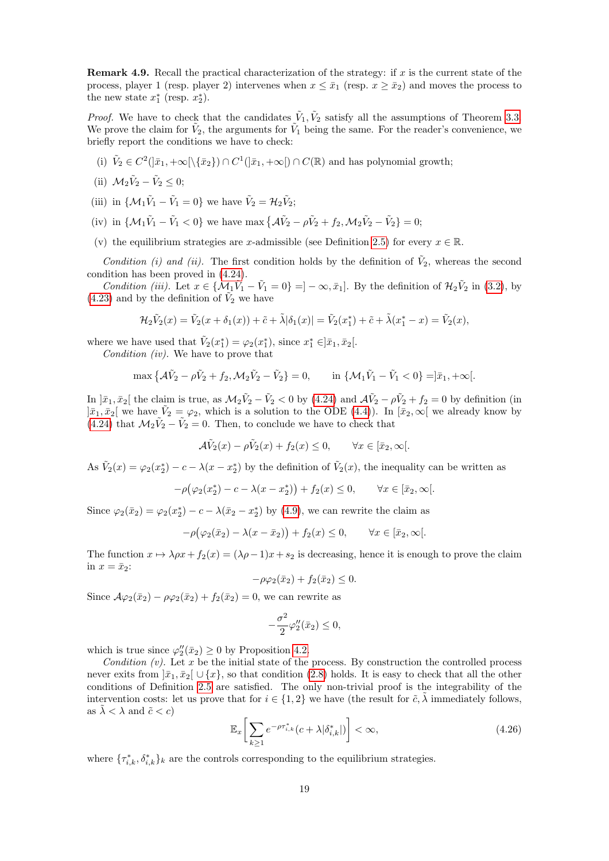Remark 4.9. Recall the practical characterization of the strategy: if x is the current state of the process, player 1 (resp. player 2) intervenes when  $x \leq \bar{x}_1$  (resp.  $x \geq \bar{x}_2$ ) and moves the process to the new state  $x_1^*$  (resp.  $x_2^*$ ).

*Proof.* We have to check that the candidates  $\tilde{V}_1, \tilde{V}_2$  satisfy all the assumptions of Theorem [3.3.](#page-8-0) We prove the claim for  $\tilde{V}_2$ , the arguments for  $\tilde{V}_1$  being the same. For the reader's convenience, we briefly report the conditions we have to check:

(i)  $\tilde{V}_2 \in C^2(|\bar{x}_1, +\infty[\setminus {\bar{x}_2}) \cap C^1(|\bar{x}_1, +\infty[) \cap C(\mathbb{R})$  and has polynomial growth;

(ii) 
$$
\mathcal{M}_2 \tilde{V}_2 - \tilde{V}_2 \leq 0
$$
;

- (iii) in  $\{\mathcal{M}_1\tilde{V}_1 \tilde{V}_1 = 0\}$  we have  $\tilde{V}_2 = \mathcal{H}_2\tilde{V}_2$ ;
- (iv) in  $\{M_1\tilde{V}_1 \tilde{V}_1 < 0\}$  we have max  $\{\mathcal{A}\tilde{V}_2 \rho \tilde{V}_2 + f_2, \mathcal{M}_2 \tilde{V}_2 \tilde{V}_2\} = 0$ ;
- (v) the equilibrium strategies are x-admissible (see Definition [2.5\)](#page-5-0) for every  $x \in \mathbb{R}$ .

Condition (i) and (ii). The first condition holds by the definition of  $\tilde{V}_2$ , whereas the second condition has been proved in [\(4.24\)](#page-16-3).

Condition (iii). Let  $x \in \{ \mathcal{M}_1 \tilde{V}_1 - \tilde{V}_1 = 0 \} = ] - \infty, \bar{x}_1]$ . By the definition of  $\mathcal{H}_2 \tilde{V}_2$  in [\(3.2\)](#page-6-5), by [\(4.23\)](#page-16-4) and by the definition of  $\tilde{V}_2$  we have

$$
\mathcal{H}_2 \tilde{V}_2(x) = \tilde{V}_2(x + \delta_1(x)) + \tilde{c} + \tilde{\lambda} |\delta_1(x)| = \tilde{V}_2(x_1^*) + \tilde{c} + \tilde{\lambda}(x_1^* - x) = \tilde{V}_2(x),
$$

where we have used that  $\tilde{V}_2(x_1^*) = \varphi_2(x_1^*)$ , since  $x_1^* \in ]\bar{x}_1, \bar{x}_2[$ . Condition (iv). We have to prove that

$$
\max \{ \mathcal{A}\tilde{V}_2 - \rho \tilde{V}_2 + f_2, \mathcal{M}_2 \tilde{V}_2 - \tilde{V}_2 \} = 0, \qquad \text{in } \{ \mathcal{M}_1 \tilde{V}_1 - \tilde{V}_1 < 0 \} = ]\bar{x}_1, +\infty[.
$$

In  $\bar{x}_1, \bar{x}_2$  the claim is true, as  $\mathcal{M}_2 \tilde{V}_2 - \tilde{V}_2 < 0$  by [\(4.24\)](#page-16-3) and  $\mathcal{A} \tilde{V}_2 - \rho \tilde{V}_2 + f_2 = 0$  by definition (in  $]\bar{x}_1, \bar{x}_2[$  we have  $\tilde{V}_2 = \varphi_2$ , which is a solution to the ODE [\(4.4\)](#page-12-1)). In  $[\bar{x}_2, \infty[$  we already know by [\(4.24\)](#page-16-3) that  $\mathcal{M}_2 \tilde{V}_2 - \tilde{V}_2 = 0$ . Then, to conclude we have to check that

$$
\mathcal{A}\tilde{V}_2(x) - \rho \tilde{V}_2(x) + f_2(x) \le 0, \qquad \forall x \in [\bar{x}_2, \infty[.
$$

As  $\tilde{V}_2(x) = \varphi_2(x_2^*) - c - \lambda(x - x_2^*)$  by the definition of  $\tilde{V}_2(x)$ , the inequality can be written as

$$
-\rho(\varphi_2(x_2^*)-c-\lambda(x-x_2^*))+f_2(x)\leq 0, \qquad \forall x\in[\bar{x}_2,\infty[.
$$

Since  $\varphi_2(\bar{x}_2) = \varphi_2(x_2^*) - c - \lambda(\bar{x}_2 - x_2^*)$  by [\(4.9\)](#page-14-1), we can rewrite the claim as

$$
-\rho(\varphi_2(\bar{x}_2) - \lambda(x - \bar{x}_2)) + f_2(x) \le 0, \qquad \forall x \in [\bar{x}_2, \infty].
$$

The function  $x \mapsto \lambda \rho x + f_2(x) = (\lambda \rho - 1)x + s_2$  is decreasing, hence it is enough to prove the claim in  $x = \bar{x}_2$ :

$$
-\rho\varphi_2(\bar{x}_2) + f_2(\bar{x}_2) \leq 0.
$$

Since  $\mathcal{A}\varphi_2(\bar{x}_2) - \rho\varphi_2(\bar{x}_2) + f_2(\bar{x}_2) = 0$ , we can rewrite as

$$
-\frac{\sigma^2}{2}\varphi_2''(\bar{x}_2) \le 0,
$$

which is true since  $\varphi''_2(\bar{x}_2) \geq 0$  by Proposition [4.2.](#page-14-4)

Condition  $(v)$ . Let x be the initial state of the process. By construction the controlled process never exits from  $|\bar{x}_1, \bar{x}_2| \cup \{x\}$ , so that condition [\(2.8\)](#page-5-2) holds. It is easy to check that all the other conditions of Definition [2.5](#page-5-0) are satisfied. The only non-trivial proof is the integrability of the intervention costs: let us prove that for  $i \in \{1,2\}$  we have (the result for  $\tilde{c}$ ,  $\lambda$  immediately follows, as  $\lambda < \lambda$  and  $\tilde{c} < c$ )

<span id="page-18-0"></span>
$$
\mathbb{E}_x \bigg[ \sum_{k \ge 1} e^{-\rho \tau_{i,k}^*} (c + \lambda | \delta_{i,k}^* |) \bigg] < \infty,\tag{4.26}
$$

where  $\{\tau_{i,k}^*, \delta_{i,k}^*\}_k$  are the controls corresponding to the equilibrium strategies.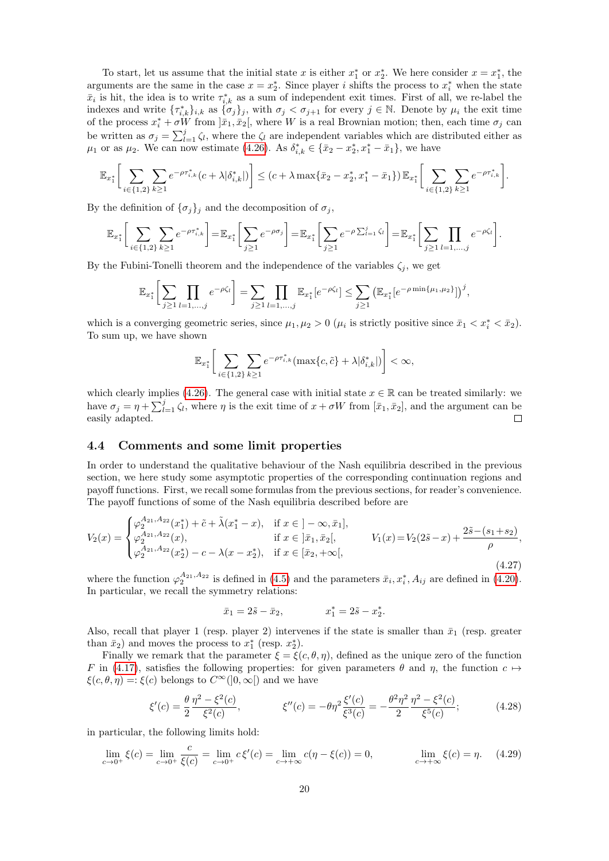To start, let us assume that the initial state x is either  $x_1^*$  or  $x_2^*$ . We here consider  $x = x_1^*$ , the arguments are the same in the case  $x = x_2^*$ . Since player i shifts the process to  $x_i^*$  when the state  $\bar{x}_i$  is hit, the idea is to write  $\tau_{i,k}^*$  as a sum of independent exit times. First of all, we re-label the indexes and write  $\{\tau_{i,k}^*\}_{i,k}$  as  $\{\sigma_j\}_j$ , with  $\sigma_j < \sigma_{j+1}$  for every  $j \in \mathbb{N}$ . Denote by  $\mu_i$  the exit time of the process  $x_i^* + \sigma W$  from  $]\bar{x}_1, \bar{x}_2[,$  where W is a real Brownian motion; then, each time  $\sigma_j$  can be written as  $\sigma_j = \sum_{l=1}^j \zeta_l$ , where the  $\zeta_l$  are independent variables which are distributed either as  $μ_1$  or as  $μ_2$ . We can now estimate [\(4.26\)](#page-18-0). As  $δ_{i,k}^* ∈ {\bar{x}_2 - x_2^*, x_1^* - \bar{x}_1}$ , we have

$$
\mathbb{E}_{x_1^*} \bigg[ \sum_{i \in \{1,2\}} \sum_{k \ge 1} e^{-\rho \tau_{i,k}^*} (c + \lambda | \delta_{i,k}^*|) \bigg] \le (c + \lambda \max \{ \bar{x}_2 - x_2^*, x_1^* - \bar{x}_1 \}) \mathbb{E}_{x_1^*} \bigg[ \sum_{i \in \{1,2\}} \sum_{k \ge 1} e^{-\rho \tau_{i,k}^*} \bigg].
$$

By the definition of  $\{\sigma_i\}_i$  and the decomposition of  $\sigma_i$ ,

$$
\mathbb{E}_{x_1^*} \bigg[ \sum_{i \in \{1,2\}} \sum_{k \ge 1} e^{-\rho \tau_{i,k}^*} \bigg] = \mathbb{E}_{x_1^*} \bigg[ \sum_{j \ge 1} e^{-\rho \sigma_j} \bigg] = \mathbb{E}_{x_1^*} \bigg[ \sum_{j \ge 1} e^{-\rho \sum_{l=1}^j \zeta_l} \bigg] = \mathbb{E}_{x_1^*} \bigg[ \sum_{j \ge 1} \prod_{l=1,\dots,j} e^{-\rho \zeta_l} \bigg].
$$

By the Fubini-Tonelli theorem and the independence of the variables  $\zeta_j$ , we get

$$
\mathbb{E}_{x_1^*} \bigg[ \sum_{j \ge 1} \prod_{l=1,\dots,j} e^{-\rho \zeta_l} \bigg] = \sum_{j \ge 1} \prod_{l=1,\dots,j} \mathbb{E}_{x_1^*} [e^{-\rho \zeta_l}] \le \sum_{j \ge 1} \left( \mathbb{E}_{x_1^*} [e^{-\rho \min\{\mu_1, \mu_2\}}] \right)^j,
$$

which is a converging geometric series, since  $\mu_1, \mu_2 > 0$  ( $\mu_i$  is strictly positive since  $\bar{x}_1 < x_i^* < \bar{x}_2$ ). To sum up, we have shown

$$
\mathbb{E}_{x_1^*} \bigg[ \sum_{i \in \{1,2\}} \sum_{k \ge 1} e^{-\rho \tau_{i,k}^*} (\max\{c, \tilde{c}\} + \lambda |\delta_{i,k}^*|) \bigg] < \infty,
$$

which clearly implies [\(4.26\)](#page-18-0). The general case with initial state  $x \in \mathbb{R}$  can be treated similarly: we have  $\sigma_j = \eta + \sum_{l=1}^j \zeta_l$ , where  $\eta$  is the exit time of  $x + \sigma W$  from  $[\bar{x}_1, \bar{x}_2]$ , and the argument can be easily adapted.  $\Box$ 

#### <span id="page-19-0"></span>4.4 Comments and some limit properties

In order to understand the qualitative behaviour of the Nash equilibria described in the previous section, we here study some asymptotic properties of the corresponding continuation regions and payoff functions. First, we recall some formulas from the previous sections, for reader's convenience. The payoff functions of some of the Nash equilibria described before are

$$
V_2(x) = \begin{cases} \varphi_2^{A_{21}, A_{22}}(x_1^*) + \tilde{c} + \tilde{\lambda}(x_1^* - x), & \text{if } x \in ]-\infty, \bar{x}_1], \\ \varphi_2^{A_{21}, A_{22}}(x), & \text{if } x \in ]\bar{x}_1, \bar{x}_2[, \\ \varphi_2^{A_{21}, A_{22}}(x_2^*) - c - \lambda(x - x_2^*), & \text{if } x \in [\bar{x}_2, +\infty[, \end{cases} \qquad V_1(x) = V_2(2\tilde{s} - x) + \frac{2\tilde{s} - (s_1 + s_2)}{\rho}, \tag{4.27}
$$

where the function  $\varphi_2^{A_{21},A_{22}}$  is defined in [\(4.5\)](#page-13-0) and the parameters  $\bar{x}_i, x_i^*, A_{ij}$  are defined in [\(4.20\)](#page-16-1). In particular, we recall the symmetry relations:

$$
\bar{x}_1 = 2\tilde{s} - \bar{x}_2,
$$
  $x_1^* = 2\tilde{s} - x_2^*.$ 

Also, recall that player 1 (resp. player 2) intervenes if the state is smaller than  $\bar{x}_1$  (resp. greater than  $\bar{x}_2$ ) and moves the process to  $x_1^*$  (resp.  $x_2^*$ ).

Finally we remark that the parameter  $\xi = \xi(c, \theta, \eta)$ , defined as the unique zero of the function F in [\(4.17\)](#page-15-5), satisfies the following properties: for given parameters  $\theta$  and  $\eta$ , the function  $c \mapsto$  $\xi(c, \theta, \eta) =: \xi(c)$  belongs to  $C^{\infty}([0, \infty))$  and we have

$$
\xi'(c) = \frac{\theta}{2} \frac{\eta^2 - \xi^2(c)}{\xi^2(c)}, \qquad \xi''(c) = -\theta \eta^2 \frac{\xi'(c)}{\xi^3(c)} = -\frac{\theta^2 \eta^2}{2} \frac{\eta^2 - \xi^2(c)}{\xi^5(c)}; \qquad (4.28)
$$

in particular, the following limits hold:

<span id="page-19-1"></span>
$$
\lim_{c \to 0^+} \xi(c) = \lim_{c \to 0^+} \frac{c}{\xi(c)} = \lim_{c \to 0^+} c \xi'(c) = \lim_{c \to +\infty} c(\eta - \xi(c)) = 0, \qquad \lim_{c \to +\infty} \xi(c) = \eta. \tag{4.29}
$$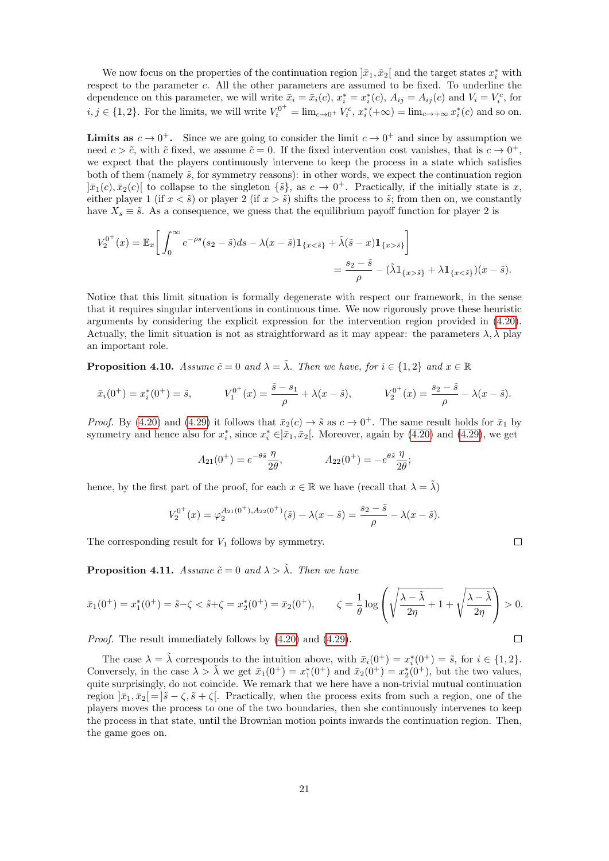We now focus on the properties of the continuation region  $]\bar{x}_1, \bar{x}_2[$  and the target states  $x_i^*$  with respect to the parameter c. All the other parameters are assumed to be fixed. To underline the dependence on this parameter, we will write  $\bar{x}_i = \bar{x}_i(c)$ ,  $x_i^* = x_i^*(c)$ ,  $A_{ij} = A_{ij}(c)$  and  $V_i = V_i^c$ , for  $i, j \in \{1, 2\}$ . For the limits, we will write  $V_i^{0^+} = \lim_{c \to 0^+} V_i^c$ ,  $x_i^*(+\infty) = \lim_{c \to +\infty} x_i^*(c)$  and so on.

**Limits as**  $c \to 0^+$ . Since we are going to consider the limit  $c \to 0^+$  and since by assumption we need  $c > \tilde{c}$ , with  $\tilde{c}$  fixed, we assume  $\tilde{c} = 0$ . If the fixed intervention cost vanishes, that is  $c \to 0^+$ , we expect that the players continuously intervene to keep the process in a state which satisfies both of them (namely  $\tilde{s}$ , for symmetry reasons): in other words, we expect the continuation region  $]\bar{x}_1(c), \bar{x}_2(c)$  to collapse to the singleton  $\{\tilde{s}\},$  as  $c \to 0^+$ . Practically, if the initially state is x, either player 1 (if  $x < \tilde{s}$ ) or player 2 (if  $x > \tilde{s}$ ) shifts the process to  $\tilde{s}$ ; from then on, we constantly have  $X_s \equiv \tilde{s}$ . As a consequence, we guess that the equilibrium payoff function for player 2 is

$$
V_2^{0^+}(x) = \mathbb{E}_x \bigg[ \int_0^\infty e^{-\rho s} (s_2 - \tilde{s}) ds - \lambda (x - \tilde{s}) \mathbb{1}_{\{x < \tilde{s}\}} + \tilde{\lambda} (\tilde{s} - x) \mathbb{1}_{\{x > \tilde{s}\}} \bigg] = \frac{s_2 - \tilde{s}}{\rho} - (\tilde{\lambda} \mathbb{1}_{\{x > \tilde{s}\}} + \lambda \mathbb{1}_{\{x < \tilde{s}\}})(x - \tilde{s}).
$$

Notice that this limit situation is formally degenerate with respect our framework, in the sense that it requires singular interventions in continuous time. We now rigorously prove these heuristic arguments by considering the explicit expression for the intervention region provided in [\(4.20\)](#page-16-1). Actually, the limit situation is not as straightforward as it may appear: the parameters  $\lambda$ ,  $\lambda$  play an important role.

**Proposition 4.10.** Assume  $\tilde{c} = 0$  and  $\lambda = \tilde{\lambda}$ . Then we have, for  $i \in \{1,2\}$  and  $x \in \mathbb{R}$ 

$$
\bar{x}_i(0^+) = x_i^*(0^+) = \tilde{s},
$$
\n
$$
V_1^{0^+}(x) = \frac{\tilde{s} - s_1}{\rho} + \lambda(x - \tilde{s}),
$$
\n
$$
V_2^{0^+}(x) = \frac{s_2 - \tilde{s}}{\rho} - \lambda(x - \tilde{s}).
$$

*Proof.* By [\(4.20\)](#page-16-1) and [\(4.29\)](#page-19-1) it follows that  $\bar{x}_2(c) \to \tilde{s}$  as  $c \to 0^+$ . The same result holds for  $\bar{x}_1$  by symmetry and hence also for  $x_i^*$ , since  $x_i^* \in ]\bar{x}_1, \bar{x}_2[$ . Moreover, again by [\(4.20\)](#page-16-1) and [\(4.29\)](#page-19-1), we get

$$
A_{21}(0^{+}) = e^{-\theta \tilde{s}} \frac{\eta}{2\theta}, \qquad A_{22}(0^{+}) = -e^{\theta \tilde{s}} \frac{\eta}{2\theta};
$$

hence, by the first part of the proof, for each  $x \in \mathbb{R}$  we have (recall that  $\lambda = \lambda$ )

$$
V_2^{0^+}(x) = \varphi_2^{A_{21}(0^+), A_{22}(0^+)}(\tilde{s}) - \lambda(x - \tilde{s}) = \frac{s_2 - \tilde{s}}{\rho} - \lambda(x - \tilde{s}).
$$

The corresponding result for  $V_1$  follows by symmetry.

**Proposition 4.11.** Assume  $\tilde{c} = 0$  and  $\lambda > \tilde{\lambda}$ . Then we have

$$
\bar{x}_1(0^+) = x_1^*(0^+) = \tilde{s} - \zeta < \tilde{s} + \zeta = x_2^*(0^+) = \bar{x}_2(0^+), \qquad \zeta = \frac{1}{\theta} \log \left( \sqrt{\frac{\lambda - \tilde{\lambda}}{2\eta} + 1} + \sqrt{\frac{\lambda - \tilde{\lambda}}{2\eta}} \right) > 0.
$$

Proof. The result immediately follows by [\(4.20\)](#page-16-1) and [\(4.29\)](#page-19-1).

The case  $\lambda = \tilde{\lambda}$  corresponds to the intuition above, with  $\bar{x}_i(0^+) = x_i^*(0^+) = \tilde{s}$ , for  $i \in \{1, 2\}$ . Conversely, in the case  $\lambda > \tilde{\lambda}$  we get  $\bar{x}_1(0^+) = x_1^*(0^+)$  and  $\bar{x}_2(0^+) = x_2^*(0^+)$ , but the two values, quite surprisingly, do not coincide. We remark that we here have a non-trivial mutual continuation region  $|\bar{x}_1,\bar{x}_2|=|\tilde{s}-\zeta,\tilde{s}+\zeta|$ . Practically, when the process exits from such a region, one of the players moves the process to one of the two boundaries, then she continuously intervenes to keep the process in that state, until the Brownian motion points inwards the continuation region. Then, the game goes on.

$$
\Box
$$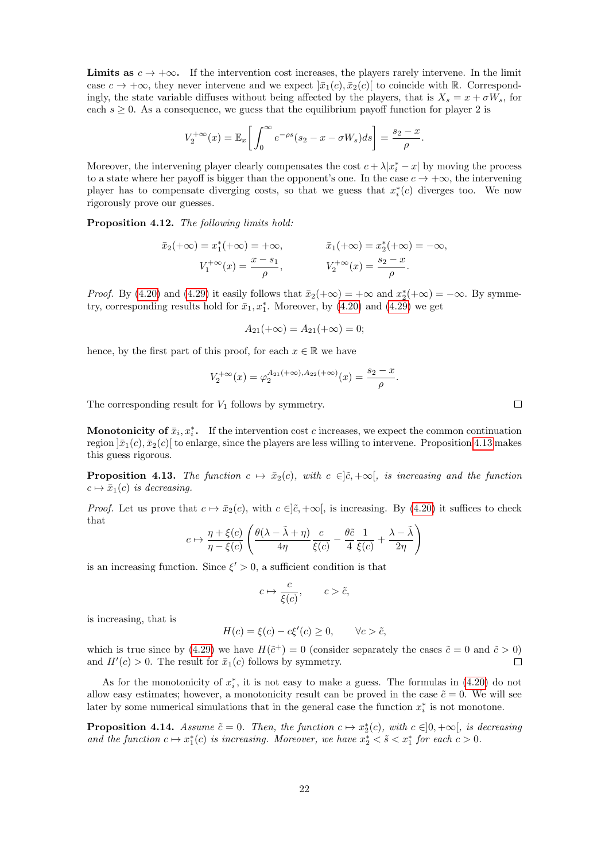**Limits as**  $c \to +\infty$ . If the intervention cost increases, the players rarely intervene. In the limit case  $c \to +\infty$ , they never intervene and we expect  $|\bar{x}_1(c), \bar{x}_2(c)|$  to coincide with R. Correspondingly, the state variable diffuses without being affected by the players, that is  $X_s = x + \sigma W_s$ , for each  $s \geq 0$ . As a consequence, we guess that the equilibrium payoff function for player 2 is

$$
V_2^{+\infty}(x) = \mathbb{E}_x \bigg[ \int_0^{\infty} e^{-\rho s} (s_2 - x - \sigma W_s) ds \bigg] = \frac{s_2 - x}{\rho}.
$$

Moreover, the intervening player clearly compensates the cost  $c + \lambda |x_i^* - x|$  by moving the process to a state where her payoff is bigger than the opponent's one. In the case  $c \to +\infty$ , the intervening player has to compensate diverging costs, so that we guess that  $x_i^*(c)$  diverges too. We now rigorously prove our guesses.

Proposition 4.12. The following limits hold:

$$
\bar{x}_2(+\infty) = x_1^*(+\infty) = +\infty, \qquad \bar{x}_1(+\infty) = x_2^*(+\infty) = -\infty, \nV_1^{+\infty}(x) = \frac{x - s_1}{\rho}, \qquad V_2^{+\infty}(x) = \frac{s_2 - x}{\rho}.
$$

*Proof.* By [\(4.20\)](#page-16-1) and [\(4.29\)](#page-19-1) it easily follows that  $\bar{x}_2(+\infty) = +\infty$  and  $x_2^*(-\infty) = -\infty$ . By symmetry, corresponding results hold for  $\bar{x}_1, x_1^*$ . Moreover, by  $(4.20)$  and  $(4.29)$  we get

$$
A_{21}(+\infty) = A_{21}(+\infty) = 0;
$$

hence, by the first part of this proof, for each  $x \in \mathbb{R}$  we have

$$
V_2^{+\infty}(x) = \varphi_2^{A_{21}(+\infty), A_{22}(+\infty)}(x) = \frac{s_2 - x}{\rho}.
$$

The corresponding result for  $V_1$  follows by symmetry.

**Monotonicity of**  $\bar{x}_i, x_i^*$ **.** If the intervention cost c increases, we expect the common continuation region  $|\bar{x}_1(c), \bar{x}_2(c)|$  to enlarge, since the players are less willing to intervene. Proposition [4.13](#page-21-0) makes this guess rigorous.

<span id="page-21-0"></span>**Proposition 4.13.** The function  $c \mapsto \bar{x}_2(c)$ , with  $c \in [\tilde{c}, +\infty[$ , is increasing and the function  $c \mapsto \bar{x}_1(c)$  is decreasing.

*Proof.* Let us prove that  $c \mapsto \bar{x}_2(c)$ , with  $c \in ]\tilde{c}, +\infty[$ , is increasing. By [\(4.20\)](#page-16-1) it suffices to check that

$$
c \mapsto \frac{\eta + \xi(c)}{\eta - \xi(c)} \left( \frac{\theta(\lambda - \tilde{\lambda} + \eta)}{4\eta} \frac{c}{\xi(c)} - \frac{\theta \tilde{c}}{4} \frac{1}{\xi(c)} + \frac{\lambda - \tilde{\lambda}}{2\eta} \right)
$$

is an increasing function. Since  $\xi' > 0$ , a sufficient condition is that

$$
c \mapsto \frac{c}{\xi(c)}, \qquad c > \tilde{c},
$$

is increasing, that is

$$
H(c) = \xi(c) - c\xi'(c) \ge 0, \qquad \forall c > \tilde{c},
$$

which is true since by [\(4.29\)](#page-19-1) we have  $H(\tilde{c}^+) = 0$  (consider separately the cases  $\tilde{c} = 0$  and  $\tilde{c} > 0$ ) and  $H'(c) > 0$ . The result for  $\bar{x}_1(c)$  follows by symmetry.  $\Box$ 

As for the monotonicity of  $x_i^*$ , it is not easy to make a guess. The formulas in  $(4.20)$  do not allow easy estimates; however, a monotonicity result can be proved in the case  $\tilde{c} = 0$ . We will see later by some numerical simulations that in the general case the function  $x_i^*$  is not monotone.

**Proposition 4.14.** Assume  $\tilde{c} = 0$ . Then, the function  $c \mapsto x_2^*(c)$ , with  $c \in ]0, +\infty[$ , is decreasing and the function  $c \mapsto x_1^*(c)$  is increasing. Moreover, we have  $x_2^* < \tilde{s} < x_1^*$  for each  $c > 0$ .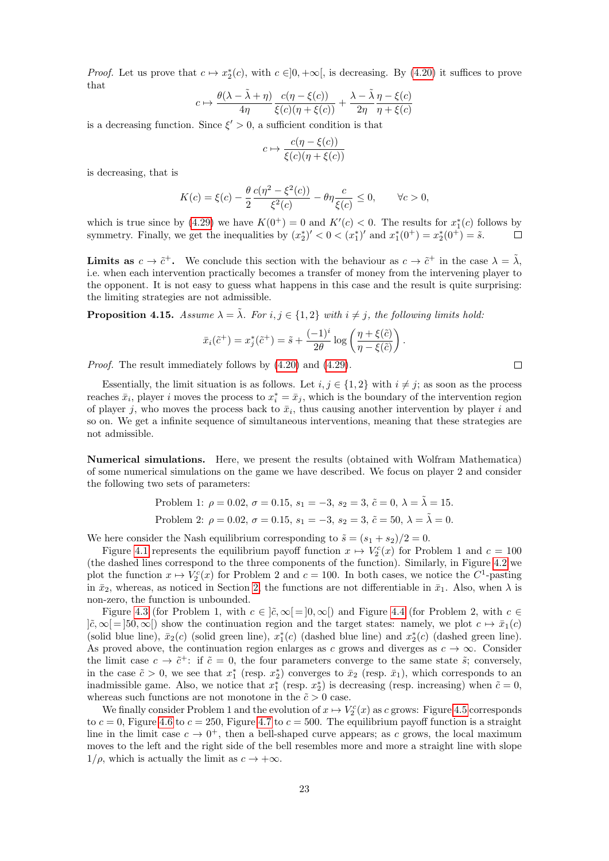*Proof.* Let us prove that  $c \mapsto x_2^*(c)$ , with  $c \in ]0, +\infty[$ , is decreasing. By [\(4.20\)](#page-16-1) it suffices to prove that

$$
c \mapsto \frac{\theta(\lambda - \tilde{\lambda} + \eta)}{4\eta} \frac{c(\eta - \xi(c))}{\xi(c)(\eta + \xi(c))} + \frac{\lambda - \tilde{\lambda}}{2\eta} \frac{\eta - \xi(c)}{\eta + \xi(c)}
$$

is a decreasing function. Since  $\xi' > 0$ , a sufficient condition is that

$$
c \mapsto \frac{c(\eta - \xi(c))}{\xi(c)(\eta + \xi(c))}
$$

is decreasing, that is

$$
K(c) = \xi(c) - \frac{\theta}{2} \frac{c(\eta^2 - \xi^2(c))}{\xi^2(c)} - \theta \eta \frac{c}{\xi(c)} \le 0, \qquad \forall c > 0,
$$

which is true since by [\(4.29\)](#page-19-1) we have  $K(0^+) = 0$  and  $K'(c) < 0$ . The results for  $x_1^*(c)$  follows by symmetry. Finally, we get the inequalities by  $(x_2^*)' < 0 < (x_1^*)'$  and  $x_1^*(0^+) = x_2^*(0^+) = \tilde{s}$ .  $\Box$ 

**Limits as**  $c \to \tilde{c}^+$ . We conclude this section with the behaviour as  $c \to \tilde{c}^+$  in the case  $\lambda = \tilde{\lambda}$ , i.e. when each intervention practically becomes a transfer of money from the intervening player to the opponent. It is not easy to guess what happens in this case and the result is quite surprising: the limiting strategies are not admissible.

**Proposition 4.15.** Assume  $\lambda = \tilde{\lambda}$ . For  $i, j \in \{1, 2\}$  with  $i \neq j$ , the following limits hold:

$$
\bar{x}_i(\tilde{c}^+) = x_j^*(\tilde{c}^+) = \tilde{s} + \frac{(-1)^i}{2\theta} \log\left(\frac{\eta + \xi(\tilde{c})}{\eta - \xi(\tilde{c})}\right).
$$

Proof. The result immediately follows by [\(4.20\)](#page-16-1) and [\(4.29\)](#page-19-1).

Essentially, the limit situation is as follows. Let  $i, j \in \{1, 2\}$  with  $i \neq j$ ; as soon as the process reaches  $\bar{x}_i$ , player i moves the process to  $x_i^* = \bar{x}_j$ , which is the boundary of the intervention region of player j, who moves the process back to  $\bar{x}_i$ , thus causing another intervention by player i and so on. We get a infinite sequence of simultaneous interventions, meaning that these strategies are not admissible.

Numerical simulations. Here, we present the results (obtained with Wolfram Mathematica) of some numerical simulations on the game we have described. We focus on player 2 and consider the following two sets of parameters:

> Problem 1:  $\rho = 0.02$ ,  $\sigma = 0.15$ ,  $s_1 = -3$ ,  $s_2 = 3$ ,  $\tilde{c} = 0$ ,  $\lambda = \tilde{\lambda} = 15$ . Problem 2:  $\rho = 0.02$ ,  $\sigma = 0.15$ ,  $s_1 = -3$ ,  $s_2 = 3$ ,  $\tilde{c} = 50$ ,  $\lambda = \tilde{\lambda} = 0$ .

We here consider the Nash equilibrium corresponding to  $\tilde{s} = (s_1 + s_2)/2 = 0$ .

Figure [4.1](#page-23-1) represents the equilibrium payoff function  $x \mapsto V_2^c(x)$  for Problem 1 and  $c = 100$ (the dashed lines correspond to the three components of the function). Similarly, in Figure [4.2](#page-23-2) we plot the function  $x \mapsto V_2^c(x)$  for Problem 2 and  $c = 100$ . In both cases, we notice the  $C^1$ -pasting in  $\bar{x}_2$ , whereas, as noticed in Section [2,](#page-2-0) the functions are not differentiable in  $\bar{x}_1$ . Also, when  $\lambda$  is non-zero, the function is unbounded.

Figure [4.3](#page-23-3) (for Problem 1, with  $c \in [\tilde{c}, \infty] = [0, \infty])$  and Figure [4.4](#page-23-4) (for Problem 2, with  $c \in \mathbb{R}$ )  $|\tilde{c}, \infty| = |50, \infty|$  show the continuation region and the target states: namely, we plot  $c \mapsto \bar{x}_1(c)$ (solid blue line),  $\bar{x}_2(c)$  (solid green line),  $x_1^*(c)$  (dashed blue line) and  $x_2^*(c)$  (dashed green line). As proved above, the continuation region enlarges as c grows and diverges as  $c \to \infty$ . Consider the limit case  $c \to \tilde{c}^+$ : if  $\tilde{c} = 0$ , the four parameters converge to the same state  $\tilde{s}$ ; conversely, in the case  $\tilde{c} > 0$ , we see that  $x_1^*$  (resp.  $x_2^*$ ) converges to  $\bar{x}_2$  (resp.  $\bar{x}_1$ ), which corresponds to an inadmissible game. Also, we notice that  $x_1^*$  (resp.  $x_2^*$ ) is decreasing (resp. increasing) when  $\tilde{c} = 0$ , whereas such functions are not monotone in the  $\tilde{c} > 0$  case.

We finally consider Problem 1 and the evolution of  $x \mapsto V_2^c(x)$  as c grows: Figure [4.5](#page-23-5) corresponds to  $c = 0$ , Figure [4.6](#page-23-6) to  $c = 250$ , Figure [4.7](#page-23-7) to  $c = 500$ . The equilibrium payoff function is a straight line in the limit case  $c \to 0^+$ , then a bell-shaped curve appears; as c grows, the local maximum moves to the left and the right side of the bell resembles more and more a straight line with slope  $1/\rho$ , which is actually the limit as  $c \to +\infty$ .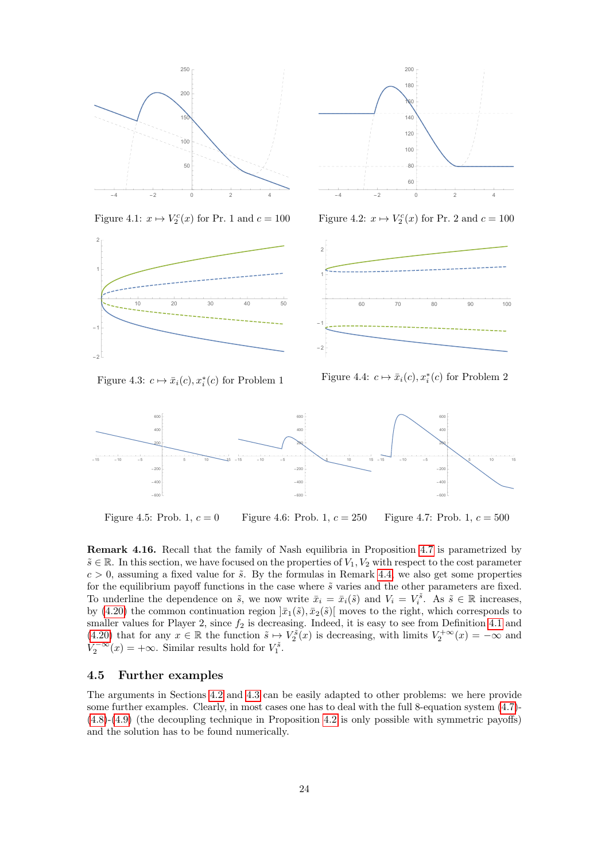

 $-4$   $-2$  0 2 4 60 80 100  $120$  $140$ 160 180

200

<span id="page-23-1"></span>Figure 4.1:  $x \mapsto V_2^c(x)$  for Pr. 1 and  $c = 100$ 



<span id="page-23-3"></span>Figure 4.3:  $c \mapsto \bar{x}_i(c), x_i^*(c)$  for Problem 1

<span id="page-23-2"></span>Figure 4.2:  $x \mapsto V_2^c(x)$  for Pr. 2 and  $c = 100$ 



<span id="page-23-7"></span><span id="page-23-6"></span><span id="page-23-4"></span>



<span id="page-23-5"></span>Figure 4.5: Prob. 1,  $c = 0$ Figure 4.6: Prob. 1,  $c = 250$ Figure 4.7: Prob. 1,  $c = 500$ 

Remark 4.16. Recall that the family of Nash equilibria in Proposition [4.7](#page-17-0) is parametrized by  $\tilde{s} \in \mathbb{R}$ . In this section, we have focused on the properties of  $V_1, V_2$  with respect to the cost parameter  $c > 0$ , assuming a fixed value for  $\tilde{s}$ . By the formulas in Remark [4.4,](#page-16-5) we also get some properties for the equilibrium payoff functions in the case where  $\tilde{s}$  varies and the other parameters are fixed. To underline the dependence on  $\tilde{s}$ , we now write  $\bar{x}_i = \bar{x}_i(\tilde{s})$  and  $V_i = V_i^{\tilde{s}}$ . As  $\tilde{s} \in \mathbb{R}$  increases, by [\(4.20\)](#page-16-1) the common continuation region  $|\bar{x}_1(\tilde{s}), \bar{x}_2(\tilde{s})|$  moves to the right, which corresponds to smaller values for Player 2, since  $f_2$  is decreasing. Indeed, it is easy to see from Definition [4.1](#page-14-5) and [\(4.20\)](#page-16-1) that for any  $x \in \mathbb{R}$  the function  $\tilde{s} \mapsto V_2^{\tilde{s}}(x)$  is decreasing, with limits  $V_2^{+\infty}(x) = -\infty$  and  $V_2^{-\infty}(x) = +\infty$ . Similar results hold for  $V_1^{\tilde{s}}$ .

#### <span id="page-23-0"></span>4.5 Further examples

The arguments in Sections [4.2](#page-12-2) and [4.3](#page-16-6) can be easily adapted to other problems: we here provide some further examples. Clearly, in most cases one has to deal with the full 8-equation system [\(4.7\)](#page-14-0)- [\(4.8\)](#page-14-0)-[\(4.9\)](#page-14-1) (the decoupling technique in Proposition [4.2](#page-14-4) is only possible with symmetric payoffs) and the solution has to be found numerically.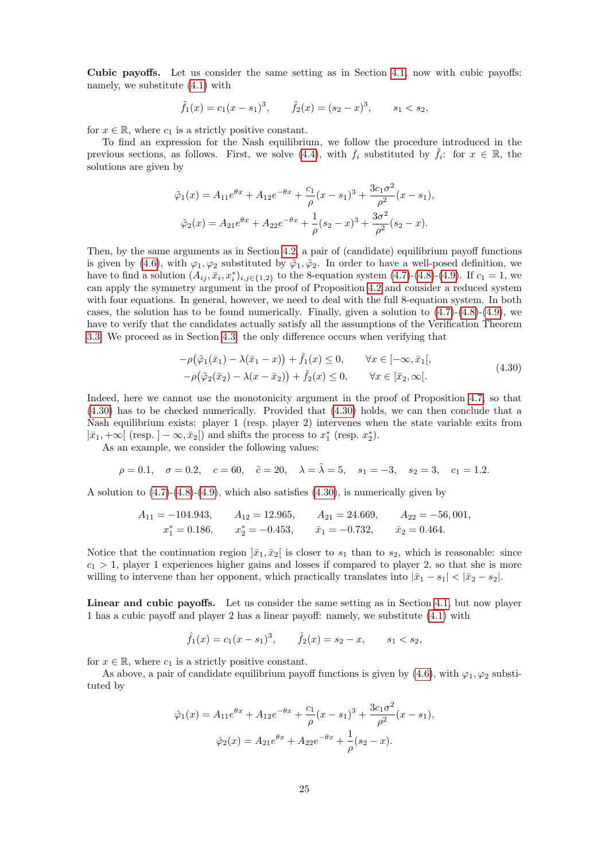Cubic payoffs. Let us consider the same setting as in Section [4.1,](#page-11-0) now with cubic payoffs: namely, we substitute [\(4.1\)](#page-11-2) with

$$
\tilde{f}_1(x) = c_1(x - s_1)^3
$$
,  $\tilde{f}_2(x) = (s_2 - x)^3$ ,  $s_1 < s_2$ ,

for  $x \in \mathbb{R}$ , where  $c_1$  is a strictly positive constant.

To find an expression for the Nash equilibrium, we follow the procedure introduced in the previous sections, as follows. First, we solve [\(4.4\)](#page-12-1), with  $f_i$  substituted by  $\tilde{f}_i$ : for  $x \in \mathbb{R}$ , the solutions are given by

$$
\tilde{\varphi}_1(x) = A_{11}e^{\theta x} + A_{12}e^{-\theta x} + \frac{c_1}{\rho}(x - s_1)^3 + \frac{3c_1\sigma^2}{\rho^2}(x - s_1),
$$
  

$$
\tilde{\varphi}_2(x) = A_{21}e^{\theta x} + A_{22}e^{-\theta x} + \frac{1}{\rho}(s_2 - x)^3 + \frac{3\sigma^2}{\rho^2}(s_2 - x).
$$

Then, by the same arguments as in Section [4.2,](#page-12-2) a pair of (candidate) equilibrium payoff functions is given by [\(4.6\)](#page-14-6), with  $\varphi_1, \varphi_2$  substituted by  $\tilde{\varphi}_1, \tilde{\varphi}_2$ . In order to have a well-posed definition, we have to find a solution  $(A_{ij}, \bar{x}_i, x_i^*)_{i,j \in \{1,2\}}$  to the 8-equation system [\(4.7\)](#page-14-0)-[\(4.8\)](#page-14-0)-[\(4.9\)](#page-14-1). If  $c_1 = 1$ , we can apply the symmetry argument in the proof of Proposition [4.2](#page-14-4) and consider a reduced system with four equations. In general, however, we need to deal with the full 8-equation system. In both cases, the solution has to be found numerically. Finally, given a solution to  $(4.7)-(4.8)-(4.9)$  $(4.7)-(4.8)-(4.9)$  $(4.7)-(4.8)-(4.9)$  $(4.7)-(4.8)-(4.9)$ , we have to verify that the candidates actually satisfy all the assumptions of the Verification Theorem [3.3.](#page-8-0) We proceed as in Section [4.3:](#page-16-6) the only difference occurs when verifying that

<span id="page-24-0"></span>
$$
-\rho(\tilde{\varphi}_1(\bar{x}_1) - \lambda(\bar{x}_1 - x)) + \tilde{f}_1(x) \le 0, \qquad \forall x \in [-\infty, \bar{x}_1[,
$$
  

$$
-\rho(\tilde{\varphi}_2(\bar{x}_2) - \lambda(x - \bar{x}_2)) + \tilde{f}_2(x) \le 0, \qquad \forall x \in [\bar{x}_2, \infty[.
$$
 (4.30)

Indeed, here we cannot use the monotonicity argument in the proof of Proposition [4.7,](#page-17-0) so that [\(4.30\)](#page-24-0) has to be checked numerically. Provided that [\(4.30\)](#page-24-0) holds, we can then conclude that a Nash equilibrium exists: player 1 (resp. player 2) intervenes when the state variable exits from  $]\bar{x}_1, +\infty[$  (resp.  $]-\infty, \bar{x}_2[$ ) and shifts the process to  $x_1^*$  (resp.  $x_2^*$ ).

As an example, we consider the following values:

$$
\rho = 0.1, \quad \sigma = 0.2, \quad c = 60, \quad \tilde{c} = 20, \quad \lambda = \tilde{\lambda} = 5, \quad s_1 = -3, \quad s_2 = 3, \quad c_1 = 1.2.
$$

A solution to  $(4.7)-(4.8)-(4.9)$  $(4.7)-(4.8)-(4.9)$  $(4.7)-(4.8)-(4.9)$  $(4.7)-(4.8)-(4.9)$ , which also satisfies  $(4.30)$ , is numerically given by

$$
A_{11} = -104.943, \t A_{12} = 12.965, \t A_{21} = 24.669, \t A_{22} = -56,001, \n x1* = 0.186, \t x2* = -0.453, \t \bar{x}_{1} = -0.732, \t \bar{x}_{2} = 0.464.
$$

Notice that the continuation region  $]\bar{x}_1, \bar{x}_2[$  is closer to  $s_1$  than to  $s_2$ , which is reasonable: since  $c_1 > 1$ , player 1 experiences higher gains and losses if compared to player 2, so that she is more willing to intervene than her opponent, which practically translates into  $|\bar{x}_1 - s_1| < |\bar{x}_2 - s_2|$ .

Linear and cubic payoffs. Let us consider the same setting as in Section [4.1,](#page-11-0) but now player 1 has a cubic payoff and player 2 has a linear payoff: namely, we substitute [\(4.1\)](#page-11-2) with

$$
\hat{f}_1(x) = c_1(x - s_1)^3
$$
,  $\hat{f}_2(x) = s_2 - x$ ,  $s_1 < s_2$ ,

for  $x \in \mathbb{R}$ , where  $c_1$  is a strictly positive constant.

As above, a pair of candidate equilibrium payoff functions is given by [\(4.6\)](#page-14-6), with  $\varphi_1, \varphi_2$  substituted by

$$
\hat{\varphi}_1(x) = A_{11}e^{\theta x} + A_{12}e^{-\theta x} + \frac{c_1}{\rho}(x - s_1)^3 + \frac{3c_1\sigma^2}{\rho^2}(x - s_1),
$$

$$
\hat{\varphi}_2(x) = A_{21}e^{\theta x} + A_{22}e^{-\theta x} + \frac{1}{\rho}(s_2 - x).
$$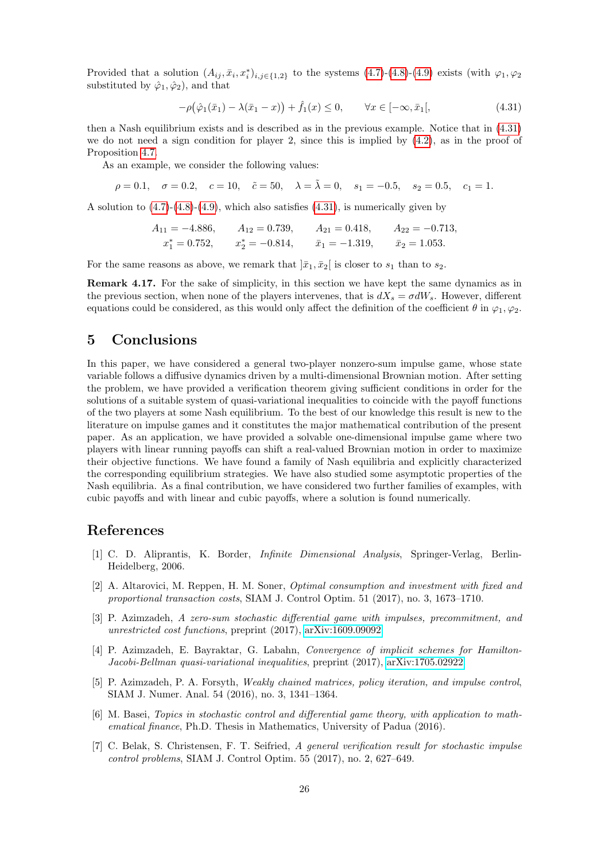Provided that a solution  $(A_{ij}, \bar{x}_i, x_i^*)_{i,j \in \{1,2\}}$  to the systems  $(4.7)-(4.8)-(4.9)$  $(4.7)-(4.8)-(4.9)$  $(4.7)-(4.8)-(4.9)$  $(4.7)-(4.8)-(4.9)$  exists (with  $\varphi_1, \varphi_2$ substituted by  $\hat{\varphi}_1, \hat{\varphi}_2$ , and that

<span id="page-25-8"></span>
$$
-\rho(\hat{\varphi}_1(\bar{x}_1) - \lambda(\bar{x}_1 - x)) + \hat{f}_1(x) \le 0, \qquad \forall x \in [-\infty, \bar{x}_1[,
$$
\n(4.31)

then a Nash equilibrium exists and is described as in the previous example. Notice that in [\(4.31\)](#page-25-8) we do not need a sign condition for player 2, since this is implied by  $(4.2)$ , as in the proof of Proposition [4.7.](#page-17-0)

As an example, we consider the following values:

 $\rho = 0.1, \quad \sigma = 0.2, \quad c = 10, \quad \tilde{c} = 50, \quad \lambda = \tilde{\lambda} = 0, \quad s_1 = -0.5, \quad s_2 = 0.5, \quad c_1 = 1.$ 

A solution to [\(4.7\)](#page-14-0)-[\(4.8\)](#page-14-0)-[\(4.9\)](#page-14-1), which also satisfies [\(4.31\)](#page-25-8), is numerically given by

$$
A_{11} = -4.886,
$$
  $A_{12} = 0.739,$   $A_{21} = 0.418,$   $A_{22} = -0.713,$   
\n $x_1^* = 0.752,$   $x_2^* = -0.814,$   $\bar{x}_1 = -1.319,$   $\bar{x}_2 = 1.053.$ 

For the same reasons as above, we remark that  $|\bar{x}_1, \bar{x}_2|$  is closer to  $s_1$  than to  $s_2$ .

Remark 4.17. For the sake of simplicity, in this section we have kept the same dynamics as in the previous section, when none of the players intervenes, that is  $dX_s = \sigma dW_s$ . However, different equations could be considered, as this would only affect the definition of the coefficient  $\theta$  in  $\varphi_1, \varphi_2$ .

### <span id="page-25-6"></span>5 Conclusions

In this paper, we have considered a general two-player nonzero-sum impulse game, whose state variable follows a diffusive dynamics driven by a multi-dimensional Brownian motion. After setting the problem, we have provided a verification theorem giving sufficient conditions in order for the solutions of a suitable system of quasi-variational inequalities to coincide with the payoff functions of the two players at some Nash equilibrium. To the best of our knowledge this result is new to the literature on impulse games and it constitutes the major mathematical contribution of the present paper. As an application, we have provided a solvable one-dimensional impulse game where two players with linear running payoffs can shift a real-valued Brownian motion in order to maximize their objective functions. We have found a family of Nash equilibria and explicitly characterized the corresponding equilibrium strategies. We have also studied some asymptotic properties of the Nash equilibria. As a final contribution, we have considered two further families of examples, with cubic payoffs and with linear and cubic payoffs, where a solution is found numerically.

### References

- <span id="page-25-7"></span>[1] C. D. Aliprantis, K. Border, Infinite Dimensional Analysis, Springer-Verlag, Berlin-Heidelberg, 2006.
- <span id="page-25-4"></span>[2] A. Altarovici, M. Reppen, H. M. Soner, Optimal consumption and investment with fixed and proportional transaction costs, SIAM J. Control Optim. 51 (2017), no. 3, 1673–1710.
- <span id="page-25-5"></span>[3] P. Azimzadeh, A zero-sum stochastic differential game with impulses, precommitment, and unrestricted cost functions, preprint (2017), [arXiv:1609.09092.](http://arxiv.org/abs/1609.09092)
- <span id="page-25-2"></span>[4] P. Azimzadeh, E. Bayraktar, G. Labahn, Convergence of implicit schemes for Hamilton-Jacobi-Bellman quasi-variational inequalities, preprint (2017), [arXiv:1705.02922.](http://arxiv.org/abs/1705.02922)
- <span id="page-25-3"></span>[5] P. Azimzadeh, P. A. Forsyth, Weakly chained matrices, policy iteration, and impulse control, SIAM J. Numer. Anal. 54 (2016), no. 3, 1341–1364.
- <span id="page-25-0"></span>[6] M. Basei, Topics in stochastic control and differential game theory, with application to mathematical finance, Ph.D. Thesis in Mathematics, University of Padua (2016).
- <span id="page-25-1"></span>[7] C. Belak, S. Christensen, F. T. Seifried, A general verification result for stochastic impulse control problems, SIAM J. Control Optim. 55 (2017), no. 2, 627–649.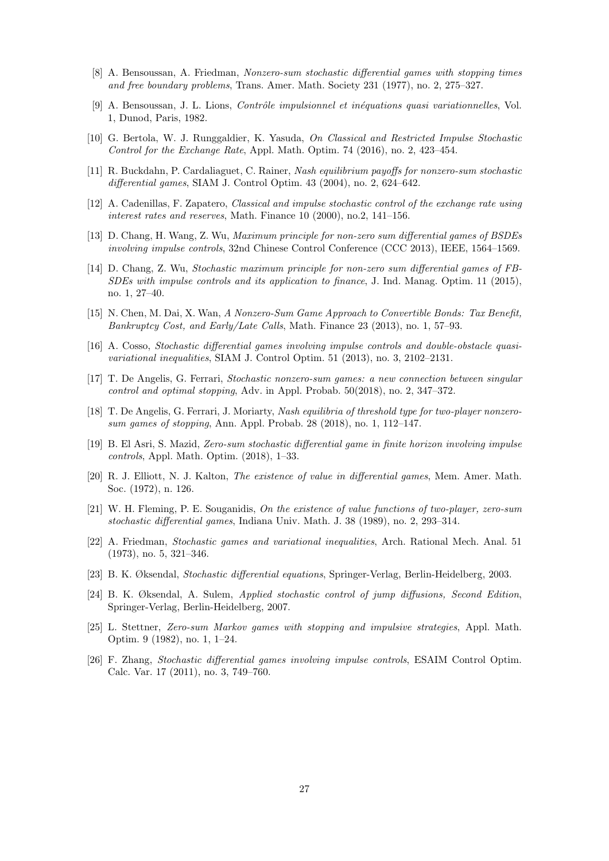- <span id="page-26-2"></span>[8] A. Bensoussan, A. Friedman, Nonzero-sum stochastic differential games with stopping times and free boundary problems, Trans. Amer. Math. Society 231 (1977), no. 2, 275–327.
- [9] A. Bensoussan, J. L. Lions, *Contrôle impulsionnel et inéquations quasi variationnelles*, Vol. 1, Dunod, Paris, 1982.
- <span id="page-26-16"></span>[10] G. Bertola, W. J. Runggaldier, K. Yasuda, On Classical and Restricted Impulse Stochastic Control for the Exchange Rate, Appl. Math. Optim. 74 (2016), no. 2, 423–454.
- <span id="page-26-15"></span>[11] R. Buckdahn, P. Cardaliaguet, C. Rainer, Nash equilibrium payoffs for nonzero-sum stochastic differential games, SIAM J. Control Optim. 43 (2004), no. 2, 624–642.
- <span id="page-26-17"></span>[12] A. Cadenillas, F. Zapatero, Classical and impulse stochastic control of the exchange rate using interest rates and reserves, Math. Finance 10 (2000), no.2, 141–156.
- <span id="page-26-10"></span>[13] D. Chang, H. Wang, Z. Wu, Maximum principle for non-zero sum differential games of BSDEs involving impulse controls, 32nd Chinese Control Conference (CCC 2013), IEEE, 1564–1569.
- <span id="page-26-11"></span>[14] D. Chang, Z. Wu, Stochastic maximum principle for non-zero sum differential games of FB-SDEs with impulse controls and its application to finance, J. Ind. Manag. Optim. 11 (2015), no. 1, 27–40.
- <span id="page-26-3"></span>[15] N. Chen, M. Dai, X. Wan, A Nonzero-Sum Game Approach to Convertible Bonds: Tax Benefit, Bankruptcy Cost, and Early/Late Calls, Math. Finance 23 (2013), no. 1, 57–93.
- <span id="page-26-8"></span>[16] A. Cosso, Stochastic differential games involving impulse controls and double-obstacle quasivariational inequalities, SIAM J. Control Optim. 51 (2013), no. 3, 2102–2131.
- <span id="page-26-5"></span>[17] T. De Angelis, G. Ferrari, Stochastic nonzero-sum games: a new connection between singular control and optimal stopping, Adv. in Appl. Probab. 50(2018), no. 2, 347–372.
- <span id="page-26-4"></span>[18] T. De Angelis, G. Ferrari, J. Moriarty, Nash equilibria of threshold type for two-player nonzerosum games of stopping, Ann. Appl. Probab. 28 (2018), no. 1, 112–147.
- <span id="page-26-9"></span>[19] B. El Asri, S. Mazid, Zero-sum stochastic differential game in finite horizon involving impulse controls, Appl. Math. Optim. (2018), 1–33.
- <span id="page-26-13"></span>[20] R. J. Elliott, N. J. Kalton, The existence of value in differential games, Mem. Amer. Math. Soc. (1972), n. 126.
- <span id="page-26-14"></span>[21] W. H. Fleming, P. E. Souganidis, On the existence of value functions of two-player, zero-sum stochastic differential games, Indiana Univ. Math. J. 38 (1989), no. 2, 293–314.
- <span id="page-26-1"></span>[22] A. Friedman, Stochastic games and variational inequalities, Arch. Rational Mech. Anal. 51 (1973), no. 5, 321–346.
- <span id="page-26-12"></span>[23] B. K. Øksendal, Stochastic differential equations, Springer-Verlag, Berlin-Heidelberg, 2003.
- <span id="page-26-0"></span>[24] B. K. Øksendal, A. Sulem, Applied stochastic control of jump diffusions, Second Edition, Springer-Verlag, Berlin-Heidelberg, 2007.
- <span id="page-26-7"></span>[25] L. Stettner, Zero-sum Markov games with stopping and impulsive strategies, Appl. Math. Optim. 9 (1982), no. 1, 1–24.
- <span id="page-26-6"></span>[26] F. Zhang, Stochastic differential games involving impulse controls, ESAIM Control Optim. Calc. Var. 17 (2011), no. 3, 749–760.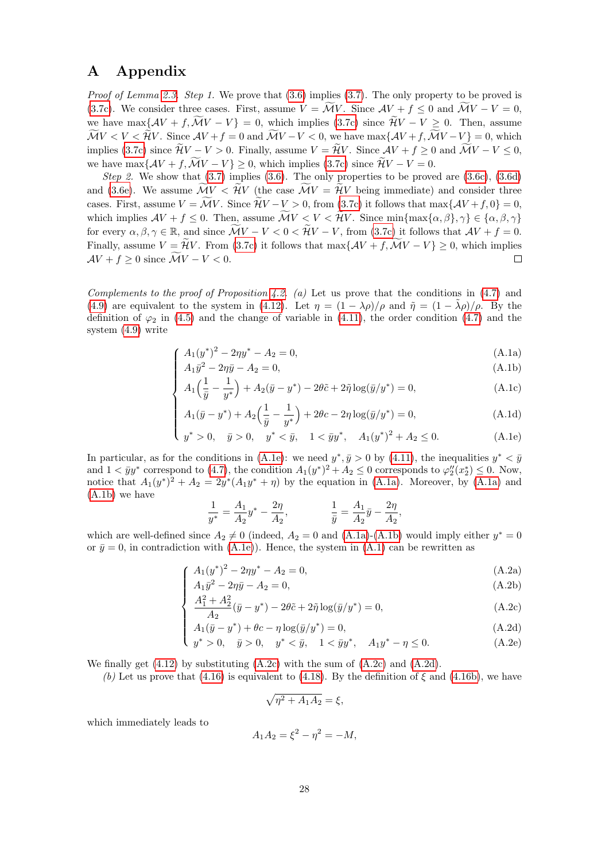## <span id="page-27-0"></span>A Appendix

Proof of Lemma [2.3.](#page-4-3) Step 1. We prove that  $(3.6)$  implies  $(3.7)$ . The only property to be proved is [\(3.7c\)](#page-8-4). We consider three cases. First, assume  $V = \overline{M}V$ . Since  $AV + f \leq 0$  and  $\overline{M}V - V = 0$ , we have max $\{\mathcal{A}V + f, \widetilde{\mathcal{M}}V - V\} = 0$ , which implies [\(3.7c\)](#page-8-4) since  $\widetilde{\mathcal{H}}V - V \geq 0$ . Then, assume  $\widetilde{\mathcal{M}}V < V < \widetilde{\mathcal{H}}V$ . Since  $\mathcal{A}V + f = 0$  and  $\widetilde{\mathcal{M}}V - V < 0$ , we have  $\max\{\mathcal{A}V + f, \widetilde{\mathcal{M}}V - V\} = 0$ , which implies [\(3.7c\)](#page-8-4) since  $\widetilde{\mathcal{H}}V - V > 0$ . Finally, assume  $V = \widetilde{\mathcal{H}}V$ . Since  $\mathcal{A}V + f \geq 0$  and  $\widetilde{\mathcal{M}}V - V \leq 0$ , we have max $\{AV + f, \widetilde{MV} - V\} \geq 0$ , which implies [\(3.7c\)](#page-8-4) since  $\widetilde{AV} - V = 0$ .

Step 2. We show that  $(3.7)$  implies  $(3.6)$ . The only properties to be proved are  $(3.6c)$ ,  $(3.6d)$ and [\(3.6e\)](#page-8-7). We assume  $\widetilde{\mathcal{M}}V < \widetilde{\mathcal{H}}V$  (the case  $\widetilde{\mathcal{M}}V = \widetilde{\mathcal{H}}V$  being immediate) and consider three cases. First, assume  $V = \widetilde{\mathcal{M}}V$ . Since  $\widetilde{\mathcal{H}}V - V > 0$ , from [\(3.7c\)](#page-8-4) it follows that max $\{\mathcal{A}V + f, 0\} = 0$ , which implies  $AV + f \leq 0$ . Then, assume  $\widetilde{\mathcal{M}}V < V < \widetilde{\mathcal{H}}V$ . Since  $\min\{\max\{\alpha,\beta\},\gamma\} \in \{\alpha,\beta,\gamma\}$ for every  $\alpha, \beta, \gamma \in \mathbb{R}$ , and since  $\widetilde{\mathcal{M}}V - V < 0 < \widetilde{\mathcal{H}}V - V$ , from [\(3.7c\)](#page-8-4) it follows that  $\mathcal{A}V + f = 0$ . Finally, assume  $V = \hat{\mathcal{H}}V$ . From [\(3.7c\)](#page-8-4) it follows that  $\max\{\mathcal{A}V + f, \tilde{\mathcal{M}}V - V\} \ge 0$ , which implies  $\mathcal{A}V + f > 0$  since  $\tilde{\mathcal{M}}V - V < 0$ .  $AV + f \geq 0$  since  $\widetilde{\mathcal{M}}V - V < 0$ .

Complements to the proof of Proposition [4.2.](#page-14-4) (a) Let us prove that the conditions in  $(4.7)$  and [\(4.9\)](#page-14-1) are equivalent to the system in [\(4.12\)](#page-14-3). Let  $\eta = (1 - \lambda \rho)/\rho$  and  $\tilde{\eta} = (1 - \lambda \rho)/\rho$ . By the definition of  $\varphi_2$  in [\(4.5\)](#page-13-0) and the change of variable in [\(4.11\)](#page-14-3), the order condition [\(4.7\)](#page-14-0) and the system [\(4.9\)](#page-14-1) write

$$
(A_1(y^*)^2 - 2\eta y^* - A_2 = 0,\tag{A.1a}
$$

$$
A_1 \bar{y}^2 - 2\eta \bar{y} - A_2 = 0,\tag{A.1b}
$$

$$
\begin{cases}\nA_1 \bar{y}^2 - 2\eta \bar{y} - A_2 = 0, \\
A_1 \left(\frac{1}{\bar{y}} - \frac{1}{y^*}\right) + A_2(\bar{y} - y^*) - 2\theta \tilde{c} + 2\tilde{\eta} \log(\bar{y}/y^*) = 0, \\
(A.1c)\n\end{cases}
$$
\n(A.1c)

$$
A_1(\bar{y} - y^*) + A_2\left(\frac{1}{\bar{y}} - \frac{1}{y^*}\right) + 2\theta c - 2\eta \log(\bar{y}/y^*) = 0,
$$
\n(A.1d)

$$
\begin{cases}\nA_1(\bar{y} - y^*) + A_2\left(\frac{1}{\bar{y}} - \frac{1}{y^*}\right) + 2\theta c - 2\eta \log(\bar{y}/y^*) = 0, \\
y^* > 0, \quad \bar{y} > 0, \quad y^* < \bar{y}, \quad 1 < \bar{y}y^*, \quad A_1(y^*)^2 + A_2 \le 0.\n\end{cases} \tag{A.1d}
$$

<span id="page-27-1"></span>In particular, as for the conditions in [\(A.1e\)](#page-27-1): we need  $y^*, \bar{y} > 0$  by [\(4.11\)](#page-14-3), the inequalities  $y^* < \bar{y}$ and  $1 < \bar{y}y^*$  correspond to [\(4.7\)](#page-14-0), the condition  $A_1(y^*)^2 + A_2 \leq 0$  corresponds to  $\varphi_2''(x_2^*) \leq 0$ . Now, notice that  $A_1(y^*)^2 + A_2 = 2y^*(A_1y^* + \eta)$  by the equation in [\(A.1a\)](#page-27-1). Moreover, by (A.1a) and [\(A.1b\)](#page-27-1) we have

$$
\frac{1}{y^*} = \frac{A_1}{A_2} y^* - \frac{2\eta}{A_2}, \qquad \qquad \frac{1}{\bar{y}} = \frac{A_1}{A_2} \bar{y} - \frac{2\eta}{A_2},
$$

which are well-defined since  $A_2 \neq 0$  (indeed,  $A_2 = 0$  and [\(A.1a\)](#page-27-1)-[\(A.1b\)](#page-27-1) would imply either  $y^* = 0$ or  $\bar{y} = 0$ , in contradiction with [\(A.1e\)](#page-27-1)). Hence, the system in [\(A.1\)](#page-27-0) can be rewritten as

$$
(A_1(y^*)^2 - 2\eta y^* - A_2 = 0, \tag{A.2a}
$$

$$
\begin{cases}\nA_1 \bar{y}^2 - 2\eta \bar{y} - A_2 = 0, \\
A_1^2 + A_2^2 \bar{z} - \bar{z}^* - 2\bar{z} \log(\bar{z}/\bar{z}^*) = 0.\n\end{cases} \tag{A.2b}
$$

$$
\frac{A_1^2 + A_2^2}{A_2} (\bar{y} - y^*) - 2\theta \tilde{c} + 2\tilde{\eta} \log(\bar{y}/y^*) = 0,
$$
\n(A.2c)

$$
A_1(\bar{y} - y^*) + \theta c - \eta \log(\bar{y}/y^*) = 0,
$$
\n(A.2d)

$$
\begin{cases}\nA_1(\bar{y} - y^*) + \theta c - \eta \log(\bar{y}/y^*) = 0, \\
y^* > 0, \quad \bar{y} > 0, \quad y^* < \bar{y}, \quad 1 < \bar{y}y^*, \quad A_1y^* - \eta \le 0.\n\end{cases}
$$
\n(A.2d)\n(A.2e)

<span id="page-27-2"></span>We finally get  $(4.12)$  by substituting  $(A.2c)$  with the sum of  $(A.2c)$  and  $(A.2d)$ .

(b) Let us prove that [\(4.16\)](#page-15-3) is equivalent to [\(4.18\)](#page-15-6). By the definition of  $\xi$  and [\(4.16b\)](#page-15-2), we have

$$
\sqrt{\eta^2 + A_1 A_2} = \xi,
$$

which immediately leads to

$$
A_1 A_2 = \xi^2 - \eta^2 = -M,
$$